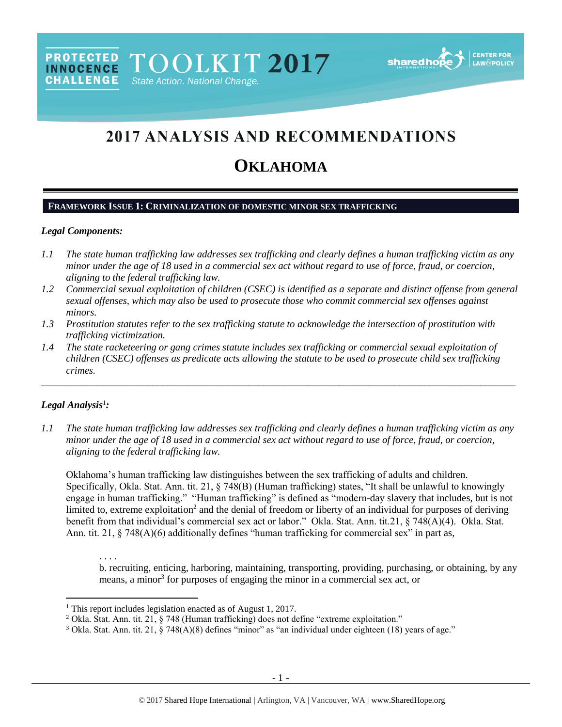# **2017 ANALYSIS AND RECOMMENDATIONS**

# **OKLAHOMA**

#### **FRAMEWORK ISSUE 1: CRIMINALIZATION OF DOMESTIC MINOR SEX TRAFFICKING**

PROTECTED TOOLKIT 2017

State Action. National Change.

#### *Legal Components:*

**CHALLENGE** 

- *1.1 The state human trafficking law addresses sex trafficking and clearly defines a human trafficking victim as any minor under the age of 18 used in a commercial sex act without regard to use of force, fraud, or coercion, aligning to the federal trafficking law.*
- *1.2 Commercial sexual exploitation of children (CSEC) is identified as a separate and distinct offense from general sexual offenses, which may also be used to prosecute those who commit commercial sex offenses against minors.*
- *1.3 Prostitution statutes refer to the sex trafficking statute to acknowledge the intersection of prostitution with trafficking victimization.*
- *1.4 The state racketeering or gang crimes statute includes sex trafficking or commercial sexual exploitation of children (CSEC) offenses as predicate acts allowing the statute to be used to prosecute child sex trafficking crimes.*

\_\_\_\_\_\_\_\_\_\_\_\_\_\_\_\_\_\_\_\_\_\_\_\_\_\_\_\_\_\_\_\_\_\_\_\_\_\_\_\_\_\_\_\_\_\_\_\_\_\_\_\_\_\_\_\_\_\_\_\_\_\_\_\_\_\_\_\_\_\_\_\_\_\_\_\_\_\_\_\_\_\_\_\_\_\_\_\_\_\_\_\_\_\_

### *Legal Analysis*<sup>1</sup> *:*

l

*1.1 The state human trafficking law addresses sex trafficking and clearly defines a human trafficking victim as any minor under the age of 18 used in a commercial sex act without regard to use of force, fraud, or coercion, aligning to the federal trafficking law.*

Oklahoma's human trafficking law distinguishes between the sex trafficking of adults and children. Specifically, Okla. Stat. Ann. tit. 21, § 748(B) (Human trafficking) states, "It shall be unlawful to knowingly engage in human trafficking." "Human trafficking" is defined as "modern-day slavery that includes, but is not limited to, extreme exploitation<sup>2</sup> and the denial of freedom or liberty of an individual for purposes of deriving benefit from that individual's commercial sex act or labor." Okla. Stat. Ann. tit.21, § 748(A)(4). Okla. Stat. Ann. tit. 21,  $\S$  748(A)(6) additionally defines "human trafficking for commercial sex" in part as,

. . . . b. recruiting, enticing, harboring, maintaining, transporting, providing, purchasing, or obtaining, by any means, a minor<sup>3</sup> for purposes of engaging the minor in a commercial sex act, or

<sup>&</sup>lt;sup>1</sup> This report includes legislation enacted as of August 1, 2017.

<sup>&</sup>lt;sup>2</sup> Okla. Stat. Ann. tit. 21, § 748 (Human trafficking) does not define "extreme exploitation."

<sup>&</sup>lt;sup>3</sup> Okla. Stat. Ann. tit. 21, § 748(A)(8) defines "minor" as "an individual under eighteen (18) years of age."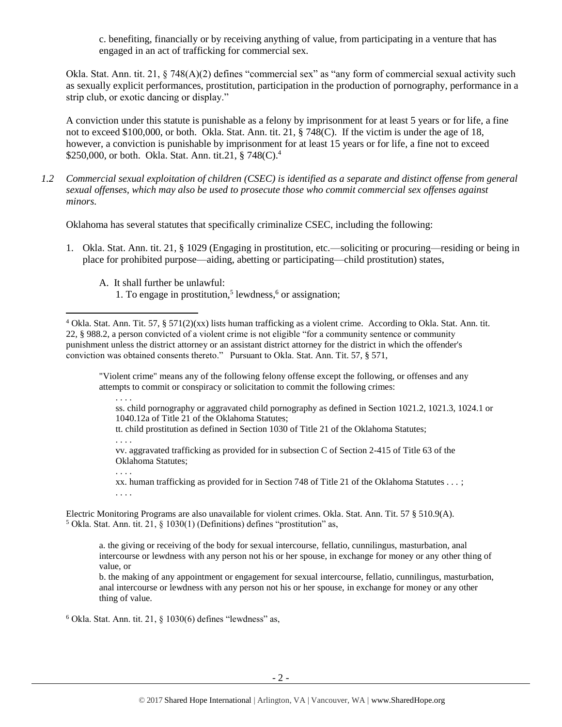<span id="page-1-0"></span>c. benefiting, financially or by receiving anything of value, from participating in a venture that has engaged in an act of trafficking for commercial sex.

Okla. Stat. Ann. tit. 21, § 748(A)(2) defines "commercial sex" as "any form of commercial sexual activity such as sexually explicit performances, prostitution, participation in the production of pornography, performance in a strip club, or exotic dancing or display."

A conviction under this statute is punishable as a felony by imprisonment for at least 5 years or for life, a fine not to exceed \$100,000, or both. Okla. Stat. Ann. tit. 21, § 748(C). If the victim is under the age of 18, however, a conviction is punishable by imprisonment for at least 15 years or for life, a fine not to exceed \$250,000, or both. Okla. Stat. Ann. tit.21,  $\S 748(C).4$ 

*1.2 Commercial sexual exploitation of children (CSEC) is identified as a separate and distinct offense from general sexual offenses, which may also be used to prosecute those who commit commercial sex offenses against minors.*

Oklahoma has several statutes that specifically criminalize CSEC, including the following:

- 1. Okla. Stat. Ann. tit. 21, § 1029 (Engaging in prostitution, etc.—soliciting or procuring—residing or being in place for prohibited purpose—aiding, abetting or participating—child prostitution) states,
	- A. It shall further be unlawful:

"Violent crime" means any of the following felony offense except the following, or offenses and any attempts to commit or conspiracy or solicitation to commit the following crimes:

l

ss. child pornography or aggravated child pornography as defined in Section 1021.2, 1021.3, 1024.1 or 1040.12a of Title 21 of the Oklahoma Statutes;

tt. child prostitution as defined in Section 1030 of Title 21 of the Oklahoma Statutes;

. . . .

. . . .

. . . .

vv. aggravated trafficking as provided for in subsection C of Section 2-415 of Title 63 of the Oklahoma Statutes;

xx. human trafficking as provided for in Section 748 of Title 21 of the Oklahoma Statutes . . . ;

Electric Monitoring Programs are also unavailable for violent crimes. Okla. Stat. Ann. Tit. 57 § 510.9(A).  $5$  Okla. Stat. Ann. tit. 21,  $\S$  1030(1) (Definitions) defines "prostitution" as,

a. the giving or receiving of the body for sexual intercourse, fellatio, cunnilingus, masturbation, anal intercourse or lewdness with any person not his or her spouse, in exchange for money or any other thing of value, or

b. the making of any appointment or engagement for sexual intercourse, fellatio, cunnilingus, masturbation, anal intercourse or lewdness with any person not his or her spouse, in exchange for money or any other thing of value.

 $6$  Okla. Stat. Ann. tit. 21,  $\S$  1030(6) defines "lewdness" as,

<sup>1.</sup> To engage in prostitution,<sup>5</sup> lewdness,<sup>6</sup> or assignation;

<sup>4</sup> Okla. Stat. Ann. Tit. 57, § 571(2)(xx) lists human trafficking as a violent crime. According to Okla. Stat. Ann. tit. 22, § 988.2, a person convicted of a violent crime is not eligible "for a community sentence or community punishment unless the district attorney or an assistant district attorney for the district in which the offender's conviction was obtained consents thereto." Pursuant to Okla. Stat. Ann. Tit. 57, § 571,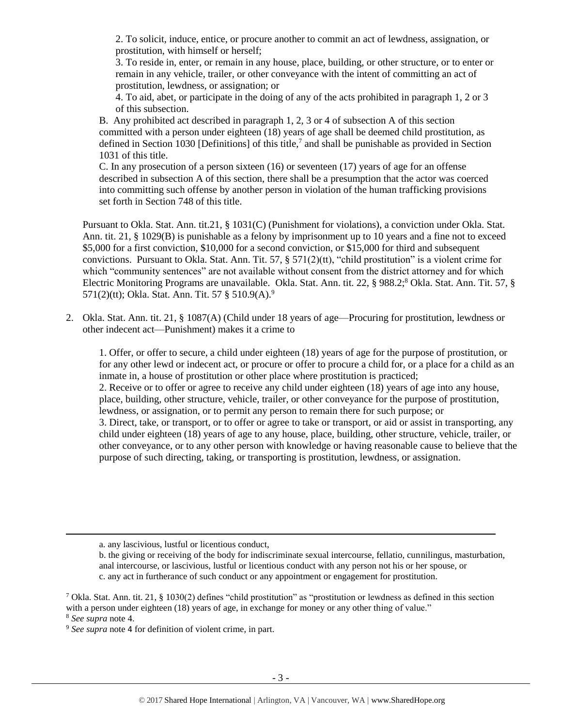2. To solicit, induce, entice, or procure another to commit an act of lewdness, assignation, or prostitution, with himself or herself;

3. To reside in, enter, or remain in any house, place, building, or other structure, or to enter or remain in any vehicle, trailer, or other conveyance with the intent of committing an act of prostitution, lewdness, or assignation; or

<span id="page-2-0"></span>4. To aid, abet, or participate in the doing of any of the acts prohibited in paragraph 1, 2 or 3 of this subsection.

B. Any prohibited act described in paragraph 1, 2, 3 or 4 of subsection A of this section committed with a person under eighteen (18) years of age shall be deemed child prostitution, as defined in Section 1030 [Definitions] of this title,<sup>7</sup> and shall be punishable as provided in Section 1031 of this title.

C. In any prosecution of a person sixteen (16) or seventeen (17) years of age for an offense described in subsection A of this section, there shall be a presumption that the actor was coerced into committing such offense by another person in violation of the human trafficking provisions set forth in Section 748 of this title.

Pursuant to Okla. Stat. Ann. tit.21, § 1031(C) (Punishment for violations), a conviction under Okla. Stat. Ann. tit. 21, § 1029(B) is punishable as a felony by imprisonment up to 10 years and a fine not to exceed \$5,000 for a first conviction, \$10,000 for a second conviction, or \$15,000 for third and subsequent convictions. Pursuant to Okla. Stat. Ann. Tit. 57,  $\S 571(2)(tt)$ , "child prostitution" is a violent crime for which "community sentences" are not available without consent from the district attorney and for which Electric Monitoring Programs are unavailable. Okla. Stat. Ann. tit. 22, § 988.2;<sup>8</sup> Okla. Stat. Ann. Tit. 57, § 571(2)(tt); Okla. Stat. Ann. Tit. 57 § 510.9(A).<sup>9</sup>

2. Okla. Stat. Ann. tit. 21, § 1087(A) (Child under 18 years of age—Procuring for prostitution, lewdness or other indecent act—Punishment) makes it a crime to

1. Offer, or offer to secure, a child under eighteen (18) years of age for the purpose of prostitution, or for any other lewd or indecent act, or procure or offer to procure a child for, or a place for a child as an inmate in, a house of prostitution or other place where prostitution is practiced; 2. Receive or to offer or agree to receive any child under eighteen (18) years of age into any house, place, building, other structure, vehicle, trailer, or other conveyance for the purpose of prostitution, lewdness, or assignation, or to permit any person to remain there for such purpose; or 3. Direct, take, or transport, or to offer or agree to take or transport, or aid or assist in transporting, any child under eighteen (18) years of age to any house, place, building, other structure, vehicle, trailer, or other conveyance, or to any other person with knowledge or having reasonable cause to believe that the purpose of such directing, taking, or transporting is prostitution, lewdness, or assignation.

 $\overline{\phantom{a}}$ 

a. any lascivious, lustful or licentious conduct,

b. the giving or receiving of the body for indiscriminate sexual intercourse, fellatio, cunnilingus, masturbation, anal intercourse, or lascivious, lustful or licentious conduct with any person not his or her spouse, or c. any act in furtherance of such conduct or any appointment or engagement for prostitution.

<sup>&</sup>lt;sup>7</sup> Okla. Stat. Ann. tit. 21, § 1030(2) defines "child prostitution" as "prostitution or lewdness as defined in this section with a person under eighteen (18) years of age, in exchange for money or any other thing of value." <sup>8</sup> *See supra* note [4.](#page-1-0)

<sup>9</sup> *See supra* note [4](#page-1-0) for definition of violent crime, in part.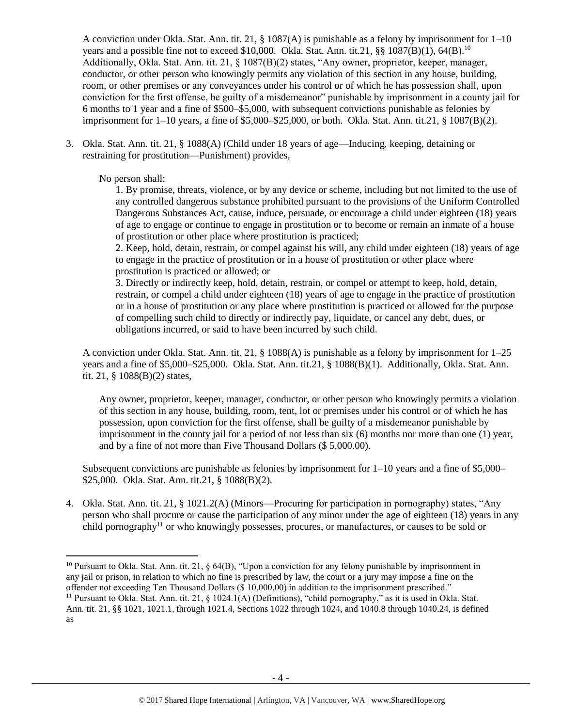A conviction under Okla. Stat. Ann. tit. 21, § 1087(A) is punishable as a felony by imprisonment for  $1-10$ years and a possible fine not to exceed \$10,000. Okla. Stat. Ann. tit.21,  $\S$ § 1087(B)(1), 64(B).<sup>10</sup> Additionally, Okla. Stat. Ann. tit. 21, § 1087(B)(2) states, "Any owner, proprietor, keeper, manager, conductor, or other person who knowingly permits any violation of this section in any house, building, room, or other premises or any conveyances under his control or of which he has possession shall, upon conviction for the first offense, be guilty of a misdemeanor" punishable by imprisonment in a county jail for 6 months to 1 year and a fine of \$500–\$5,000, with subsequent convictions punishable as felonies by imprisonment for  $1-10$  years, a fine of \$5,000–\$25,000, or both. Okla. Stat. Ann. tit.21, § 1087(B)(2).

3. Okla. Stat. Ann. tit. 21, § 1088(A) (Child under 18 years of age—Inducing, keeping, detaining or restraining for prostitution—Punishment) provides,

No person shall:

 $\overline{\phantom{a}}$ 

1. By promise, threats, violence, or by any device or scheme, including but not limited to the use of any controlled dangerous substance prohibited pursuant to the provisions of the Uniform Controlled Dangerous Substances Act, cause, induce, persuade, or encourage a child under eighteen (18) years of age to engage or continue to engage in prostitution or to become or remain an inmate of a house of prostitution or other place where prostitution is practiced;

2. Keep, hold, detain, restrain, or compel against his will, any child under eighteen (18) years of age to engage in the practice of prostitution or in a house of prostitution or other place where prostitution is practiced or allowed; or

3. Directly or indirectly keep, hold, detain, restrain, or compel or attempt to keep, hold, detain, restrain, or compel a child under eighteen (18) years of age to engage in the practice of prostitution or in a house of prostitution or any place where prostitution is practiced or allowed for the purpose of compelling such child to directly or indirectly pay, liquidate, or cancel any debt, dues, or obligations incurred, or said to have been incurred by such child.

A conviction under Okla. Stat. Ann. tit. 21, § 1088(A) is punishable as a felony by imprisonment for 1–25 years and a fine of \$5,000–\$25,000. Okla. Stat. Ann. tit.21, § 1088(B)(1). Additionally, Okla. Stat. Ann. tit. 21, § 1088(B)(2) states,

Any owner, proprietor, keeper, manager, conductor, or other person who knowingly permits a violation of this section in any house, building, room, tent, lot or premises under his control or of which he has possession, upon conviction for the first offense, shall be guilty of a misdemeanor punishable by imprisonment in the county jail for a period of not less than six (6) months nor more than one (1) year, and by a fine of not more than Five Thousand Dollars (\$ 5,000.00).

Subsequent convictions are punishable as felonies by imprisonment for  $1-10$  years and a fine of \$5,000– \$25,000. Okla. Stat. Ann. tit.21, § 1088(B)(2).

<span id="page-3-0"></span>4. Okla. Stat. Ann. tit. 21, § 1021.2(A) (Minors—Procuring for participation in pornography) states, "Any person who shall procure or cause the participation of any minor under the age of eighteen (18) years in any child pornography<sup>11</sup> or who knowingly possesses, procures, or manufactures, or causes to be sold or

<sup>&</sup>lt;sup>10</sup> Pursuant to Okla. Stat. Ann. tit. 21,  $\S$  64(B), "Upon a conviction for any felony punishable by imprisonment in any jail or prison, in relation to which no fine is prescribed by law, the court or a jury may impose a fine on the offender not exceeding Ten Thousand Dollars (\$ 10,000.00) in addition to the imprisonment prescribed."

<sup>&</sup>lt;sup>11</sup> Pursuant to Okla. Stat. Ann. tit. 21,  $\S$  1024.1(A) (Definitions), "child pornography," as it is used in Okla. Stat. Ann. tit. 21, §§ 1021, 1021.1, through 1021.4, Sections 1022 through 1024, and 1040.8 through 1040.24, is defined as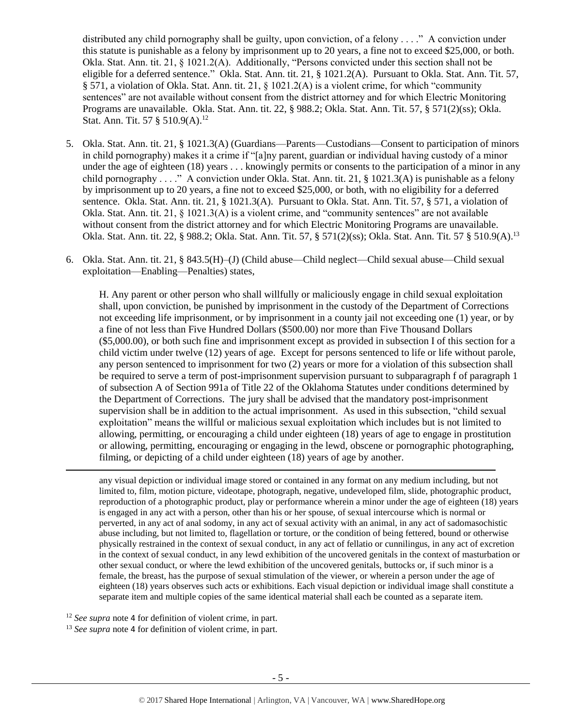distributed any child pornography shall be guilty, upon conviction, of a felony . . . ." A conviction under this statute is punishable as a felony by imprisonment up to 20 years, a fine not to exceed \$25,000, or both. Okla. Stat. Ann. tit. 21, § 1021.2(A). Additionally, "Persons convicted under this section shall not be eligible for a deferred sentence." Okla. Stat. Ann. tit. 21, § 1021.2(A). Pursuant to Okla. Stat. Ann. Tit. 57, § 571, a violation of Okla. Stat. Ann. tit. 21, § 1021.2(A) is a violent crime, for which "community sentences" are not available without consent from the district attorney and for which Electric Monitoring Programs are unavailable. Okla. Stat. Ann. tit. 22, § 988.2; Okla. Stat. Ann. Tit. 57, § 571(2)(ss); Okla. Stat. Ann. Tit. 57 § 510.9(A).<sup>12</sup>

- 5. Okla. Stat. Ann. tit. 21, § 1021.3(A) (Guardians—Parents—Custodians—Consent to participation of minors in child pornography) makes it a crime if "[a]ny parent, guardian or individual having custody of a minor under the age of eighteen (18) years . . . knowingly permits or consents to the participation of a minor in any child pornography . . . ." A conviction under Okla. Stat. Ann. tit. 21, § 1021.3(A) is punishable as a felony by imprisonment up to 20 years, a fine not to exceed \$25,000, or both, with no eligibility for a deferred sentence. Okla. Stat. Ann. tit. 21, § 1021.3(A). Pursuant to Okla. Stat. Ann. Tit. 57, § 571, a violation of Okla. Stat. Ann. tit. 21, § 1021.3(A) is a violent crime, and "community sentences" are not available without consent from the district attorney and for which Electric Monitoring Programs are unavailable. Okla. Stat. Ann. tit. 22, § 988.2; Okla. Stat. Ann. Tit. 57, § 571(2)(ss); Okla. Stat. Ann. Tit. 57 § 510.9(A).<sup>13</sup>
- 6. Okla. Stat. Ann. tit. 21, § 843.5(H)–(J) (Child abuse—Child neglect—Child sexual abuse—Child sexual exploitation—Enabling—Penalties) states,

H. Any parent or other person who shall willfully or maliciously engage in child sexual exploitation shall, upon conviction, be punished by imprisonment in the custody of the Department of Corrections not exceeding life imprisonment, or by imprisonment in a county jail not exceeding one (1) year, or by a fine of not less than Five Hundred Dollars (\$500.00) nor more than Five Thousand Dollars (\$5,000.00), or both such fine and imprisonment except as provided in subsection I of this section for a child victim under twelve (12) years of age. Except for persons sentenced to life or life without parole, any person sentenced to imprisonment for two (2) years or more for a violation of this subsection shall be required to serve a term of post-imprisonment supervision pursuant to subparagraph f of paragraph 1 of subsection A of Section 991a of Title 22 of the Oklahoma Statutes under conditions determined by the Department of Corrections. The jury shall be advised that the mandatory post-imprisonment supervision shall be in addition to the actual imprisonment. As used in this subsection, "child sexual exploitation" means the willful or malicious sexual exploitation which includes but is not limited to allowing, permitting, or encouraging a child under eighteen (18) years of age to engage in prostitution or allowing, permitting, encouraging or engaging in the lewd, obscene or pornographic photographing, filming, or depicting of a child under eighteen (18) years of age by another.

any visual depiction or individual image stored or contained in any format on any medium including, but not limited to, film, motion picture, videotape, photograph, negative, undeveloped film, slide, photographic product, reproduction of a photographic product, play or performance wherein a minor under the age of eighteen (18) years is engaged in any act with a person, other than his or her spouse, of sexual intercourse which is normal or perverted, in any act of anal sodomy, in any act of sexual activity with an animal, in any act of sadomasochistic abuse including, but not limited to, flagellation or torture, or the condition of being fettered, bound or otherwise physically restrained in the context of sexual conduct, in any act of fellatio or cunnilingus, in any act of excretion in the context of sexual conduct, in any lewd exhibition of the uncovered genitals in the context of masturbation or other sexual conduct, or where the lewd exhibition of the uncovered genitals, buttocks or, if such minor is a female, the breast, has the purpose of sexual stimulation of the viewer, or wherein a person under the age of eighteen (18) years observes such acts or exhibitions. Each visual depiction or individual image shall constitute a separate item and multiple copies of the same identical material shall each be counted as a separate item.

<sup>12</sup> *See supra* note [4](#page-1-0) for definition of violent crime, in part.

 $\overline{\phantom{a}}$ 

<sup>13</sup> *See supra* note [4](#page-1-0) for definition of violent crime, in part.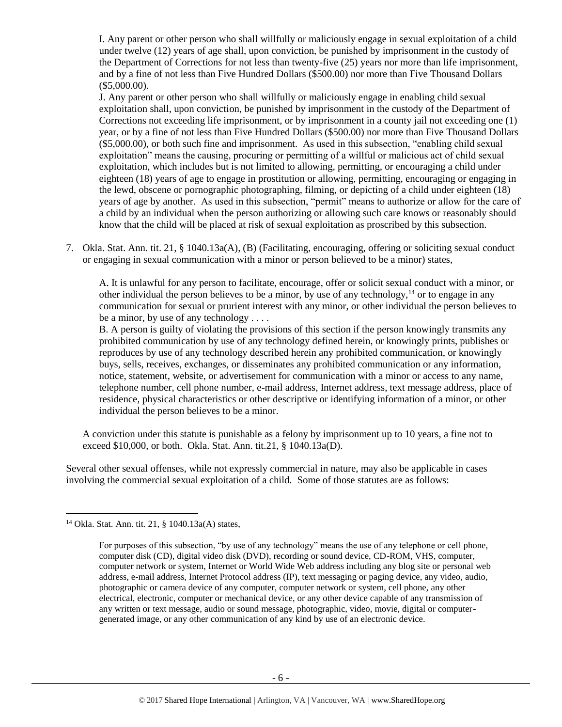I. Any parent or other person who shall willfully or maliciously engage in sexual exploitation of a child under twelve (12) years of age shall, upon conviction, be punished by imprisonment in the custody of the Department of Corrections for not less than twenty-five (25) years nor more than life imprisonment, and by a fine of not less than Five Hundred Dollars (\$500.00) nor more than Five Thousand Dollars (\$5,000.00).

J. Any parent or other person who shall willfully or maliciously engage in enabling child sexual exploitation shall, upon conviction, be punished by imprisonment in the custody of the Department of Corrections not exceeding life imprisonment, or by imprisonment in a county jail not exceeding one (1) year, or by a fine of not less than Five Hundred Dollars (\$500.00) nor more than Five Thousand Dollars (\$5,000.00), or both such fine and imprisonment. As used in this subsection, "enabling child sexual exploitation" means the causing, procuring or permitting of a willful or malicious act of child sexual exploitation, which includes but is not limited to allowing, permitting, or encouraging a child under eighteen (18) years of age to engage in prostitution or allowing, permitting, encouraging or engaging in the lewd, obscene or pornographic photographing, filming, or depicting of a child under eighteen (18) years of age by another. As used in this subsection, "permit" means to authorize or allow for the care of a child by an individual when the person authorizing or allowing such care knows or reasonably should know that the child will be placed at risk of sexual exploitation as proscribed by this subsection.

7. Okla. Stat. Ann. tit. 21, § 1040.13a(A), (B) (Facilitating, encouraging, offering or soliciting sexual conduct or engaging in sexual communication with a minor or person believed to be a minor) states,

<span id="page-5-0"></span>A. It is unlawful for any person to facilitate, encourage, offer or solicit sexual conduct with a minor, or other individual the person believes to be a minor, by use of any technology,  $14$  or to engage in any communication for sexual or prurient interest with any minor, or other individual the person believes to be a minor, by use of any technology . . . .

B. A person is guilty of violating the provisions of this section if the person knowingly transmits any prohibited communication by use of any technology defined herein, or knowingly prints, publishes or reproduces by use of any technology described herein any prohibited communication, or knowingly buys, sells, receives, exchanges, or disseminates any prohibited communication or any information, notice, statement, website, or advertisement for communication with a minor or access to any name, telephone number, cell phone number, e-mail address, Internet address, text message address, place of residence, physical characteristics or other descriptive or identifying information of a minor, or other individual the person believes to be a minor.

A conviction under this statute is punishable as a felony by imprisonment up to 10 years, a fine not to exceed \$10,000, or both. Okla. Stat. Ann. tit.21, § 1040.13a(D).

Several other sexual offenses, while not expressly commercial in nature, may also be applicable in cases involving the commercial sexual exploitation of a child. Some of those statutes are as follows:

 $\overline{a}$ 

<sup>14</sup> Okla. Stat. Ann. tit. 21, § 1040.13a(A) states,

For purposes of this subsection, "by use of any technology" means the use of any telephone or cell phone, computer disk (CD), digital video disk (DVD), recording or sound device, CD-ROM, VHS, computer, computer network or system, Internet or World Wide Web address including any blog site or personal web address, e-mail address, Internet Protocol address (IP), text messaging or paging device, any video, audio, photographic or camera device of any computer, computer network or system, cell phone, any other electrical, electronic, computer or mechanical device, or any other device capable of any transmission of any written or text message, audio or sound message, photographic, video, movie, digital or computergenerated image, or any other communication of any kind by use of an electronic device.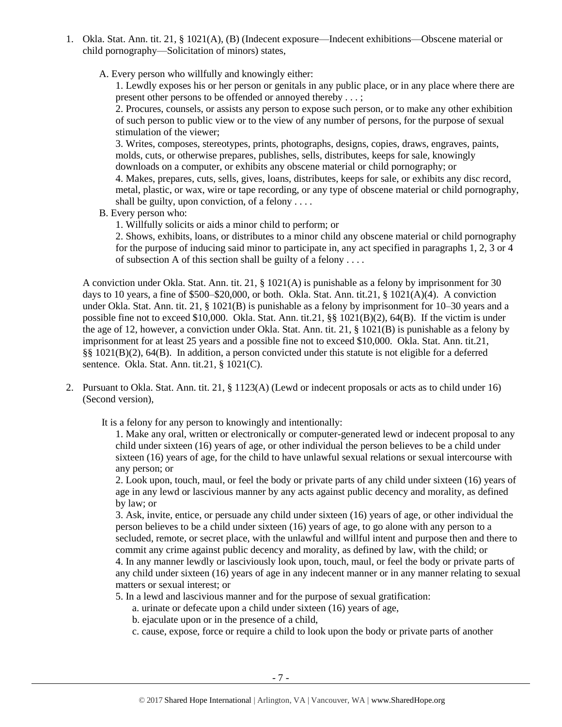1. Okla. Stat. Ann. tit. 21, § 1021(A), (B) (Indecent exposure—Indecent exhibitions—Obscene material or child pornography—Solicitation of minors) states,

A. Every person who willfully and knowingly either:

1. Lewdly exposes his or her person or genitals in any public place, or in any place where there are present other persons to be offended or annoyed thereby . . . ;

2. Procures, counsels, or assists any person to expose such person, or to make any other exhibition of such person to public view or to the view of any number of persons, for the purpose of sexual stimulation of the viewer;

3. Writes, composes, stereotypes, prints, photographs, designs, copies, draws, engraves, paints, molds, cuts, or otherwise prepares, publishes, sells, distributes, keeps for sale, knowingly downloads on a computer, or exhibits any obscene material or child pornography; or

4. Makes, prepares, cuts, sells, gives, loans, distributes, keeps for sale, or exhibits any disc record, metal, plastic, or wax, wire or tape recording, or any type of obscene material or child pornography, shall be guilty, upon conviction, of a felony  $\dots$ 

B. Every person who:

1. Willfully solicits or aids a minor child to perform; or

2. Shows, exhibits, loans, or distributes to a minor child any obscene material or child pornography for the purpose of inducing said minor to participate in, any act specified in paragraphs 1, 2, 3 or 4 of subsection A of this section shall be guilty of a felony . . . .

A conviction under Okla. Stat. Ann. tit. 21, § 1021(A) is punishable as a felony by imprisonment for 30 days to 10 years, a fine of  $$500–$20,000$ , or both. Okla. Stat. Ann. tit.21,  $§$  1021(A)(4). A conviction under Okla. Stat. Ann. tit. 21, § 1021(B) is punishable as a felony by imprisonment for 10–30 years and a possible fine not to exceed \$10,000. Okla. Stat. Ann. tit.21, §§ 1021(B)(2), 64(B). If the victim is under the age of 12, however, a conviction under Okla. Stat. Ann. tit. 21, § 1021(B) is punishable as a felony by imprisonment for at least 25 years and a possible fine not to exceed \$10,000. Okla. Stat. Ann. tit.21, §§ 1021(B)(2), 64(B). In addition, a person convicted under this statute is not eligible for a deferred sentence. Okla. Stat. Ann. tit.21, § 1021(C).

2. Pursuant to Okla. Stat. Ann. tit. 21, § 1123(A) (Lewd or indecent proposals or acts as to child under 16) (Second version),

It is a felony for any person to knowingly and intentionally:

1. Make any oral, written or electronically or computer-generated lewd or indecent proposal to any child under sixteen (16) years of age, or other individual the person believes to be a child under sixteen (16) years of age, for the child to have unlawful sexual relations or sexual intercourse with any person; or

2. Look upon, touch, maul, or feel the body or private parts of any child under sixteen (16) years of age in any lewd or lascivious manner by any acts against public decency and morality, as defined by law; or

3. Ask, invite, entice, or persuade any child under sixteen (16) years of age, or other individual the person believes to be a child under sixteen (16) years of age, to go alone with any person to a secluded, remote, or secret place, with the unlawful and willful intent and purpose then and there to commit any crime against public decency and morality, as defined by law, with the child; or 4. In any manner lewdly or lasciviously look upon, touch, maul, or feel the body or private parts of any child under sixteen (16) years of age in any indecent manner or in any manner relating to sexual matters or sexual interest; or

5. In a lewd and lascivious manner and for the purpose of sexual gratification:

- a. urinate or defecate upon a child under sixteen (16) years of age,
- b. ejaculate upon or in the presence of a child,
- c. cause, expose, force or require a child to look upon the body or private parts of another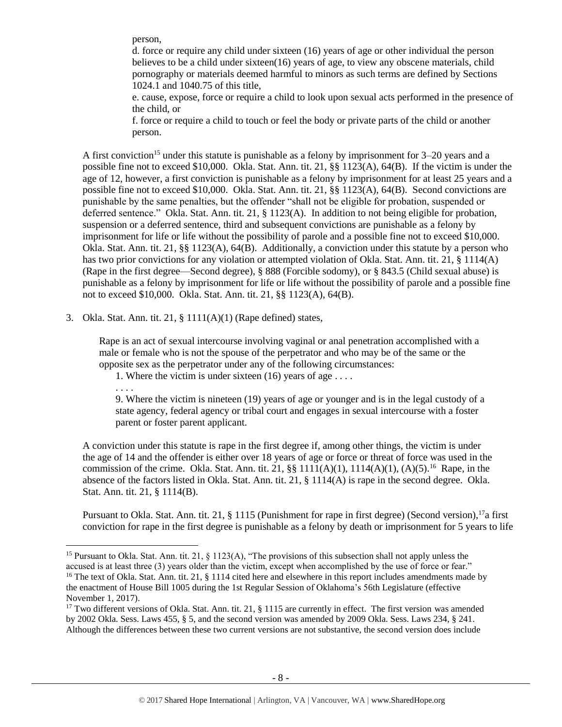person,

d. force or require any child under sixteen (16) years of age or other individual the person believes to be a child under sixteen(16) years of age, to view any obscene materials, child pornography or materials deemed harmful to minors as such terms are defined by Sections 1024.1 and 1040.75 of this title,

e. cause, expose, force or require a child to look upon sexual acts performed in the presence of the child, or

<span id="page-7-1"></span>f. force or require a child to touch or feel the body or private parts of the child or another person.

A first conviction<sup>15</sup> under this statute is punishable as a felony by imprisonment for  $3-20$  years and a possible fine not to exceed \$10,000. Okla. Stat. Ann. tit. 21, §§ 1123(A), 64(B). If the victim is under the age of 12, however, a first conviction is punishable as a felony by imprisonment for at least 25 years and a possible fine not to exceed \$10,000. Okla. Stat. Ann. tit. 21, §§ 1123(A), 64(B). Second convictions are punishable by the same penalties, but the offender "shall not be eligible for probation, suspended or deferred sentence." Okla. Stat. Ann. tit. 21, § 1123(A). In addition to not being eligible for probation, suspension or a deferred sentence, third and subsequent convictions are punishable as a felony by imprisonment for life or life without the possibility of parole and a possible fine not to exceed \$10,000. Okla. Stat. Ann. tit. 21, §§ 1123(A), 64(B). Additionally, a conviction under this statute by a person who has two prior convictions for any violation or attempted violation of Okla. Stat. Ann. tit. 21, § 1114(A) (Rape in the first degree—Second degree), § 888 (Forcible sodomy), or § 843.5 (Child sexual abuse) is punishable as a felony by imprisonment for life or life without the possibility of parole and a possible fine not to exceed \$10,000. Okla. Stat. Ann. tit. 21, §§ 1123(A), 64(B).

3. Okla. Stat. Ann. tit. 21, § 1111(A)(1) (Rape defined) states,

Rape is an act of sexual intercourse involving vaginal or anal penetration accomplished with a male or female who is not the spouse of the perpetrator and who may be of the same or the opposite sex as the perpetrator under any of the following circumstances:

1. Where the victim is under sixteen (16) years of age . . . .

. . . .

 $\overline{a}$ 

<span id="page-7-0"></span>9. Where the victim is nineteen (19) years of age or younger and is in the legal custody of a state agency, federal agency or tribal court and engages in sexual intercourse with a foster parent or foster parent applicant.

A conviction under this statute is rape in the first degree if, among other things, the victim is under the age of 14 and the offender is either over 18 years of age or force or threat of force was used in the commission of the crime. Okla. Stat. Ann. tit. 21,  $\S$  1111(A)(1), 1114(A)(1), (A)(5).<sup>16</sup> Rape, in the absence of the factors listed in Okla. Stat. Ann. tit. 21, § 1114(A) is rape in the second degree. Okla. Stat. Ann. tit. 21, § 1114(B).

Pursuant to Okla. Stat. Ann. tit. 21, § 1115 (Punishment for rape in first degree) (Second version),<sup>17</sup>a first conviction for rape in the first degree is punishable as a felony by death or imprisonment for 5 years to life

<sup>&</sup>lt;sup>15</sup> Pursuant to Okla. Stat. Ann. tit. 21, § 1123(A), "The provisions of this subsection shall not apply unless the accused is at least three (3) years older than the victim, except when accomplished by the use of force or fear." <sup>16</sup> The text of Okla. Stat. Ann. tit. 21, § 1114 cited here and elsewhere in this report includes amendments made by the enactment of House Bill 1005 during the 1st Regular Session of Oklahoma's 56th Legislature (effective November 1, 2017).

<sup>&</sup>lt;sup>17</sup> Two different versions of Okla. Stat. Ann. tit. 21, § 1115 are currently in effect. The first version was amended by 2002 Okla. Sess. Laws 455, § 5, and the second version was amended by 2009 Okla. Sess. Laws 234, § 241. Although the differences between these two current versions are not substantive, the second version does include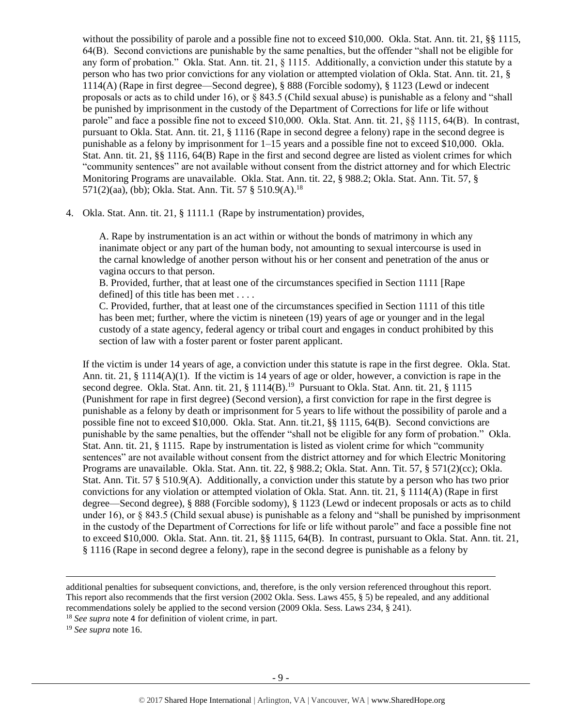without the possibility of parole and a possible fine not to exceed \$10,000. Okla. Stat. Ann. tit. 21, §§ 1115, 64(B). Second convictions are punishable by the same penalties, but the offender "shall not be eligible for any form of probation." Okla. Stat. Ann. tit. 21, § 1115. Additionally, a conviction under this statute by a person who has two prior convictions for any violation or attempted violation of Okla. Stat. Ann. tit. 21, § 1114(A) (Rape in first degree—Second degree), § 888 (Forcible sodomy), § 1123 (Lewd or indecent proposals or acts as to child under 16), or § 843.5 (Child sexual abuse) is punishable as a felony and "shall be punished by imprisonment in the custody of the Department of Corrections for life or life without parole" and face a possible fine not to exceed \$10,000. Okla. Stat. Ann. tit. 21, §§ 1115, 64(B). In contrast, pursuant to Okla. Stat. Ann. tit. 21, § 1116 (Rape in second degree a felony) rape in the second degree is punishable as a felony by imprisonment for 1–15 years and a possible fine not to exceed \$10,000. Okla. Stat. Ann. tit. 21, §§ 1116, 64(B) Rape in the first and second degree are listed as violent crimes for which "community sentences" are not available without consent from the district attorney and for which Electric Monitoring Programs are unavailable. Okla. Stat. Ann. tit. 22, § 988.2; Okla. Stat. Ann. Tit. 57, § 571(2)(aa), (bb); Okla. Stat. Ann. Tit. 57 § 510.9(A).<sup>18</sup>

4. Okla. Stat. Ann. tit. 21, § 1111.1 (Rape by instrumentation) provides,

A. Rape by instrumentation is an act within or without the bonds of matrimony in which any inanimate object or any part of the human body, not amounting to sexual intercourse is used in the carnal knowledge of another person without his or her consent and penetration of the anus or vagina occurs to that person.

B. Provided, further, that at least one of the circumstances specified in Section 1111 [Rape defined] of this title has been met . . . .

C. Provided, further, that at least one of the circumstances specified in Section 1111 of this title has been met; further, where the victim is nineteen (19) years of age or younger and in the legal custody of a state agency, federal agency or tribal court and engages in conduct prohibited by this section of law with a foster parent or foster parent applicant.

If the victim is under 14 years of age, a conviction under this statute is rape in the first degree. Okla. Stat. Ann. tit. 21, § 1114(A)(1). If the victim is 14 years of age or older, however, a conviction is rape in the second degree. Okla. Stat. Ann. tit. 21, § 1114(B).<sup>19</sup> Pursuant to Okla. Stat. Ann. tit. 21, § 1115 (Punishment for rape in first degree) (Second version), a first conviction for rape in the first degree is punishable as a felony by death or imprisonment for 5 years to life without the possibility of parole and a possible fine not to exceed \$10,000. Okla. Stat. Ann. tit.21, §§ 1115, 64(B). Second convictions are punishable by the same penalties, but the offender "shall not be eligible for any form of probation." Okla. Stat. Ann. tit. 21, § 1115. Rape by instrumentation is listed as violent crime for which "community sentences" are not available without consent from the district attorney and for which Electric Monitoring Programs are unavailable. Okla. Stat. Ann. tit. 22, § 988.2; Okla. Stat. Ann. Tit. 57, § 571(2)(cc); Okla. Stat. Ann. Tit. 57 § 510.9(A). Additionally, a conviction under this statute by a person who has two prior convictions for any violation or attempted violation of Okla. Stat. Ann. tit. 21, § 1114(A) (Rape in first degree—Second degree), § 888 (Forcible sodomy), § 1123 (Lewd or indecent proposals or acts as to child under 16), or § 843.5 (Child sexual abuse) is punishable as a felony and "shall be punished by imprisonment in the custody of the Department of Corrections for life or life without parole" and face a possible fine not to exceed \$10,000. Okla. Stat. Ann. tit. 21, §§ 1115, 64(B). In contrast, pursuant to Okla. Stat. Ann. tit. 21, § 1116 (Rape in second degree a felony), rape in the second degree is punishable as a felony by

<sup>19</sup> *See supra* note [16.](#page-7-0)

l

additional penalties for subsequent convictions, and, therefore, is the only version referenced throughout this report. This report also recommends that the first version (2002 Okla. Sess. Laws 455, § 5) be repealed, and any additional recommendations solely be applied to the second version (2009 Okla. Sess. Laws 234, § 241). <sup>18</sup> *See supra* note [4](#page-1-0) for definition of violent crime, in part.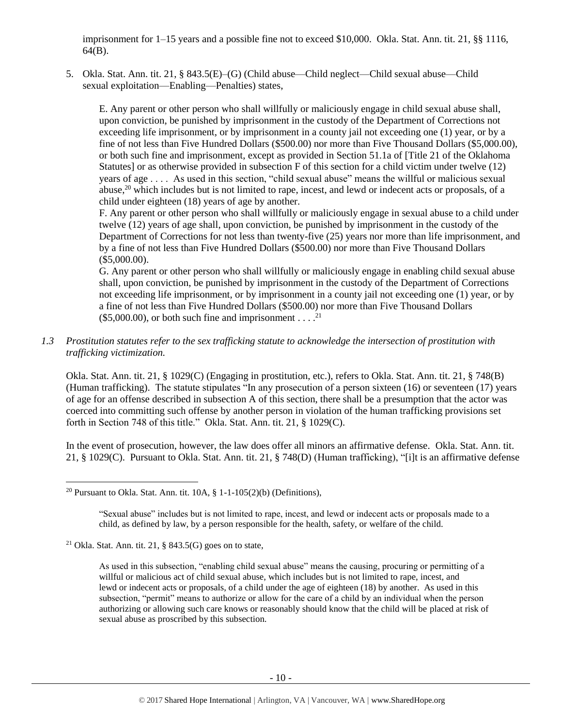imprisonment for 1–15 years and a possible fine not to exceed \$10,000. Okla. Stat. Ann. tit. 21, §§ 1116, 64(B).

5. Okla. Stat. Ann. tit. 21, § 843.5(E)–(G) (Child abuse—Child neglect—Child sexual abuse—Child sexual exploitation—Enabling—Penalties) states,

E. Any parent or other person who shall willfully or maliciously engage in child sexual abuse shall, upon conviction, be punished by imprisonment in the custody of the Department of Corrections not exceeding life imprisonment, or by imprisonment in a county jail not exceeding one (1) year, or by a fine of not less than Five Hundred Dollars (\$500.00) nor more than Five Thousand Dollars (\$5,000.00), or both such fine and imprisonment, except as provided in Section 51.1a of [Title 21 of the Oklahoma Statutes] or as otherwise provided in subsection F of this section for a child victim under twelve (12) years of age . . . . As used in this section, "child sexual abuse" means the willful or malicious sexual abuse,<sup>20</sup> which includes but is not limited to rape, incest, and lewd or indecent acts or proposals, of a child under eighteen (18) years of age by another.

F. Any parent or other person who shall willfully or maliciously engage in sexual abuse to a child under twelve (12) years of age shall, upon conviction, be punished by imprisonment in the custody of the Department of Corrections for not less than twenty-five (25) years nor more than life imprisonment, and by a fine of not less than Five Hundred Dollars (\$500.00) nor more than Five Thousand Dollars (\$5,000.00).

G. Any parent or other person who shall willfully or maliciously engage in enabling child sexual abuse shall, upon conviction, be punished by imprisonment in the custody of the Department of Corrections not exceeding life imprisonment, or by imprisonment in a county jail not exceeding one (1) year, or by a fine of not less than Five Hundred Dollars (\$500.00) nor more than Five Thousand Dollars  $($5,000.00)$ , or both such fine and imprisonment . . . .<sup>21</sup>

*1.3 Prostitution statutes refer to the sex trafficking statute to acknowledge the intersection of prostitution with trafficking victimization.* 

Okla. Stat. Ann. tit. 21, § 1029(C) (Engaging in prostitution, etc.), refers to Okla. Stat. Ann. tit. 21, § 748(B) (Human trafficking). The statute stipulates "In any prosecution of a person sixteen (16) or seventeen (17) years of age for an offense described in subsection A of this section, there shall be a presumption that the actor was coerced into committing such offense by another person in violation of the human trafficking provisions set forth in Section 748 of this title." Okla. Stat. Ann. tit. 21, § 1029(C).

In the event of prosecution, however, the law does offer all minors an affirmative defense. Okla. Stat. Ann. tit. 21, § 1029(C). Pursuant to Okla. Stat. Ann. tit. 21, § 748(D) (Human trafficking), "[i]t is an affirmative defense

 $\overline{\phantom{a}}$ 

<sup>&</sup>lt;sup>20</sup> Pursuant to Okla. Stat. Ann. tit.  $10A$ , §  $1-1-105(2)(b)$  (Definitions),

<sup>&</sup>quot;Sexual abuse" includes but is not limited to rape, incest, and lewd or indecent acts or proposals made to a child, as defined by law, by a person responsible for the health, safety, or welfare of the child.

<sup>&</sup>lt;sup>21</sup> Okla. Stat. Ann. tit. 21,  $\S$  843.5(G) goes on to state,

As used in this subsection, "enabling child sexual abuse" means the causing, procuring or permitting of a willful or malicious act of child sexual abuse, which includes but is not limited to rape, incest, and lewd or indecent acts or proposals, of a child under the age of eighteen (18) by another. As used in this subsection, "permit" means to authorize or allow for the care of a child by an individual when the person authorizing or allowing such care knows or reasonably should know that the child will be placed at risk of sexual abuse as proscribed by this subsection.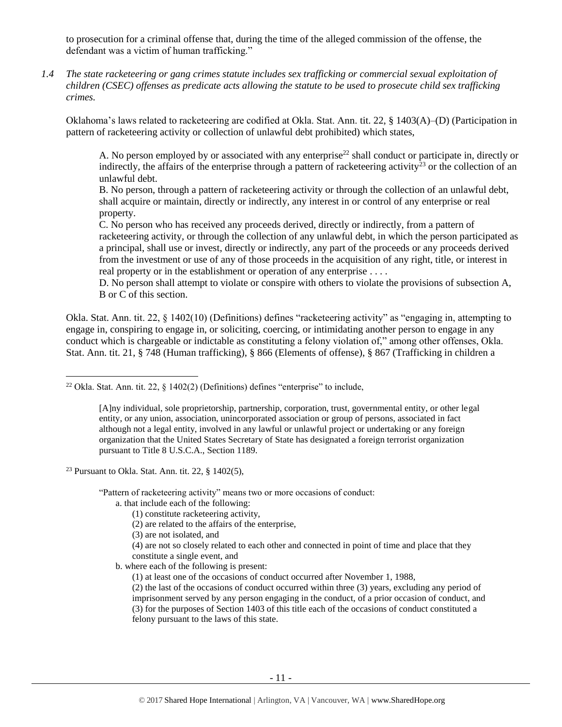to prosecution for a criminal offense that, during the time of the alleged commission of the offense, the defendant was a victim of human trafficking."

*1.4 The state racketeering or gang crimes statute includes sex trafficking or commercial sexual exploitation of children (CSEC) offenses as predicate acts allowing the statute to be used to prosecute child sex trafficking crimes.* 

Oklahoma's laws related to racketeering are codified at Okla. Stat. Ann. tit. 22, § 1403(A)–(D) (Participation in pattern of racketeering activity or collection of unlawful debt prohibited) which states,

A. No person employed by or associated with any enterprise<sup>22</sup> shall conduct or participate in, directly or indirectly, the affairs of the enterprise through a pattern of racketeering activity<sup>23</sup> or the collection of an unlawful debt.

B. No person, through a pattern of racketeering activity or through the collection of an unlawful debt, shall acquire or maintain, directly or indirectly, any interest in or control of any enterprise or real property.

C. No person who has received any proceeds derived, directly or indirectly, from a pattern of racketeering activity, or through the collection of any unlawful debt, in which the person participated as a principal, shall use or invest, directly or indirectly, any part of the proceeds or any proceeds derived from the investment or use of any of those proceeds in the acquisition of any right, title, or interest in real property or in the establishment or operation of any enterprise . . . .

D. No person shall attempt to violate or conspire with others to violate the provisions of subsection A, B or C of this section.

Okla. Stat. Ann. tit. 22, § 1402(10) (Definitions) defines "racketeering activity" as "engaging in, attempting to engage in, conspiring to engage in, or soliciting, coercing, or intimidating another person to engage in any conduct which is chargeable or indictable as constituting a felony violation of," among other offenses, Okla. Stat. Ann. tit. 21, § 748 (Human trafficking), § 866 (Elements of offense), § 867 (Trafficking in children a

<sup>23</sup> Pursuant to Okla. Stat. Ann. tit. 22,  $\S$  1402(5),

l

"Pattern of racketeering activity" means two or more occasions of conduct:

- a. that include each of the following:
	- (1) constitute racketeering activity,
	- (2) are related to the affairs of the enterprise,
	- (3) are not isolated, and
	- (4) are not so closely related to each other and connected in point of time and place that they constitute a single event, and
- b. where each of the following is present:
	- (1) at least one of the occasions of conduct occurred after November 1, 1988,

(2) the last of the occasions of conduct occurred within three (3) years, excluding any period of imprisonment served by any person engaging in the conduct, of a prior occasion of conduct, and (3) for the purposes of Section 1403 of this title each of the occasions of conduct constituted a felony pursuant to the laws of this state.

<sup>&</sup>lt;sup>22</sup> Okla. Stat. Ann. tit. 22,  $\frac{1402(2)}{245}$  (Definitions) defines "enterprise" to include,

<sup>[</sup>A]ny individual, sole proprietorship, partnership, corporation, trust, governmental entity, or other legal entity, or any union, association, unincorporated association or group of persons, associated in fact although not a legal entity, involved in any lawful or unlawful project or undertaking or any foreign organization that the United States Secretary of State has designated a foreign terrorist organization pursuant to Title 8 U.S.C.A., Section 1189.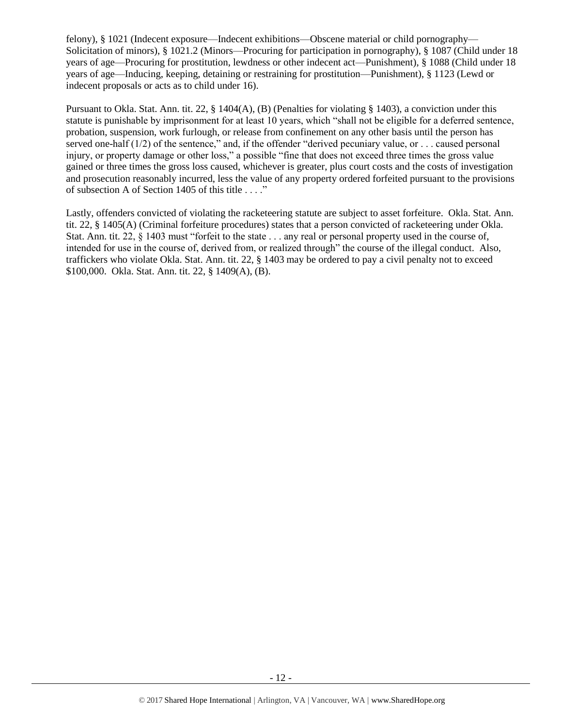felony), § 1021 (Indecent exposure—Indecent exhibitions—Obscene material or child pornography— Solicitation of minors), § 1021.2 (Minors—Procuring for participation in pornography), § 1087 (Child under 18 years of age—Procuring for prostitution, lewdness or other indecent act—Punishment), § 1088 (Child under 18 years of age—Inducing, keeping, detaining or restraining for prostitution—Punishment), § 1123 (Lewd or indecent proposals or acts as to child under 16).

Pursuant to Okla. Stat. Ann. tit. 22, § 1404(A), (B) (Penalties for violating § 1403), a conviction under this statute is punishable by imprisonment for at least 10 years, which "shall not be eligible for a deferred sentence, probation, suspension, work furlough, or release from confinement on any other basis until the person has served one-half  $(1/2)$  of the sentence," and, if the offender "derived pecuniary value, or ... caused personal injury, or property damage or other loss," a possible "fine that does not exceed three times the gross value gained or three times the gross loss caused, whichever is greater, plus court costs and the costs of investigation and prosecution reasonably incurred, less the value of any property ordered forfeited pursuant to the provisions of subsection A of Section 1405 of this title . . . ."

Lastly, offenders convicted of violating the racketeering statute are subject to asset forfeiture. Okla. Stat. Ann. tit. 22, § 1405(A) (Criminal forfeiture procedures) states that a person convicted of racketeering under Okla. Stat. Ann. tit. 22, § 1403 must "forfeit to the state . . . any real or personal property used in the course of, intended for use in the course of, derived from, or realized through" the course of the illegal conduct. Also, traffickers who violate Okla. Stat. Ann. tit. 22, § 1403 may be ordered to pay a civil penalty not to exceed \$100,000. Okla. Stat. Ann. tit. 22, § 1409(A), (B).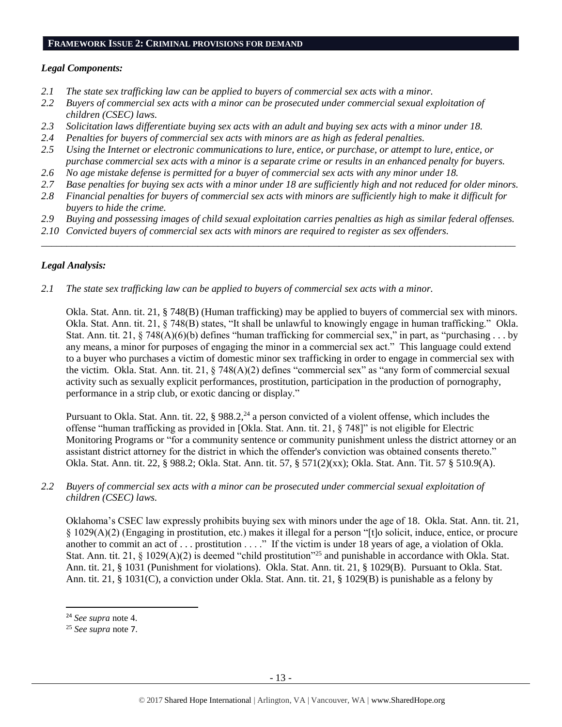#### **FRAMEWORK ISSUE 2: CRIMINAL PROVISIONS FOR DEMAND**

# *Legal Components:*

- *2.1 The state sex trafficking law can be applied to buyers of commercial sex acts with a minor.*
- *2.2 Buyers of commercial sex acts with a minor can be prosecuted under commercial sexual exploitation of children (CSEC) laws.*
- *2.3 Solicitation laws differentiate buying sex acts with an adult and buying sex acts with a minor under 18.*
- *2.4 Penalties for buyers of commercial sex acts with minors are as high as federal penalties.*
- *2.5 Using the Internet or electronic communications to lure, entice, or purchase, or attempt to lure, entice, or purchase commercial sex acts with a minor is a separate crime or results in an enhanced penalty for buyers.*
- *2.6 No age mistake defense is permitted for a buyer of commercial sex acts with any minor under 18.*
- *2.7 Base penalties for buying sex acts with a minor under 18 are sufficiently high and not reduced for older minors.*
- *2.8 Financial penalties for buyers of commercial sex acts with minors are sufficiently high to make it difficult for buyers to hide the crime.*
- *2.9 Buying and possessing images of child sexual exploitation carries penalties as high as similar federal offenses.*

\_\_\_\_\_\_\_\_\_\_\_\_\_\_\_\_\_\_\_\_\_\_\_\_\_\_\_\_\_\_\_\_\_\_\_\_\_\_\_\_\_\_\_\_\_\_\_\_\_\_\_\_\_\_\_\_\_\_\_\_\_\_\_\_\_\_\_\_\_\_\_\_\_\_\_\_\_\_\_\_\_\_\_\_\_\_\_\_\_\_\_\_\_\_

*2.10 Convicted buyers of commercial sex acts with minors are required to register as sex offenders.* 

# *Legal Analysis:*

*2.1 The state sex trafficking law can be applied to buyers of commercial sex acts with a minor.*

Okla. Stat. Ann. tit. 21, § 748(B) (Human trafficking) may be applied to buyers of commercial sex with minors. Okla. Stat. Ann. tit. 21, § 748(B) states, "It shall be unlawful to knowingly engage in human trafficking." Okla. Stat. Ann. tit. 21,  $\S$  748(A)(6)(b) defines "human trafficking for commercial sex," in part, as "purchasing . . . by any means, a minor for purposes of engaging the minor in a commercial sex act." This language could extend to a buyer who purchases a victim of domestic minor sex trafficking in order to engage in commercial sex with the victim. Okla. Stat. Ann. tit. 21, § 748(A)(2) defines "commercial sex" as "any form of commercial sexual activity such as sexually explicit performances, prostitution, participation in the production of pornography, performance in a strip club, or exotic dancing or display."

Pursuant to Okla. Stat. Ann. tit. 22,  $\S 988.2$ ,  $2^4$  a person convicted of a violent offense, which includes the offense "human trafficking as provided in [Okla. Stat. Ann. tit. 21, § 748]" is not eligible for Electric Monitoring Programs or "for a community sentence or community punishment unless the district attorney or an assistant district attorney for the district in which the offender's conviction was obtained consents thereto." Okla. Stat. Ann. tit. 22, § 988.2; Okla. Stat. Ann. tit. 57, § 571(2)(xx); Okla. Stat. Ann. Tit. 57 § 510.9(A).

# *2.2 Buyers of commercial sex acts with a minor can be prosecuted under commercial sexual exploitation of children (CSEC) laws.*

Oklahoma's CSEC law expressly prohibits buying sex with minors under the age of 18. Okla. Stat. Ann. tit. 21, § 1029(A)(2) (Engaging in prostitution, etc.) makes it illegal for a person "[t]o solicit, induce, entice, or procure another to commit an act of . . . prostitution . . . ." If the victim is under 18 years of age, a violation of Okla. Stat. Ann. tit. 21, § 1029(A)(2) is deemed "child prostitution"<sup>25</sup> and punishable in accordance with Okla. Stat. Ann. tit. 21, § 1031 (Punishment for violations). Okla. Stat. Ann. tit. 21, § 1029(B). Pursuant to Okla. Stat. Ann. tit. 21, § 1031(C), a conviction under Okla. Stat. Ann. tit. 21, § 1029(B) is punishable as a felony by

 $\overline{a}$ 

<sup>24</sup> *See supra* note [4.](#page-1-0)

<sup>25</sup> *See supra* note [7](#page-2-0).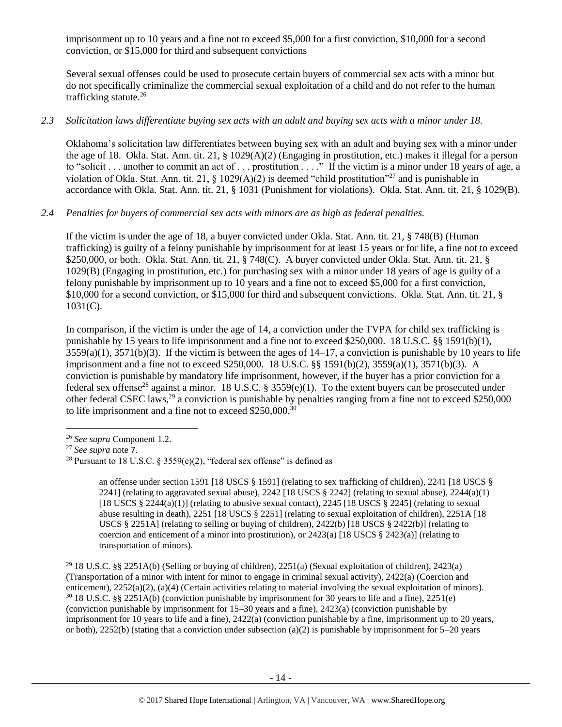imprisonment up to 10 years and a fine not to exceed \$5,000 for a first conviction, \$10,000 for a second conviction, or \$15,000 for third and subsequent convictions

Several sexual offenses could be used to prosecute certain buyers of commercial sex acts with a minor but do not specifically criminalize the commercial sexual exploitation of a child and do not refer to the human trafficking statute.<sup>26</sup>

# *2.3 Solicitation laws differentiate buying sex acts with an adult and buying sex acts with a minor under 18.*

Oklahoma's solicitation law differentiates between buying sex with an adult and buying sex with a minor under the age of 18. Okla. Stat. Ann. tit. 21, § 1029(A)(2) (Engaging in prostitution, etc.) makes it illegal for a person to "solicit . . . another to commit an act of . . . prostitution . . . ." If the victim is a minor under 18 years of age, a violation of Okla. Stat. Ann. tit. 21,  $\S$  1029(A)(2) is deemed "child prostitution"<sup>27</sup> and is punishable in accordance with Okla. Stat. Ann. tit. 21, § 1031 (Punishment for violations). Okla. Stat. Ann. tit. 21, § 1029(B).

# *2.4 Penalties for buyers of commercial sex acts with minors are as high as federal penalties.*

If the victim is under the age of 18, a buyer convicted under Okla. Stat. Ann. tit. 21, § 748(B) (Human trafficking) is guilty of a felony punishable by imprisonment for at least 15 years or for life, a fine not to exceed \$250,000, or both. Okla. Stat. Ann. tit. 21, § 748(C). A buyer convicted under Okla. Stat. Ann. tit. 21, § 1029(B) (Engaging in prostitution, etc.) for purchasing sex with a minor under 18 years of age is guilty of a felony punishable by imprisonment up to 10 years and a fine not to exceed \$5,000 for a first conviction, \$10,000 for a second conviction, or \$15,000 for third and subsequent convictions. Okla. Stat. Ann. tit. 21, § 1031(C).

In comparison, if the victim is under the age of 14, a conviction under the TVPA for child sex trafficking is punishable by 15 years to life imprisonment and a fine not to exceed \$250,000. 18 U.S.C. §§ 1591(b)(1),  $3559(a)(1)$ ,  $3571(b)(3)$ . If the victim is between the ages of  $14-17$ , a conviction is punishable by 10 years to life imprisonment and a fine not to exceed \$250,000. 18 U.S.C. §§ 1591(b)(2), 3559(a)(1), 3571(b)(3). A conviction is punishable by mandatory life imprisonment, however, if the buyer has a prior conviction for a federal sex offense<sup>28</sup> against a minor. 18 U.S.C. § 3559(e)(1). To the extent buyers can be prosecuted under other federal CSEC laws,<sup>29</sup> a conviction is punishable by penalties ranging from a fine not to exceed \$250,000 to life imprisonment and a fine not to exceed \$250,000.<sup>30</sup>

<span id="page-13-0"></span> $\overline{\phantom{a}}$ 

an offense under section 1591 [18 USCS § 1591] (relating to sex trafficking of children), 2241 [18 USCS § 2241] (relating to aggravated sexual abuse), 2242 [18 USCS  $\S$  2242] (relating to sexual abuse), 2244(a)(1) [18 USCS  $\S$  2244(a)(1)] (relating to abusive sexual contact), 2245 [18 USCS  $\S$  2245] (relating to sexual abuse resulting in death), 2251 [18 USCS § 2251] (relating to sexual exploitation of children), 2251A [18 USCS § 2251A] (relating to selling or buying of children),  $2422(b)$  [18 USCS § 2422(b)] (relating to coercion and enticement of a minor into prostitution), or  $2423(a)$  [18 USCS §  $2423(a)$ ] (relating to transportation of minors).

<sup>29</sup> 18 U.S.C. §§ 2251A(b) (Selling or buying of children), 2251(a) (Sexual exploitation of children), 2423(a) (Transportation of a minor with intent for minor to engage in criminal sexual activity), 2422(a) (Coercion and enticement), 2252(a)(2), (a)(4) (Certain activities relating to material involving the sexual exploitation of minors).  $30\,18$  U.S.C. §§ 2251A(b) (conviction punishable by imprisonment for 30 years to life and a fine), 2251(e) (conviction punishable by imprisonment for 15–30 years and a fine), 2423(a) (conviction punishable by imprisonment for 10 years to life and a fine), 2422(a) (conviction punishable by a fine, imprisonment up to 20 years, or both), 2252(b) (stating that a conviction under subsection (a)(2) is punishable by imprisonment for  $5-20$  years

<sup>26</sup> *See supra* Component 1.2.

<sup>27</sup> *See supra* note [7](#page-2-0).

<sup>&</sup>lt;sup>28</sup> Pursuant to 18 U.S.C. § 3559(e)(2), "federal sex offense" is defined as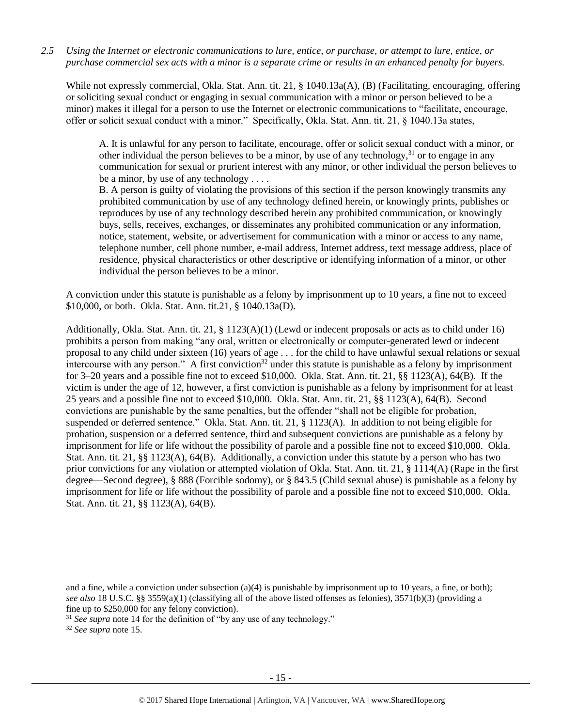*2.5 Using the Internet or electronic communications to lure, entice, or purchase, or attempt to lure, entice, or purchase commercial sex acts with a minor is a separate crime or results in an enhanced penalty for buyers.*

While not expressly commercial, Okla. Stat. Ann. tit. 21, § 1040.13a(A), (B) (Facilitating, encouraging, offering or soliciting sexual conduct or engaging in sexual communication with a minor or person believed to be a minor) makes it illegal for a person to use the Internet or electronic communications to "facilitate, encourage, offer or solicit sexual conduct with a minor." Specifically, Okla. Stat. Ann. tit. 21, § 1040.13a states,

A. It is unlawful for any person to facilitate, encourage, offer or solicit sexual conduct with a minor, or other individual the person believes to be a minor, by use of any technology,<sup>31</sup> or to engage in any communication for sexual or prurient interest with any minor, or other individual the person believes to be a minor, by use of any technology . . . .

B. A person is guilty of violating the provisions of this section if the person knowingly transmits any prohibited communication by use of any technology defined herein, or knowingly prints, publishes or reproduces by use of any technology described herein any prohibited communication, or knowingly buys, sells, receives, exchanges, or disseminates any prohibited communication or any information, notice, statement, website, or advertisement for communication with a minor or access to any name, telephone number, cell phone number, e-mail address, Internet address, text message address, place of residence, physical characteristics or other descriptive or identifying information of a minor, or other individual the person believes to be a minor.

A conviction under this statute is punishable as a felony by imprisonment up to 10 years, a fine not to exceed \$10,000, or both. Okla. Stat. Ann. tit.21, § 1040.13a(D).

Additionally, Okla. Stat. Ann. tit. 21, § 1123(A)(1) (Lewd or indecent proposals or acts as to child under 16) prohibits a person from making "any oral, written or electronically or computer-generated lewd or indecent proposal to any child under sixteen (16) years of age . . . for the child to have unlawful sexual relations or sexual intercourse with any person." A first conviction<sup>32</sup> under this statute is punishable as a felony by imprisonment for 3–20 years and a possible fine not to exceed \$10,000. Okla. Stat. Ann. tit. 21, §§ 1123(A), 64(B). If the victim is under the age of 12, however, a first conviction is punishable as a felony by imprisonment for at least 25 years and a possible fine not to exceed \$10,000. Okla. Stat. Ann. tit. 21, §§ 1123(A), 64(B). Second convictions are punishable by the same penalties, but the offender "shall not be eligible for probation, suspended or deferred sentence." Okla. Stat. Ann. tit. 21, § 1123(A). In addition to not being eligible for probation, suspension or a deferred sentence, third and subsequent convictions are punishable as a felony by imprisonment for life or life without the possibility of parole and a possible fine not to exceed \$10,000. Okla. Stat. Ann. tit. 21, §§ 1123(A), 64(B). Additionally, a conviction under this statute by a person who has two prior convictions for any violation or attempted violation of Okla. Stat. Ann. tit. 21, § 1114(A) (Rape in the first degree—Second degree), § 888 (Forcible sodomy), or § 843.5 (Child sexual abuse) is punishable as a felony by imprisonment for life or life without the possibility of parole and a possible fine not to exceed \$10,000. Okla. Stat. Ann. tit. 21, §§ 1123(A), 64(B).

 $\overline{a}$ 

and a fine, while a conviction under subsection (a)(4) is punishable by imprisonment up to 10 years, a fine, or both); *see also* 18 U.S.C. §§ 3559(a)(1) (classifying all of the above listed offenses as felonies), 3571(b)(3) (providing a fine up to \$250,000 for any felony conviction).

<sup>&</sup>lt;sup>31</sup> See supra note [14](#page-5-0) for the definition of "by any use of any technology."

<sup>32</sup> *See supra* note [15.](#page-7-1)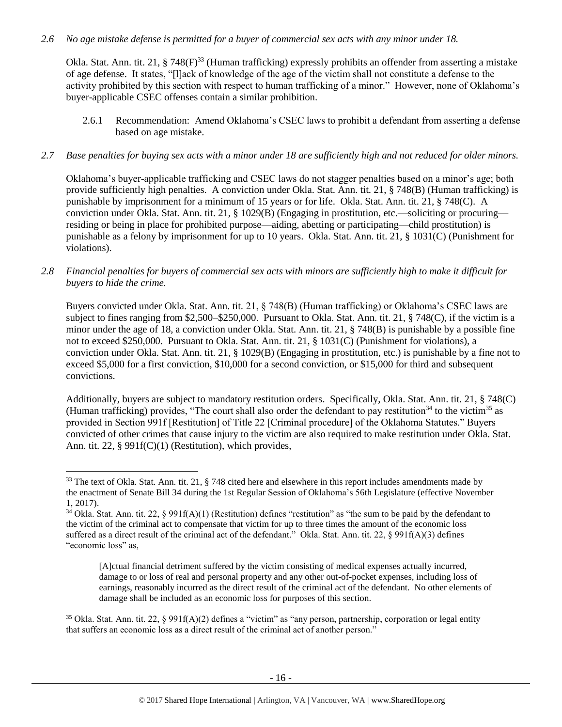# *2.6 No age mistake defense is permitted for a buyer of commercial sex acts with any minor under 18.*

Okla. Stat. Ann. tit. 21, § 748(F)<sup>33</sup> (Human trafficking) expressly prohibits an offender from asserting a mistake of age defense. It states, "[l]ack of knowledge of the age of the victim shall not constitute a defense to the activity prohibited by this section with respect to human trafficking of a minor." However, none of Oklahoma's buyer-applicable CSEC offenses contain a similar prohibition.

2.6.1 Recommendation: Amend Oklahoma's CSEC laws to prohibit a defendant from asserting a defense based on age mistake.

### *2.7 Base penalties for buying sex acts with a minor under 18 are sufficiently high and not reduced for older minors.*

Oklahoma's buyer-applicable trafficking and CSEC laws do not stagger penalties based on a minor's age; both provide sufficiently high penalties. A conviction under Okla. Stat. Ann. tit. 21, § 748(B) (Human trafficking) is punishable by imprisonment for a minimum of 15 years or for life. Okla. Stat. Ann. tit. 21, § 748(C). A conviction under Okla. Stat. Ann. tit. 21, § 1029(B) (Engaging in prostitution, etc.—soliciting or procuring residing or being in place for prohibited purpose—aiding, abetting or participating—child prostitution) is punishable as a felony by imprisonment for up to 10 years. Okla. Stat. Ann. tit. 21, § 1031(C) (Punishment for violations).

# *2.8 Financial penalties for buyers of commercial sex acts with minors are sufficiently high to make it difficult for buyers to hide the crime.*

Buyers convicted under Okla. Stat. Ann. tit. 21, § 748(B) (Human trafficking) or Oklahoma's CSEC laws are subject to fines ranging from \$2,500–\$250,000. Pursuant to Okla. Stat. Ann. tit. 21, § 748(C), if the victim is a minor under the age of 18, a conviction under Okla. Stat. Ann. tit. 21, § 748(B) is punishable by a possible fine not to exceed \$250,000. Pursuant to Okla. Stat. Ann. tit. 21, § 1031(C) (Punishment for violations), a conviction under Okla. Stat. Ann. tit. 21, § 1029(B) (Engaging in prostitution, etc.) is punishable by a fine not to exceed \$5,000 for a first conviction, \$10,000 for a second conviction, or \$15,000 for third and subsequent convictions.

<span id="page-15-0"></span>Additionally, buyers are subject to mandatory restitution orders. Specifically, Okla. Stat. Ann. tit. 21, § 748(C) (Human trafficking) provides, "The court shall also order the defendant to pay restitution<sup>34</sup> to the victim<sup>35</sup> as provided in Section 991f [Restitution] of Title 22 [Criminal procedure] of the Oklahoma Statutes." Buyers convicted of other crimes that cause injury to the victim are also required to make restitution under Okla. Stat. Ann. tit. 22, § 991f(C)(1) (Restitution), which provides,

 $\overline{a}$ 

<sup>&</sup>lt;sup>33</sup> The text of Okla. Stat. Ann. tit. 21, § 748 cited here and elsewhere in this report includes amendments made by the enactment of Senate Bill 34 during the 1st Regular Session of Oklahoma's 56th Legislature (effective November 1, 2017).

<sup>&</sup>lt;sup>34</sup> Okla. Stat. Ann. tit. 22, § 991f(A)(1) (Restitution) defines "restitution" as "the sum to be paid by the defendant to the victim of the criminal act to compensate that victim for up to three times the amount of the economic loss suffered as a direct result of the criminal act of the defendant." Okla. Stat. Ann. tit. 22, § 991f(A)(3) defines "economic loss" as,

<span id="page-15-1"></span><sup>[</sup>A]ctual financial detriment suffered by the victim consisting of medical expenses actually incurred, damage to or loss of real and personal property and any other out-of-pocket expenses, including loss of earnings, reasonably incurred as the direct result of the criminal act of the defendant. No other elements of damage shall be included as an economic loss for purposes of this section.

<sup>&</sup>lt;sup>35</sup> Okla. Stat. Ann. tit. 22, § 991f(A)(2) defines a "victim" as "any person, partnership, corporation or legal entity that suffers an economic loss as a direct result of the criminal act of another person."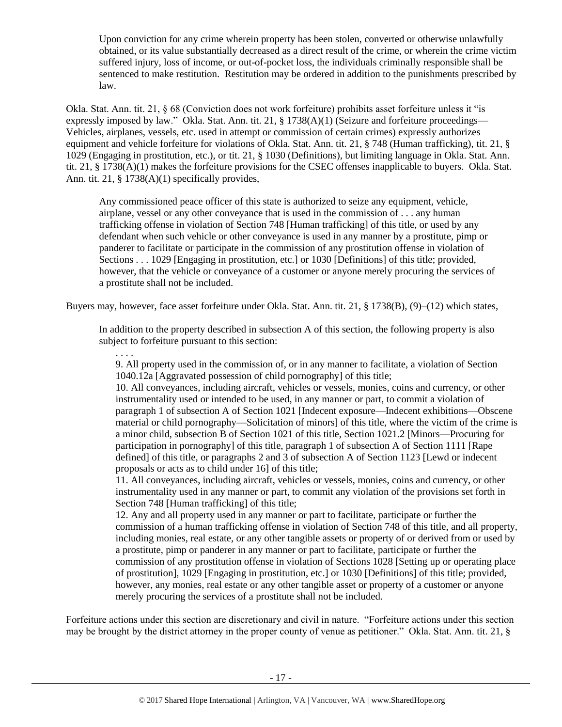Upon conviction for any crime wherein property has been stolen, converted or otherwise unlawfully obtained, or its value substantially decreased as a direct result of the crime, or wherein the crime victim suffered injury, loss of income, or out-of-pocket loss, the individuals criminally responsible shall be sentenced to make restitution. Restitution may be ordered in addition to the punishments prescribed by law.

Okla. Stat. Ann. tit. 21, § 68 (Conviction does not work forfeiture) prohibits asset forfeiture unless it "is expressly imposed by law." Okla. Stat. Ann. tit. 21, § 1738(A)(1) (Seizure and forfeiture proceedings— Vehicles, airplanes, vessels, etc. used in attempt or commission of certain crimes) expressly authorizes equipment and vehicle forfeiture for violations of Okla. Stat. Ann. tit. 21, § 748 (Human trafficking), tit. 21, § 1029 (Engaging in prostitution, etc.), or tit. 21, § 1030 (Definitions), but limiting language in Okla. Stat. Ann. tit. 21, § 1738(A)(1) makes the forfeiture provisions for the CSEC offenses inapplicable to buyers. Okla. Stat. Ann. tit. 21, § 1738(A)(1) specifically provides,

Any commissioned peace officer of this state is authorized to seize any equipment, vehicle, airplane, vessel or any other conveyance that is used in the commission of . . . any human trafficking offense in violation of Section 748 [Human trafficking] of this title, or used by any defendant when such vehicle or other conveyance is used in any manner by a prostitute, pimp or panderer to facilitate or participate in the commission of any prostitution offense in violation of Sections . . . 1029 [Engaging in prostitution, etc.] or 1030 [Definitions] of this title; provided, however, that the vehicle or conveyance of a customer or anyone merely procuring the services of a prostitute shall not be included.

Buyers may, however, face asset forfeiture under Okla. Stat. Ann. tit. 21, § 1738(B), (9)–(12) which states,

. . . .

In addition to the property described in subsection A of this section, the following property is also subject to forfeiture pursuant to this section:

9. All property used in the commission of, or in any manner to facilitate, a violation of Section 1040.12a [Aggravated possession of child pornography] of this title;

10. All conveyances, including aircraft, vehicles or vessels, monies, coins and currency, or other instrumentality used or intended to be used, in any manner or part, to commit a violation of paragraph 1 of subsection A of Section 1021 [Indecent exposure—Indecent exhibitions—Obscene material or child pornography—Solicitation of minors] of this title, where the victim of the crime is a minor child, subsection B of Section 1021 of this title, Section 1021.2 [Minors—Procuring for participation in pornography] of this title, paragraph 1 of subsection A of Section 1111 [Rape defined] of this title, or paragraphs 2 and 3 of subsection A of Section 1123 [Lewd or indecent proposals or acts as to child under 16] of this title;

11. All conveyances, including aircraft, vehicles or vessels, monies, coins and currency, or other instrumentality used in any manner or part, to commit any violation of the provisions set forth in Section 748 [Human trafficking] of this title;

12. Any and all property used in any manner or part to facilitate, participate or further the commission of a human trafficking offense in violation of Section 748 of this title, and all property, including monies, real estate, or any other tangible assets or property of or derived from or used by a prostitute, pimp or panderer in any manner or part to facilitate, participate or further the commission of any prostitution offense in violation of Sections 1028 [Setting up or operating place of prostitution], 1029 [Engaging in prostitution, etc.] or 1030 [Definitions] of this title; provided, however, any monies, real estate or any other tangible asset or property of a customer or anyone merely procuring the services of a prostitute shall not be included.

Forfeiture actions under this section are discretionary and civil in nature. "Forfeiture actions under this section may be brought by the district attorney in the proper county of venue as petitioner." Okla. Stat. Ann. tit. 21, §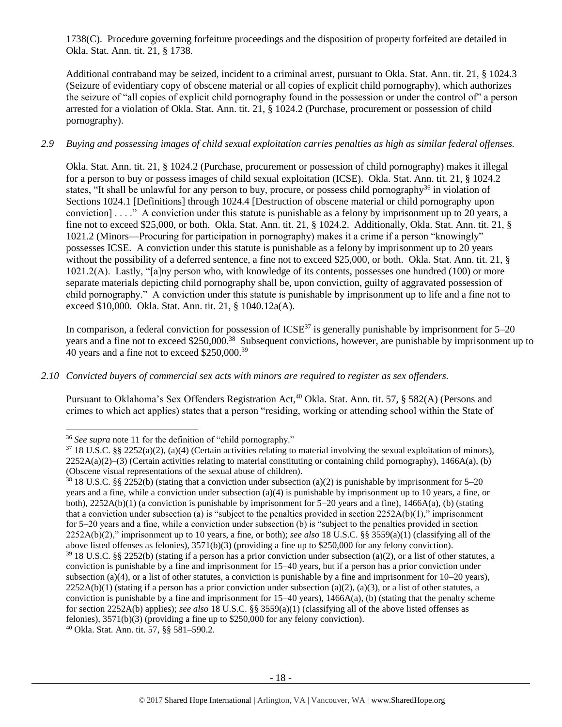1738(C). Procedure governing forfeiture proceedings and the disposition of property forfeited are detailed in Okla. Stat. Ann. tit. 21, § 1738.

Additional contraband may be seized, incident to a criminal arrest, pursuant to Okla. Stat. Ann. tit. 21, § 1024.3 (Seizure of evidentiary copy of obscene material or all copies of explicit child pornography), which authorizes the seizure of "all copies of explicit child pornography found in the possession or under the control of" a person arrested for a violation of Okla. Stat. Ann. tit. 21, § 1024.2 (Purchase, procurement or possession of child pornography).

# *2.9 Buying and possessing images of child sexual exploitation carries penalties as high as similar federal offenses.*

Okla. Stat. Ann. tit. 21, § 1024.2 (Purchase, procurement or possession of child pornography) makes it illegal for a person to buy or possess images of child sexual exploitation (ICSE). Okla. Stat. Ann. tit. 21, § 1024.2 states, "It shall be unlawful for any person to buy, procure, or possess child pornography<sup>36</sup> in violation of Sections 1024.1 [Definitions] through 1024.4 [Destruction of obscene material or child pornography upon conviction] . . . ." A conviction under this statute is punishable as a felony by imprisonment up to 20 years, a fine not to exceed \$25,000, or both. Okla. Stat. Ann. tit. 21, § 1024.2. Additionally, Okla. Stat. Ann. tit. 21, § 1021.2 (Minors—Procuring for participation in pornography) makes it a crime if a person "knowingly" possesses ICSE. A conviction under this statute is punishable as a felony by imprisonment up to 20 years without the possibility of a deferred sentence, a fine not to exceed \$25,000, or both. Okla. Stat. Ann. tit. 21, § 1021.2(A). Lastly, "[a]ny person who, with knowledge of its contents, possesses one hundred (100) or more separate materials depicting child pornography shall be, upon conviction, guilty of aggravated possession of child pornography." A conviction under this statute is punishable by imprisonment up to life and a fine not to exceed \$10,000. Okla. Stat. Ann. tit. 21, § 1040.12a(A).

In comparison, a federal conviction for possession of  $ICSE^{37}$  is generally punishable by imprisonment for  $5-20$ years and a fine not to exceed \$250,000.<sup>38</sup> Subsequent convictions, however, are punishable by imprisonment up to 40 years and a fine not to exceed \$250,000.<sup>39</sup>

*2.10 Convicted buyers of commercial sex acts with minors are required to register as sex offenders.* 

Pursuant to Oklahoma's Sex Offenders Registration Act,<sup>40</sup> Okla. Stat. Ann. tit. 57, § 582(A) (Persons and crimes to which act applies) states that a person "residing, working or attending school within the State of

 $\overline{\phantom{a}}$ 

<sup>36</sup> *See supra* note [11](#page-3-0) for the definition of "child pornography."

 $37\,18\,$  U.S.C. §§ 2252(a)(2), (a)(4) (Certain activities relating to material involving the sexual exploitation of minors),  $2252A(a)(2)$ –(3) (Certain activities relating to material constituting or containing child pornography), 1466A(a), (b) (Obscene visual representations of the sexual abuse of children).

<sup>38</sup> 18 U.S.C. §§ 2252(b) (stating that a conviction under subsection (a)(2) is punishable by imprisonment for 5–20 years and a fine, while a conviction under subsection (a)(4) is punishable by imprisonment up to 10 years, a fine, or both),  $2252A(b)(1)$  (a conviction is punishable by imprisonment for  $5-20$  years and a fine),  $1466A(a)$ , (b) (stating that a conviction under subsection (a) is "subject to the penalties provided in section  $2252A(b)(1)$ ," imprisonment for 5–20 years and a fine, while a conviction under subsection (b) is "subject to the penalties provided in section 2252A(b)(2)," imprisonment up to 10 years, a fine, or both); *see also* 18 U.S.C. §§ 3559(a)(1) (classifying all of the above listed offenses as felonies), 3571(b)(3) (providing a fine up to \$250,000 for any felony conviction).  $39\,18$  U.S.C. §§ 2252(b) (stating if a person has a prior conviction under subsection (a)(2), or a list of other statutes, a conviction is punishable by a fine and imprisonment for 15–40 years, but if a person has a prior conviction under subsection (a)(4), or a list of other statutes, a conviction is punishable by a fine and imprisonment for  $10-20$  years),  $2252A(b)(1)$  (stating if a person has a prior conviction under subsection (a)(2), (a)(3), or a list of other statutes, a conviction is punishable by a fine and imprisonment for  $15-40$  years),  $1466A(a)$ , (b) (stating that the penalty scheme for section 2252A(b) applies); *see also* 18 U.S.C. §§ 3559(a)(1) (classifying all of the above listed offenses as felonies), 3571(b)(3) (providing a fine up to \$250,000 for any felony conviction). <sup>40</sup> Okla. Stat. Ann. tit. 57, §§ 581–590.2.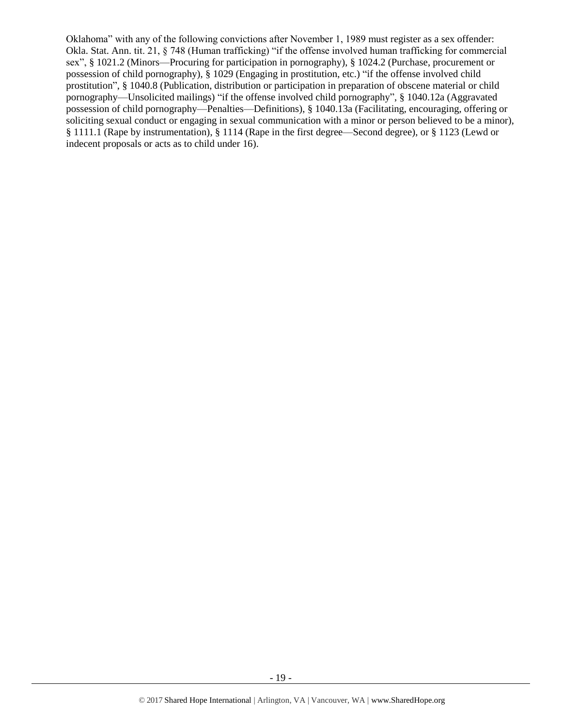Oklahoma" with any of the following convictions after November 1, 1989 must register as a sex offender: Okla. Stat. Ann. tit. 21, § 748 (Human trafficking) "if the offense involved human trafficking for commercial sex", § 1021.2 (Minors—Procuring for participation in pornography), § 1024.2 (Purchase, procurement or possession of child pornography), § 1029 (Engaging in prostitution, etc.) "if the offense involved child prostitution", § 1040.8 (Publication, distribution or participation in preparation of obscene material or child pornography—Unsolicited mailings) "if the offense involved child pornography", § 1040.12a (Aggravated possession of child pornography—Penalties—Definitions), § 1040.13a (Facilitating, encouraging, offering or soliciting sexual conduct or engaging in sexual communication with a minor or person believed to be a minor), § 1111.1 (Rape by instrumentation), § 1114 (Rape in the first degree—Second degree), or § 1123 (Lewd or indecent proposals or acts as to child under 16).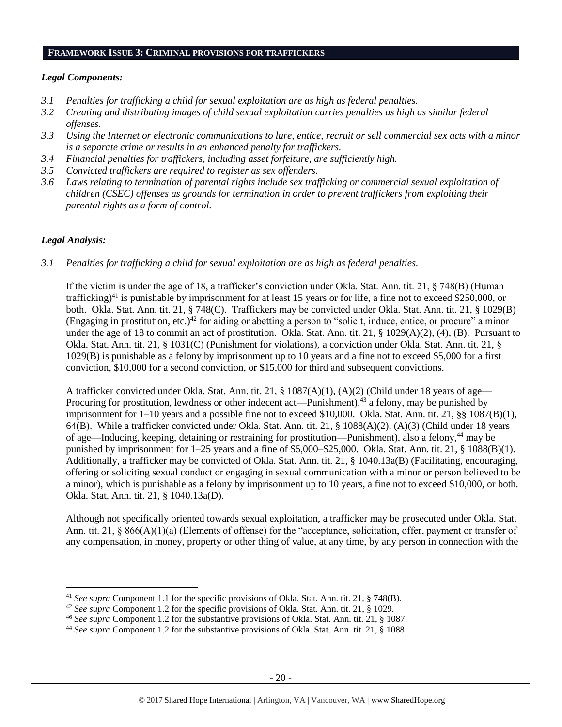# **FRAMEWORK ISSUE 3: CRIMINAL PROVISIONS FOR TRAFFICKERS**

### *Legal Components:*

- *3.1 Penalties for trafficking a child for sexual exploitation are as high as federal penalties.*
- *3.2 Creating and distributing images of child sexual exploitation carries penalties as high as similar federal offenses.*
- *3.3 Using the Internet or electronic communications to lure, entice, recruit or sell commercial sex acts with a minor is a separate crime or results in an enhanced penalty for traffickers.*
- *3.4 Financial penalties for traffickers, including asset forfeiture, are sufficiently high.*
- *3.5 Convicted traffickers are required to register as sex offenders.*
- *3.6 Laws relating to termination of parental rights include sex trafficking or commercial sexual exploitation of children (CSEC) offenses as grounds for termination in order to prevent traffickers from exploiting their parental rights as a form of control.*

*\_\_\_\_\_\_\_\_\_\_\_\_\_\_\_\_\_\_\_\_\_\_\_\_\_\_\_\_\_\_\_\_\_\_\_\_\_\_\_\_\_\_\_\_\_\_\_\_\_\_\_\_\_\_\_\_\_\_\_\_\_\_\_\_\_\_\_\_\_\_\_\_\_\_\_\_\_\_\_\_\_\_\_\_\_\_\_\_\_\_\_\_\_\_*

# *Legal Analysis:*

 $\overline{\phantom{a}}$ 

*3.1 Penalties for trafficking a child for sexual exploitation are as high as federal penalties.* 

If the victim is under the age of 18, a trafficker's conviction under Okla. Stat. Ann. tit. 21, § 748(B) (Human trafficking)<sup>41</sup> is punishable by imprisonment for at least 15 years or for life, a fine not to exceed \$250,000, or both. Okla. Stat. Ann. tit. 21, § 748(C). Traffickers may be convicted under Okla. Stat. Ann. tit. 21, § 1029(B) (Engaging in prostitution, etc.)<sup>42</sup> for aiding or abetting a person to "solicit, induce, entice, or procure" a minor under the age of 18 to commit an act of prostitution. Okla. Stat. Ann. tit. 21, § 1029(A)(2), (4), (B). Pursuant to Okla. Stat. Ann. tit. 21, § 1031(C) (Punishment for violations), a conviction under Okla. Stat. Ann. tit. 21, § 1029(B) is punishable as a felony by imprisonment up to 10 years and a fine not to exceed \$5,000 for a first conviction, \$10,000 for a second conviction, or \$15,000 for third and subsequent convictions.

A trafficker convicted under Okla. Stat. Ann. tit. 21, § 1087(A)(1), (A)(2) (Child under 18 years of age— Procuring for prostitution, lewdness or other indecent act—Punishment),<sup>43</sup> a felony, may be punished by imprisonment for 1–10 years and a possible fine not to exceed \$10,000. Okla. Stat. Ann. tit. 21, §§ 1087(B)(1), 64(B). While a trafficker convicted under Okla. Stat. Ann. tit. 21, § 1088(A)(2), (A)(3) (Child under 18 years of age—Inducing, keeping, detaining or restraining for prostitution—Punishment), also a felony,<sup>44</sup> may be punished by imprisonment for 1–25 years and a fine of \$5,000–\$25,000. Okla. Stat. Ann. tit. 21, § 1088(B)(1). Additionally, a trafficker may be convicted of Okla. Stat. Ann. tit. 21, § 1040.13a(B) (Facilitating, encouraging, offering or soliciting sexual conduct or engaging in sexual communication with a minor or person believed to be a minor), which is punishable as a felony by imprisonment up to 10 years, a fine not to exceed \$10,000, or both. Okla. Stat. Ann. tit. 21, § 1040.13a(D).

Although not specifically oriented towards sexual exploitation, a trafficker may be prosecuted under Okla. Stat. Ann. tit. 21, § 866(A)(1)(a) (Elements of offense) for the "acceptance, solicitation, offer, payment or transfer of any compensation, in money, property or other thing of value, at any time, by any person in connection with the

<sup>41</sup> *See supra* Component 1.1 for the specific provisions of Okla. Stat. Ann. tit. 21, § 748(B).

<sup>42</sup> *See supra* Component 1.2 for the specific provisions of Okla. Stat. Ann. tit. 21, § 1029.

<sup>46</sup> *See supra* Component 1.2 for the substantive provisions of Okla. Stat. Ann. tit. 21, § 1087.

<sup>44</sup> *See supra* Component 1.2 for the substantive provisions of Okla. Stat. Ann. tit. 21, § 1088.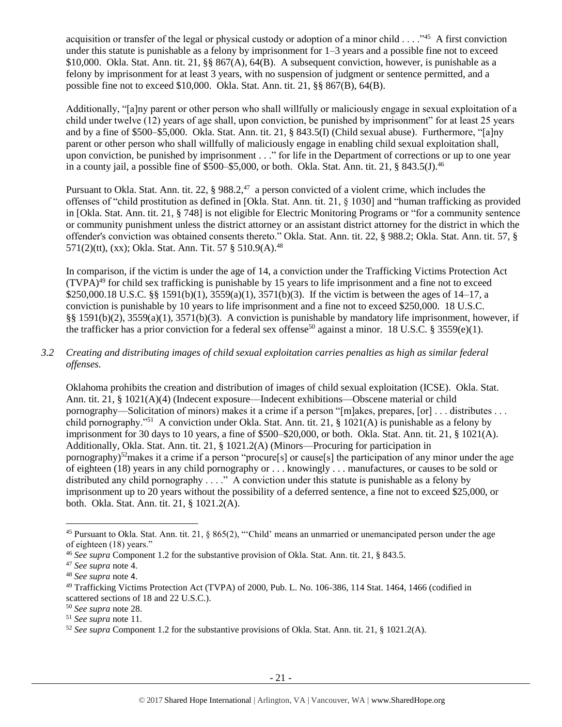acquisition or transfer of the legal or physical custody or adoption of a minor child . . . . "<sup>45</sup> A first conviction under this statute is punishable as a felony by imprisonment for 1–3 years and a possible fine not to exceed \$10,000. Okla. Stat. Ann. tit. 21, §§ 867(A), 64(B). A subsequent conviction, however, is punishable as a felony by imprisonment for at least 3 years, with no suspension of judgment or sentence permitted, and a possible fine not to exceed \$10,000. Okla. Stat. Ann. tit. 21, §§ 867(B), 64(B).

Additionally, "[a]ny parent or other person who shall willfully or maliciously engage in sexual exploitation of a child under twelve (12) years of age shall, upon conviction, be punished by imprisonment" for at least 25 years and by a fine of \$500–\$5,000. Okla. Stat. Ann. tit. 21, § 843.5(I) (Child sexual abuse). Furthermore, "[a]ny parent or other person who shall willfully of maliciously engage in enabling child sexual exploitation shall, upon conviction, be punished by imprisonment . . ." for life in the Department of corrections or up to one year in a county jail, a possible fine of  $$500–$5,000$ , or both. Okla. Stat. Ann. tit. 21, § 843.5(J).<sup>46</sup>

Pursuant to Okla. Stat. Ann. tit. 22,  $\S 988.2$ <sup>47</sup> a person convicted of a violent crime, which includes the offenses of "child prostitution as defined in [Okla. Stat. Ann. tit. 21, § 1030] and "human trafficking as provided in [Okla. Stat. Ann. tit. 21, § 748] is not eligible for Electric Monitoring Programs or "for a community sentence or community punishment unless the district attorney or an assistant district attorney for the district in which the offender's conviction was obtained consents thereto." Okla. Stat. Ann. tit. 22, § 988.2; Okla. Stat. Ann. tit. 57, § 571(2)(tt), (xx); Okla. Stat. Ann. Tit. 57 § 510.9(A).<sup>48</sup>

In comparison, if the victim is under the age of 14, a conviction under the Trafficking Victims Protection Act  $(TVPA)<sup>49</sup>$  for child sex trafficking is punishable by 15 years to life imprisonment and a fine not to exceed \$250,000.18 U.S.C. §§ 1591(b)(1), 3559(a)(1), 3571(b)(3). If the victim is between the ages of 14–17, a conviction is punishable by 10 years to life imprisonment and a fine not to exceed \$250,000. 18 U.S.C. §§ 1591(b)(2), 3559(a)(1), 3571(b)(3). A conviction is punishable by mandatory life imprisonment, however, if the trafficker has a prior conviction for a federal sex offense<sup>50</sup> against a minor. 18 U.S.C. § 3559(e)(1).

# *3.2 Creating and distributing images of child sexual exploitation carries penalties as high as similar federal offenses.*

Oklahoma prohibits the creation and distribution of images of child sexual exploitation (ICSE). Okla. Stat. Ann. tit. 21, § 1021(A)(4) (Indecent exposure—Indecent exhibitions—Obscene material or child pornography—Solicitation of minors) makes it a crime if a person "[m]akes, prepares, [or] . . . distributes . . . child pornography."<sup>51</sup> A conviction under Okla. Stat. Ann. tit. 21, § 1021(A) is punishable as a felony by imprisonment for 30 days to 10 years, a fine of \$500–\$20,000, or both. Okla. Stat. Ann. tit. 21, § 1021(A). Additionally, Okla. Stat. Ann. tit. 21, § 1021.2(A) (Minors—Procuring for participation in pornography)<sup>52</sup>makes it a crime if a person "procure[s] or cause[s] the participation of any minor under the age of eighteen (18) years in any child pornography or . . . knowingly . . . manufactures, or causes to be sold or distributed any child pornography . . . ." A conviction under this statute is punishable as a felony by imprisonment up to 20 years without the possibility of a deferred sentence, a fine not to exceed \$25,000, or both. Okla. Stat. Ann. tit. 21, § 1021.2(A).

 $\overline{\phantom{a}}$ 

<sup>45</sup> Pursuant to Okla. Stat. Ann. tit. 21, § 865(2), "'Child' means an unmarried or unemancipated person under the age of eighteen (18) years."

<sup>46</sup> *See supra* Component 1.2 for the substantive provision of Okla. Stat. Ann. tit. 21, § 843.5.

<sup>47</sup> *See supra* note [4.](#page-1-0)

<sup>48</sup> *See supra* note [4](#page-1-0).

<sup>49</sup> Trafficking Victims Protection Act (TVPA) of 2000, Pub. L. No. 106-386, 114 Stat. 1464, 1466 (codified in scattered sections of 18 and 22 U.S.C.).

<sup>50</sup> *See supra* note [28.](#page-13-0)

<sup>51</sup> *See supra* note [11.](#page-3-0) 

<sup>52</sup> *See supra* Component 1.2 for the substantive provisions of Okla. Stat. Ann. tit. 21, § 1021.2(A).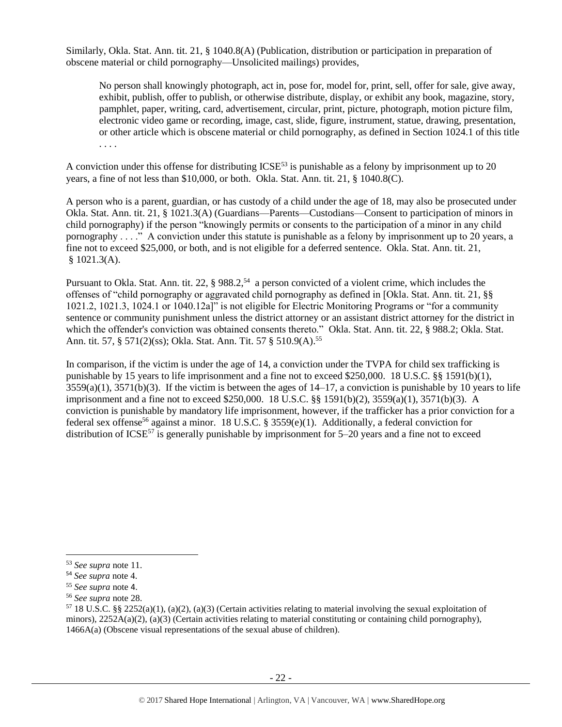Similarly, Okla. Stat. Ann. tit. 21, § 1040.8(A) (Publication, distribution or participation in preparation of obscene material or child pornography—Unsolicited mailings) provides,

No person shall knowingly photograph, act in, pose for, model for, print, sell, offer for sale, give away, exhibit, publish, offer to publish, or otherwise distribute, display, or exhibit any book, magazine, story, pamphlet, paper, writing, card, advertisement, circular, print, picture, photograph, motion picture film, electronic video game or recording, image, cast, slide, figure, instrument, statue, drawing, presentation, or other article which is obscene material or child pornography, as defined in Section 1024.1 of this title . . . .

A conviction under this offense for distributing  $ICSE^{53}$  is punishable as a felony by imprisonment up to 20 years, a fine of not less than \$10,000, or both. Okla. Stat. Ann. tit. 21, § 1040.8(C).

A person who is a parent, guardian, or has custody of a child under the age of 18, may also be prosecuted under Okla. Stat. Ann. tit. 21, § 1021.3(A) (Guardians—Parents—Custodians—Consent to participation of minors in child pornography) if the person "knowingly permits or consents to the participation of a minor in any child pornography . . . ." A conviction under this statute is punishable as a felony by imprisonment up to 20 years, a fine not to exceed \$25,000, or both, and is not eligible for a deferred sentence. Okla. Stat. Ann. tit. 21,  $$1021.3(A).$ 

Pursuant to Okla. Stat. Ann. tit. 22, § 988.2,<sup>54</sup> a person convicted of a violent crime, which includes the offenses of "child pornography or aggravated child pornography as defined in [Okla. Stat. Ann. tit. 21, §§ 1021.2, 1021.3, 1024.1 or 1040.12a]" is not eligible for Electric Monitoring Programs or "for a community sentence or community punishment unless the district attorney or an assistant district attorney for the district in which the offender's conviction was obtained consents thereto." Okla. Stat. Ann. tit. 22, § 988.2; Okla. Stat. Ann. tit. 57, § 571(2)(ss); Okla. Stat. Ann. Tit. 57 § 510.9(A).<sup>55</sup>

In comparison, if the victim is under the age of 14, a conviction under the TVPA for child sex trafficking is punishable by 15 years to life imprisonment and a fine not to exceed \$250,000. 18 U.S.C. §§ 1591(b)(1),  $3559(a)(1)$ ,  $3571(b)(3)$ . If the victim is between the ages of  $14-17$ , a conviction is punishable by 10 years to life imprisonment and a fine not to exceed \$250,000. 18 U.S.C. §§ 1591(b)(2), 3559(a)(1), 3571(b)(3). A conviction is punishable by mandatory life imprisonment, however, if the trafficker has a prior conviction for a federal sex offense<sup>56</sup> against a minor. 18 U.S.C. § 3559 $(e)(1)$ . Additionally, a federal conviction for distribution of ICSE<sup>57</sup> is generally punishable by imprisonment for  $5-20$  years and a fine not to exceed

 $\overline{\phantom{a}}$ 

<sup>53</sup> *See supra* note [11.](#page-3-0)

<sup>54</sup> *See supra* note [4.](#page-1-0)

<sup>55</sup> *See supra* note [4](#page-1-0).

<sup>56</sup> *See supra* note [28.](#page-13-0)

 $57\,18$  U.S.C. §§ 2252(a)(1), (a)(2), (a)(3) (Certain activities relating to material involving the sexual exploitation of minors),  $2252A(a)(2)$ ,  $(a)(3)$  (Certain activities relating to material constituting or containing child pornography), 1466A(a) (Obscene visual representations of the sexual abuse of children).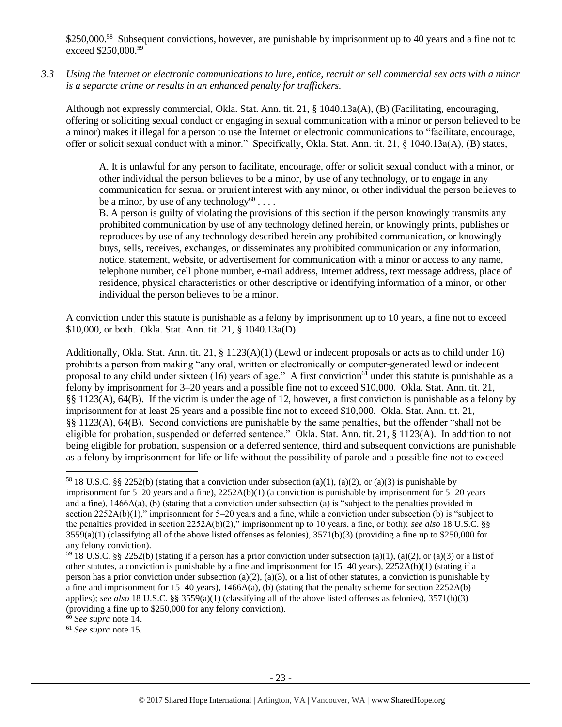\$250,000.<sup>58</sup> Subsequent convictions, however, are punishable by imprisonment up to 40 years and a fine not to exceed \$250,000.<sup>59</sup>

*3.3 Using the Internet or electronic communications to lure, entice, recruit or sell commercial sex acts with a minor is a separate crime or results in an enhanced penalty for traffickers.*

Although not expressly commercial, Okla. Stat. Ann. tit. 21, § 1040.13a(A), (B) (Facilitating, encouraging, offering or soliciting sexual conduct or engaging in sexual communication with a minor or person believed to be a minor) makes it illegal for a person to use the Internet or electronic communications to "facilitate, encourage, offer or solicit sexual conduct with a minor." Specifically, Okla. Stat. Ann. tit. 21, § 1040.13a(A), (B) states,

A. It is unlawful for any person to facilitate, encourage, offer or solicit sexual conduct with a minor, or other individual the person believes to be a minor, by use of any technology, or to engage in any communication for sexual or prurient interest with any minor, or other individual the person believes to be a minor, by use of any technology<sup>60</sup>....

B. A person is guilty of violating the provisions of this section if the person knowingly transmits any prohibited communication by use of any technology defined herein, or knowingly prints, publishes or reproduces by use of any technology described herein any prohibited communication, or knowingly buys, sells, receives, exchanges, or disseminates any prohibited communication or any information, notice, statement, website, or advertisement for communication with a minor or access to any name, telephone number, cell phone number, e-mail address, Internet address, text message address, place of residence, physical characteristics or other descriptive or identifying information of a minor, or other individual the person believes to be a minor.

A conviction under this statute is punishable as a felony by imprisonment up to 10 years, a fine not to exceed \$10,000, or both. Okla. Stat. Ann. tit. 21, § 1040.13a(D).

Additionally, Okla. Stat. Ann. tit. 21, § 1123(A)(1) (Lewd or indecent proposals or acts as to child under 16) prohibits a person from making "any oral, written or electronically or computer-generated lewd or indecent proposal to any child under sixteen (16) years of age." A first conviction<sup>61</sup> under this statute is punishable as a felony by imprisonment for 3–20 years and a possible fine not to exceed \$10,000. Okla. Stat. Ann. tit. 21, §§ 1123(A), 64(B). If the victim is under the age of 12, however, a first conviction is punishable as a felony by imprisonment for at least 25 years and a possible fine not to exceed \$10,000. Okla. Stat. Ann. tit. 21, §§ 1123(A), 64(B). Second convictions are punishable by the same penalties, but the offender "shall not be eligible for probation, suspended or deferred sentence." Okla. Stat. Ann. tit. 21, § 1123(A). In addition to not being eligible for probation, suspension or a deferred sentence, third and subsequent convictions are punishable as a felony by imprisonment for life or life without the possibility of parole and a possible fine not to exceed

<sup>60</sup> *See supra* note [14.](#page-5-0) 

 $\overline{a}$ 

<sup>61</sup> *See supra* note [15.](#page-7-1) 

<sup>58</sup> 18 U.S.C. §§ 2252(b) (stating that a conviction under subsection (a)(1), (a)(2), or (a)(3) is punishable by imprisonment for 5–20 years and a fine), 2252A(b)(1) (a conviction is punishable by imprisonment for 5–20 years and a fine), 1466A(a), (b) (stating that a conviction under subsection (a) is "subject to the penalties provided in section 2252A(b)(1)," imprisonment for 5–20 years and a fine, while a conviction under subsection (b) is "subject to the penalties provided in section 2252A(b)(2)," imprisonment up to 10 years, a fine, or both); *see also* 18 U.S.C. §§  $3559(a)(1)$  (classifying all of the above listed offenses as felonies),  $3571(b)(3)$  (providing a fine up to \$250,000 for any felony conviction).

<sup>&</sup>lt;sup>59</sup> 18 U.S.C. §§ 2252(b) (stating if a person has a prior conviction under subsection (a)(1), (a)(2), or (a)(3) or a list of other statutes, a conviction is punishable by a fine and imprisonment for  $15-40$  years),  $2252A(b)(1)$  (stating if a person has a prior conviction under subsection (a)(2), (a)(3), or a list of other statutes, a conviction is punishable by a fine and imprisonment for 15–40 years),  $1466A(a)$ , (b) (stating that the penalty scheme for section 2252A(b) applies); *see also* 18 U.S.C. §§ 3559(a)(1) (classifying all of the above listed offenses as felonies), 3571(b)(3) (providing a fine up to \$250,000 for any felony conviction).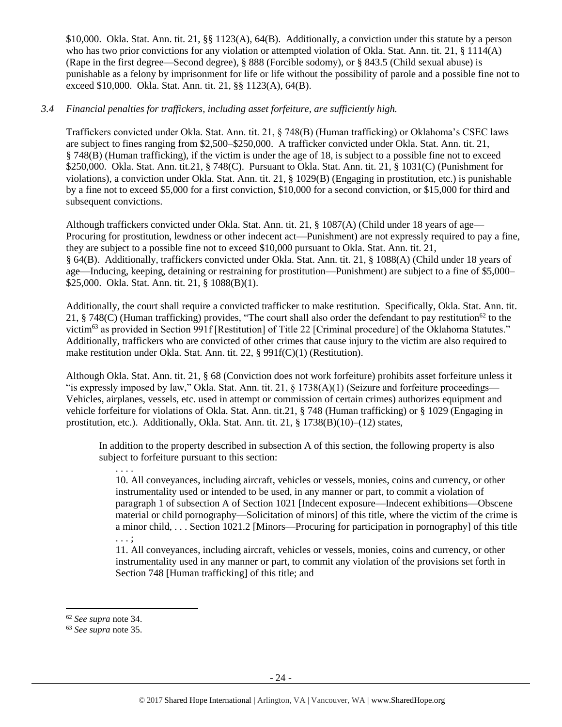\$10,000. Okla. Stat. Ann. tit. 21, §§ 1123(A), 64(B). Additionally, a conviction under this statute by a person who has two prior convictions for any violation or attempted violation of Okla. Stat. Ann. tit. 21, § 1114(A) (Rape in the first degree—Second degree), § 888 (Forcible sodomy), or § 843.5 (Child sexual abuse) is punishable as a felony by imprisonment for life or life without the possibility of parole and a possible fine not to exceed \$10,000. Okla. Stat. Ann. tit. 21, §§ 1123(A), 64(B).

# *3.4 Financial penalties for traffickers, including asset forfeiture, are sufficiently high.*

Traffickers convicted under Okla. Stat. Ann. tit. 21, § 748(B) (Human trafficking) or Oklahoma's CSEC laws are subject to fines ranging from \$2,500–\$250,000. A trafficker convicted under Okla. Stat. Ann. tit. 21, § 748(B) (Human trafficking), if the victim is under the age of 18, is subject to a possible fine not to exceed \$250,000. Okla. Stat. Ann. tit.21, § 748(C). Pursuant to Okla. Stat. Ann. tit. 21, § 1031(C) (Punishment for violations), a conviction under Okla. Stat. Ann. tit. 21, § 1029(B) (Engaging in prostitution, etc.) is punishable by a fine not to exceed \$5,000 for a first conviction, \$10,000 for a second conviction, or \$15,000 for third and subsequent convictions.

Although traffickers convicted under Okla. Stat. Ann. tit. 21, § 1087(A) (Child under 18 years of age— Procuring for prostitution, lewdness or other indecent act—Punishment) are not expressly required to pay a fine, they are subject to a possible fine not to exceed \$10,000 pursuant to Okla. Stat. Ann. tit. 21, § 64(B). Additionally, traffickers convicted under Okla. Stat. Ann. tit. 21, § 1088(A) (Child under 18 years of age—Inducing, keeping, detaining or restraining for prostitution—Punishment) are subject to a fine of \$5,000– \$25,000. Okla. Stat. Ann. tit. 21, § 1088(B)(1).

Additionally, the court shall require a convicted trafficker to make restitution. Specifically, Okla. Stat. Ann. tit. 21, § 748(C) (Human trafficking) provides, "The court shall also order the defendant to pay restitution<sup>62</sup> to the victim<sup>63</sup> as provided in Section 991f [Restitution] of Title 22 [Criminal procedure] of the Oklahoma Statutes." Additionally, traffickers who are convicted of other crimes that cause injury to the victim are also required to make restitution under Okla. Stat. Ann. tit. 22, § 991f(C)(1) (Restitution).

Although Okla. Stat. Ann. tit. 21, § 68 (Conviction does not work forfeiture) prohibits asset forfeiture unless it "is expressly imposed by law," Okla. Stat. Ann. tit. 21, § 1738(A)(1) (Seizure and forfeiture proceedings— Vehicles, airplanes, vessels, etc. used in attempt or commission of certain crimes) authorizes equipment and vehicle forfeiture for violations of Okla. Stat. Ann. tit.21, § 748 (Human trafficking) or § 1029 (Engaging in prostitution, etc.). Additionally, Okla. Stat. Ann. tit. 21, § 1738(B)(10)–(12) states,

In addition to the property described in subsection A of this section, the following property is also subject to forfeiture pursuant to this section:

10. All conveyances, including aircraft, vehicles or vessels, monies, coins and currency, or other instrumentality used or intended to be used, in any manner or part, to commit a violation of paragraph 1 of subsection A of Section 1021 [Indecent exposure—Indecent exhibitions—Obscene material or child pornography—Solicitation of minors] of this title, where the victim of the crime is a minor child, . . . Section 1021.2 [Minors—Procuring for participation in pornography] of this title . . . ;

11. All conveyances, including aircraft, vehicles or vessels, monies, coins and currency, or other instrumentality used in any manner or part, to commit any violation of the provisions set forth in Section 748 [Human trafficking] of this title; and

 $\overline{a}$ 

. . . .

<sup>62</sup> *See supra* note [34.](#page-15-0) 

<sup>63</sup> *See supra* note [35.](#page-15-1)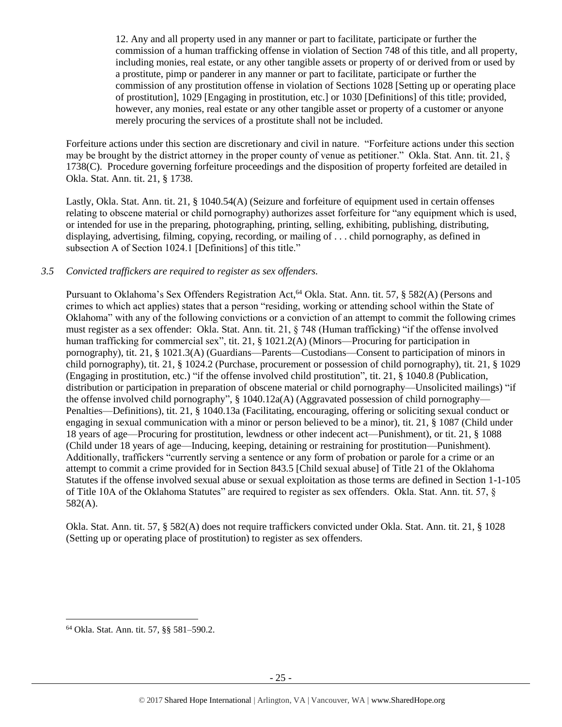12. Any and all property used in any manner or part to facilitate, participate or further the commission of a human trafficking offense in violation of Section 748 of this title, and all property, including monies, real estate, or any other tangible assets or property of or derived from or used by a prostitute, pimp or panderer in any manner or part to facilitate, participate or further the commission of any prostitution offense in violation of Sections 1028 [Setting up or operating place of prostitution], 1029 [Engaging in prostitution, etc.] or 1030 [Definitions] of this title; provided, however, any monies, real estate or any other tangible asset or property of a customer or anyone merely procuring the services of a prostitute shall not be included.

Forfeiture actions under this section are discretionary and civil in nature. "Forfeiture actions under this section may be brought by the district attorney in the proper county of venue as petitioner." Okla. Stat. Ann. tit. 21, § 1738(C). Procedure governing forfeiture proceedings and the disposition of property forfeited are detailed in Okla. Stat. Ann. tit. 21, § 1738.

Lastly, Okla. Stat. Ann. tit. 21, § 1040.54(A) (Seizure and forfeiture of equipment used in certain offenses relating to obscene material or child pornography) authorizes asset forfeiture for "any equipment which is used, or intended for use in the preparing, photographing, printing, selling, exhibiting, publishing, distributing, displaying, advertising, filming, copying, recording, or mailing of . . . child pornography, as defined in subsection A of Section 1024.1 [Definitions] of this title."

# *3.5 Convicted traffickers are required to register as sex offenders.*

Pursuant to Oklahoma's Sex Offenders Registration Act,<sup>64</sup> Okla. Stat. Ann. tit. 57, § 582(A) (Persons and crimes to which act applies) states that a person "residing, working or attending school within the State of Oklahoma" with any of the following convictions or a conviction of an attempt to commit the following crimes must register as a sex offender: Okla. Stat. Ann. tit. 21, § 748 (Human trafficking) "if the offense involved human trafficking for commercial sex", tit. 21, § 1021.2(A) (Minors—Procuring for participation in pornography), tit. 21, § 1021.3(A) (Guardians—Parents—Custodians—Consent to participation of minors in child pornography), tit. 21, § 1024.2 (Purchase, procurement or possession of child pornography), tit. 21, § 1029 (Engaging in prostitution, etc.) "if the offense involved child prostitution", tit. 21, § 1040.8 (Publication, distribution or participation in preparation of obscene material or child pornography—Unsolicited mailings) "if the offense involved child pornography", § 1040.12a(A) (Aggravated possession of child pornography— Penalties—Definitions), tit. 21, § 1040.13a (Facilitating, encouraging, offering or soliciting sexual conduct or engaging in sexual communication with a minor or person believed to be a minor), tit. 21, § 1087 (Child under 18 years of age—Procuring for prostitution, lewdness or other indecent act—Punishment), or tit. 21, § 1088 (Child under 18 years of age—Inducing, keeping, detaining or restraining for prostitution—Punishment). Additionally, traffickers "currently serving a sentence or any form of probation or parole for a crime or an attempt to commit a crime provided for in Section 843.5 [Child sexual abuse] of Title 21 of the Oklahoma Statutes if the offense involved sexual abuse or sexual exploitation as those terms are defined in Section 1-1-105 of Title 10A of the Oklahoma Statutes" are required to register as sex offenders. Okla. Stat. Ann. tit. 57, § 582(A).

Okla. Stat. Ann. tit. 57, § 582(A) does not require traffickers convicted under Okla. Stat. Ann. tit. 21, § 1028 (Setting up or operating place of prostitution) to register as sex offenders.

 $\overline{\phantom{a}}$ 

<sup>64</sup> Okla. Stat. Ann. tit. 57, §§ 581–590.2.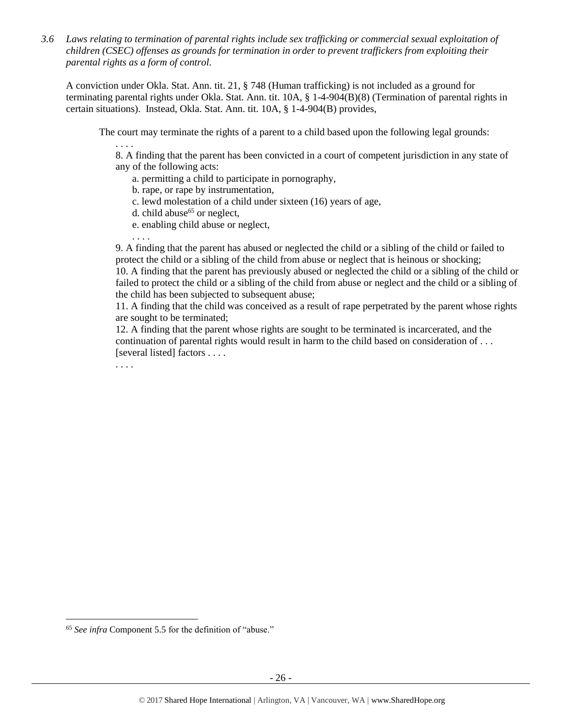*3.6 Laws relating to termination of parental rights include sex trafficking or commercial sexual exploitation of children (CSEC) offenses as grounds for termination in order to prevent traffickers from exploiting their parental rights as a form of control.* 

A conviction under Okla. Stat. Ann. tit. 21, § 748 (Human trafficking) is not included as a ground for terminating parental rights under Okla. Stat. Ann. tit. 10A, § 1-4-904(B)(8) (Termination of parental rights in certain situations). Instead, Okla. Stat. Ann. tit. 10A, § 1-4-904(B) provides,

The court may terminate the rights of a parent to a child based upon the following legal grounds:

. . . . 8. A finding that the parent has been convicted in a court of competent jurisdiction in any state of any of the following acts:

- a. permitting a child to participate in pornography,
- b. rape, or rape by instrumentation,
- c. lewd molestation of a child under sixteen (16) years of age,
- d. child abuse<sup>65</sup> or neglect,
- e. enabling child abuse or neglect,

9. A finding that the parent has abused or neglected the child or a sibling of the child or failed to protect the child or a sibling of the child from abuse or neglect that is heinous or shocking; 10. A finding that the parent has previously abused or neglected the child or a sibling of the child or failed to protect the child or a sibling of the child from abuse or neglect and the child or a sibling of

the child has been subjected to subsequent abuse;

11. A finding that the child was conceived as a result of rape perpetrated by the parent whose rights are sought to be terminated;

12. A finding that the parent whose rights are sought to be terminated is incarcerated, and the continuation of parental rights would result in harm to the child based on consideration of . . . [several listed] factors . . . .

. . . .

. . . .

 $\overline{\phantom{a}}$ 

<sup>65</sup> *See infra* Component 5.5 for the definition of "abuse."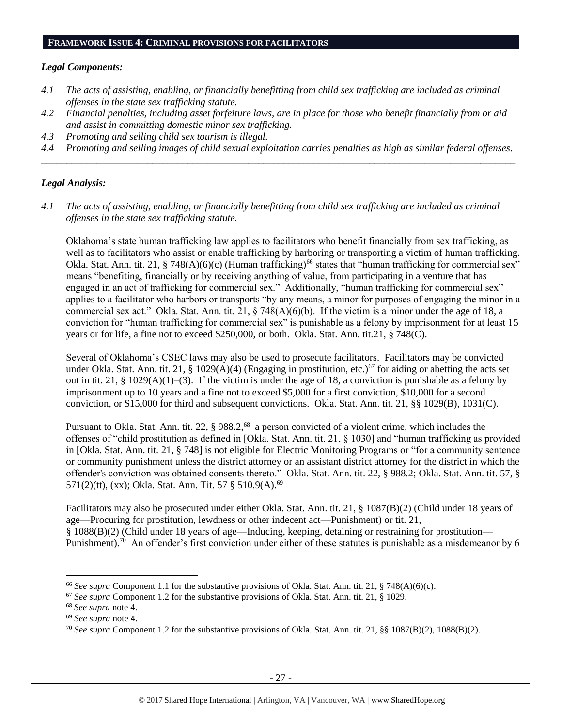#### **FRAMEWORK ISSUE 4: CRIMINAL PROVISIONS FOR FACILITATORS**

#### *Legal Components:*

- *4.1 The acts of assisting, enabling, or financially benefitting from child sex trafficking are included as criminal offenses in the state sex trafficking statute.*
- *4.2 Financial penalties, including asset forfeiture laws, are in place for those who benefit financially from or aid and assist in committing domestic minor sex trafficking.*
- *4.3 Promoting and selling child sex tourism is illegal.*
- *4.4 Promoting and selling images of child sexual exploitation carries penalties as high as similar federal offenses. \_\_\_\_\_\_\_\_\_\_\_\_\_\_\_\_\_\_\_\_\_\_\_\_\_\_\_\_\_\_\_\_\_\_\_\_\_\_\_\_\_\_\_\_\_\_\_\_\_\_\_\_\_\_\_\_\_\_\_\_\_\_\_\_\_\_\_\_\_\_\_\_\_\_\_\_\_\_\_\_\_\_\_\_\_\_\_\_\_\_\_\_\_\_*

# *Legal Analysis:*

*4.1 The acts of assisting, enabling, or financially benefitting from child sex trafficking are included as criminal offenses in the state sex trafficking statute.*

Oklahoma's state human trafficking law applies to facilitators who benefit financially from sex trafficking, as well as to facilitators who assist or enable trafficking by harboring or transporting a victim of human trafficking. Okla. Stat. Ann. tit. 21, § 748(A)(6)(c) (Human trafficking)<sup>66</sup> states that "human trafficking for commercial sex" means "benefiting, financially or by receiving anything of value, from participating in a venture that has engaged in an act of trafficking for commercial sex." Additionally, "human trafficking for commercial sex" applies to a facilitator who harbors or transports "by any means, a minor for purposes of engaging the minor in a commercial sex act." Okla. Stat. Ann. tit. 21, § 748(A)(6)(b). If the victim is a minor under the age of 18, a conviction for "human trafficking for commercial sex" is punishable as a felony by imprisonment for at least 15 years or for life, a fine not to exceed \$250,000, or both. Okla. Stat. Ann. tit.21, § 748(C).

Several of Oklahoma's CSEC laws may also be used to prosecute facilitators. Facilitators may be convicted under Okla. Stat. Ann. tit. 21, § 1029(A)(4) (Engaging in prostitution, etc.)<sup>67</sup> for aiding or abetting the acts set out in tit. 21, § 1029(A)(1)–(3). If the victim is under the age of 18, a conviction is punishable as a felony by imprisonment up to 10 years and a fine not to exceed \$5,000 for a first conviction, \$10,000 for a second conviction, or \$15,000 for third and subsequent convictions. Okla. Stat. Ann. tit. 21, §§ 1029(B), 1031(C).

Pursuant to Okla. Stat. Ann. tit. 22, § 988.2,<sup>68</sup> a person convicted of a violent crime, which includes the offenses of "child prostitution as defined in [Okla. Stat. Ann. tit. 21, § 1030] and "human trafficking as provided in [Okla. Stat. Ann. tit. 21, § 748] is not eligible for Electric Monitoring Programs or "for a community sentence or community punishment unless the district attorney or an assistant district attorney for the district in which the offender's conviction was obtained consents thereto." Okla. Stat. Ann. tit. 22, § 988.2; Okla. Stat. Ann. tit. 57, § 571(2)(tt), (xx); Okla. Stat. Ann. Tit. 57 § 510.9(A).<sup>69</sup>

Facilitators may also be prosecuted under either Okla. Stat. Ann. tit. 21, § 1087(B)(2) (Child under 18 years of age—Procuring for prostitution, lewdness or other indecent act—Punishment) or tit. 21, § 1088(B)(2) (Child under 18 years of age—Inducing, keeping, detaining or restraining for prostitution— Punishment).<sup>70</sup> An offender's first conviction under either of these statutes is punishable as a misdemeanor by 6

l

<sup>66</sup> *See supra* Component 1.1 for the substantive provisions of Okla. Stat. Ann. tit. 21, § 748(A)(6)(c).

<sup>67</sup> *See supra* Component 1.2 for the substantive provisions of Okla. Stat. Ann. tit. 21, § 1029.

<sup>68</sup> *See supra* note [4.](#page-1-0)

<sup>69</sup> *See supra* note [4](#page-1-0).

<sup>70</sup> *See supra* Component 1.2 for the substantive provisions of Okla. Stat. Ann. tit. 21, §§ 1087(B)(2), 1088(B)(2).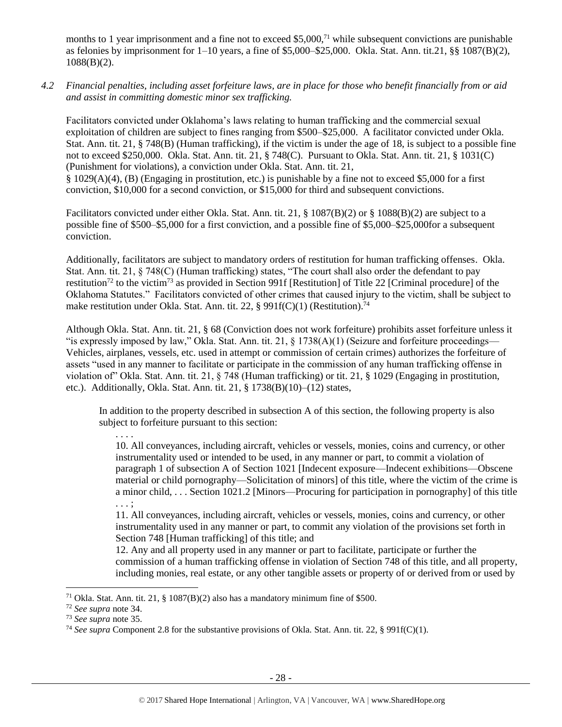months to 1 year imprisonment and a fine not to exceed \$5,000,<sup>71</sup> while subsequent convictions are punishable as felonies by imprisonment for 1–10 years, a fine of \$5,000–\$25,000. Okla. Stat. Ann. tit.21, §§ 1087(B)(2), 1088(B)(2).

*4.2 Financial penalties, including asset forfeiture laws, are in place for those who benefit financially from or aid and assist in committing domestic minor sex trafficking.*

Facilitators convicted under Oklahoma's laws relating to human trafficking and the commercial sexual exploitation of children are subject to fines ranging from \$500–\$25,000. A facilitator convicted under Okla. Stat. Ann. tit. 21, § 748(B) (Human trafficking), if the victim is under the age of 18, is subject to a possible fine not to exceed \$250,000. Okla. Stat. Ann. tit. 21, § 748(C). Pursuant to Okla. Stat. Ann. tit. 21, § 1031(C) (Punishment for violations), a conviction under Okla. Stat. Ann. tit. 21, § 1029(A)(4), (B) (Engaging in prostitution, etc.) is punishable by a fine not to exceed \$5,000 for a first conviction, \$10,000 for a second conviction, or \$15,000 for third and subsequent convictions.

Facilitators convicted under either Okla. Stat. Ann. tit. 21, § 1087(B)(2) or § 1088(B)(2) are subject to a possible fine of \$500–\$5,000 for a first conviction, and a possible fine of \$5,000–\$25,000for a subsequent conviction.

Additionally, facilitators are subject to mandatory orders of restitution for human trafficking offenses. Okla. Stat. Ann. tit. 21, § 748(C) (Human trafficking) states, "The court shall also order the defendant to pay restitution<sup>72</sup> to the victim<sup>73</sup> as provided in Section 991f [Restitution] of Title 22 [Criminal procedure] of the Oklahoma Statutes." Facilitators convicted of other crimes that caused injury to the victim, shall be subject to make restitution under Okla. Stat. Ann. tit. 22, § 991f(C)(1) (Restitution).<sup>74</sup>

Although Okla. Stat. Ann. tit. 21, § 68 (Conviction does not work forfeiture) prohibits asset forfeiture unless it "is expressly imposed by law," Okla. Stat. Ann. tit. 21,  $\S$  1738(A)(1) (Seizure and forfeiture proceedings— Vehicles, airplanes, vessels, etc. used in attempt or commission of certain crimes) authorizes the forfeiture of assets "used in any manner to facilitate or participate in the commission of any human trafficking offense in violation of" Okla. Stat. Ann. tit. 21, § 748 (Human trafficking) or tit. 21, § 1029 (Engaging in prostitution, etc.). Additionally, Okla. Stat. Ann. tit. 21, § 1738(B)(10)–(12) states,

In addition to the property described in subsection A of this section, the following property is also subject to forfeiture pursuant to this section:

10. All conveyances, including aircraft, vehicles or vessels, monies, coins and currency, or other instrumentality used or intended to be used, in any manner or part, to commit a violation of paragraph 1 of subsection A of Section 1021 [Indecent exposure—Indecent exhibitions—Obscene material or child pornography—Solicitation of minors] of this title, where the victim of the crime is a minor child, . . . Section 1021.2 [Minors—Procuring for participation in pornography] of this title . . . ;

11. All conveyances, including aircraft, vehicles or vessels, monies, coins and currency, or other instrumentality used in any manner or part, to commit any violation of the provisions set forth in Section 748 [Human trafficking] of this title; and

12. Any and all property used in any manner or part to facilitate, participate or further the commission of a human trafficking offense in violation of Section 748 of this title, and all property, including monies, real estate, or any other tangible assets or property of or derived from or used by

 $\overline{\phantom{a}}$ 

. . . .

<sup>&</sup>lt;sup>71</sup> Okla. Stat. Ann. tit. 21, § 1087(B)(2) also has a mandatory minimum fine of \$500.

<sup>72</sup> *See supra* note [34.](#page-15-0) 

<sup>73</sup> *See supra* note [35.](#page-15-1) 

<sup>74</sup> *See supra* Component 2.8 for the substantive provisions of Okla. Stat. Ann. tit. 22, § 991f(C)(1).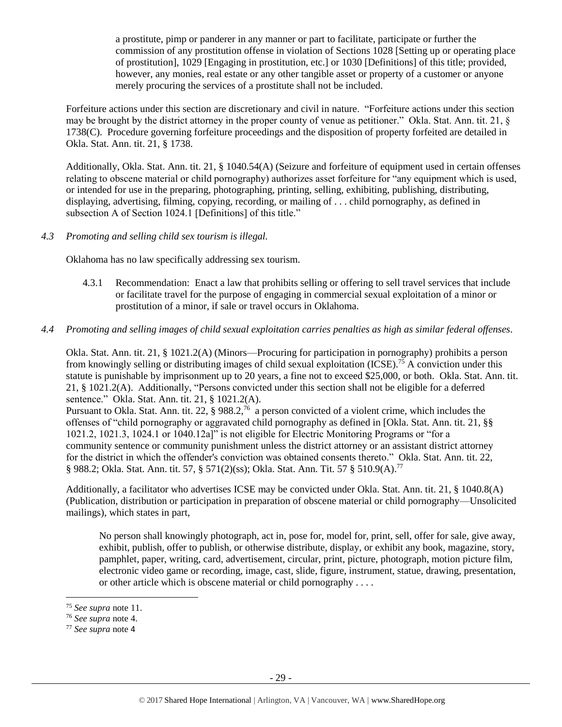a prostitute, pimp or panderer in any manner or part to facilitate, participate or further the commission of any prostitution offense in violation of Sections 1028 [Setting up or operating place of prostitution], 1029 [Engaging in prostitution, etc.] or 1030 [Definitions] of this title; provided, however, any monies, real estate or any other tangible asset or property of a customer or anyone merely procuring the services of a prostitute shall not be included.

Forfeiture actions under this section are discretionary and civil in nature. "Forfeiture actions under this section may be brought by the district attorney in the proper county of venue as petitioner." Okla. Stat. Ann. tit. 21, § 1738(C). Procedure governing forfeiture proceedings and the disposition of property forfeited are detailed in Okla. Stat. Ann. tit. 21, § 1738.

Additionally, Okla. Stat. Ann. tit. 21, § 1040.54(A) (Seizure and forfeiture of equipment used in certain offenses relating to obscene material or child pornography) authorizes asset forfeiture for "any equipment which is used, or intended for use in the preparing, photographing, printing, selling, exhibiting, publishing, distributing, displaying, advertising, filming, copying, recording, or mailing of . . . child pornography, as defined in subsection A of Section 1024.1 [Definitions] of this title."

*4.3 Promoting and selling child sex tourism is illegal.*

Oklahoma has no law specifically addressing sex tourism.

- 4.3.1 Recommendation: Enact a law that prohibits selling or offering to sell travel services that include or facilitate travel for the purpose of engaging in commercial sexual exploitation of a minor or prostitution of a minor, if sale or travel occurs in Oklahoma.
- *4.4 Promoting and selling images of child sexual exploitation carries penalties as high as similar federal offenses.*

Okla. Stat. Ann. tit. 21, § 1021.2(A) (Minors—Procuring for participation in pornography) prohibits a person from knowingly selling or distributing images of child sexual exploitation (ICSE).<sup>75</sup> A conviction under this statute is punishable by imprisonment up to 20 years, a fine not to exceed \$25,000, or both. Okla. Stat. Ann. tit. 21, § 1021.2(A). Additionally, "Persons convicted under this section shall not be eligible for a deferred sentence." Okla. Stat. Ann. tit. 21, § 1021.2(A).

Pursuant to Okla. Stat. Ann. tit. 22, § 988.2,<sup>76</sup> a person convicted of a violent crime, which includes the offenses of "child pornography or aggravated child pornography as defined in [Okla. Stat. Ann. tit. 21, §§ 1021.2, 1021.3, 1024.1 or 1040.12a]" is not eligible for Electric Monitoring Programs or "for a community sentence or community punishment unless the district attorney or an assistant district attorney for the district in which the offender's conviction was obtained consents thereto." Okla. Stat. Ann. tit. 22, § 988.2; Okla. Stat. Ann. tit. 57, § 571(2)(ss); Okla. Stat. Ann. Tit. 57 § 510.9(A).<sup>77</sup>

Additionally, a facilitator who advertises ICSE may be convicted under Okla. Stat. Ann. tit. 21, § 1040.8(A) (Publication, distribution or participation in preparation of obscene material or child pornography—Unsolicited mailings), which states in part,

No person shall knowingly photograph, act in, pose for, model for, print, sell, offer for sale, give away, exhibit, publish, offer to publish, or otherwise distribute, display, or exhibit any book, magazine, story, pamphlet, paper, writing, card, advertisement, circular, print, picture, photograph, motion picture film, electronic video game or recording, image, cast, slide, figure, instrument, statue, drawing, presentation, or other article which is obscene material or child pornography . . . .

l

<sup>75</sup> *See supra* note [11.](#page-3-0) 

<sup>76</sup> *See supra* note [4.](#page-1-0)

<sup>77</sup> *See supra* note [4](#page-1-0)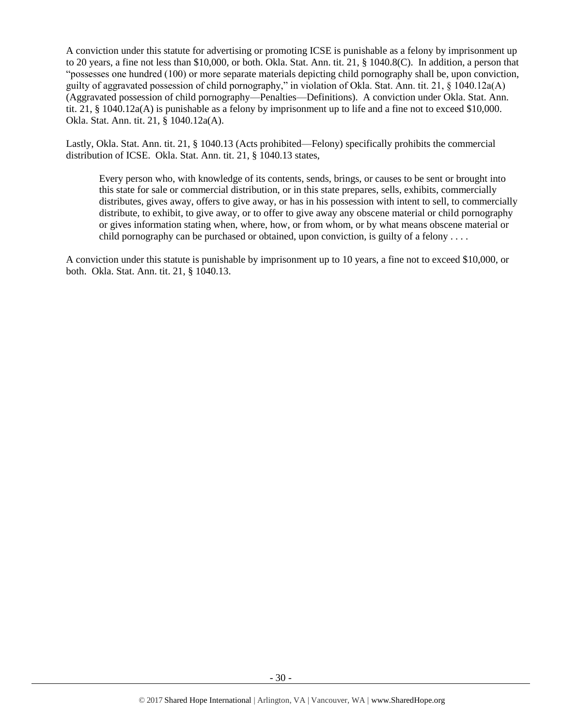A conviction under this statute for advertising or promoting ICSE is punishable as a felony by imprisonment up to 20 years, a fine not less than \$10,000, or both. Okla. Stat. Ann. tit. 21, § 1040.8(C). In addition, a person that "possesses one hundred (100) or more separate materials depicting child pornography shall be, upon conviction, guilty of aggravated possession of child pornography," in violation of Okla. Stat. Ann. tit. 21, § 1040.12a(A) (Aggravated possession of child pornography—Penalties—Definitions). A conviction under Okla. Stat. Ann. tit. 21, § 1040.12a(A) is punishable as a felony by imprisonment up to life and a fine not to exceed \$10,000. Okla. Stat. Ann. tit. 21, § 1040.12a(A).

Lastly, Okla. Stat. Ann. tit. 21, § 1040.13 (Acts prohibited—Felony) specifically prohibits the commercial distribution of ICSE. Okla. Stat. Ann. tit. 21, § 1040.13 states,

Every person who, with knowledge of its contents, sends, brings, or causes to be sent or brought into this state for sale or commercial distribution, or in this state prepares, sells, exhibits, commercially distributes, gives away, offers to give away, or has in his possession with intent to sell, to commercially distribute, to exhibit, to give away, or to offer to give away any obscene material or child pornography or gives information stating when, where, how, or from whom, or by what means obscene material or child pornography can be purchased or obtained, upon conviction, is guilty of a felony  $\dots$ 

A conviction under this statute is punishable by imprisonment up to 10 years, a fine not to exceed \$10,000, or both. Okla. Stat. Ann. tit. 21, § 1040.13.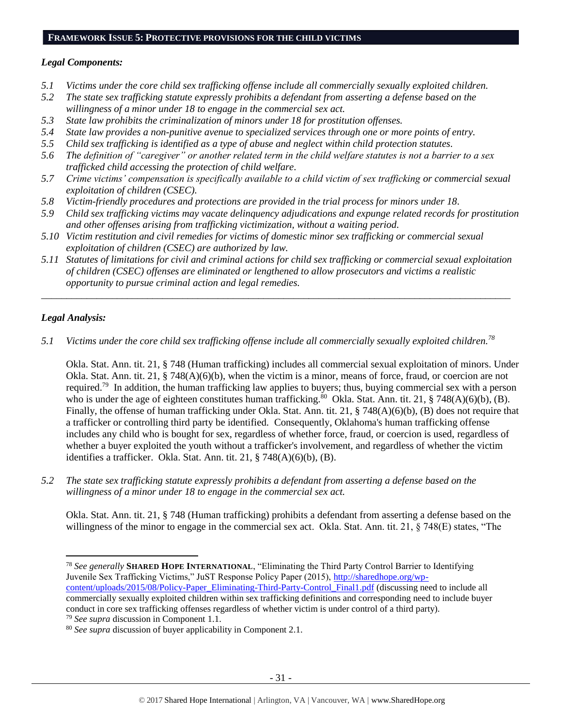# **FRAMEWORK ISSUE 5: PROTECTIVE PROVISIONS FOR THE CHILD VICTIMS**

# *Legal Components:*

- *5.1 Victims under the core child sex trafficking offense include all commercially sexually exploited children.*
- *5.2 The state sex trafficking statute expressly prohibits a defendant from asserting a defense based on the willingness of a minor under 18 to engage in the commercial sex act.*
- *5.3 State law prohibits the criminalization of minors under 18 for prostitution offenses.*
- *5.4 State law provides a non-punitive avenue to specialized services through one or more points of entry.*
- *5.5 Child sex trafficking is identified as a type of abuse and neglect within child protection statutes.*
- *5.6 The definition of "caregiver" or another related term in the child welfare statutes is not a barrier to a sex trafficked child accessing the protection of child welfare.*
- *5.7 Crime victims' compensation is specifically available to a child victim of sex trafficking or commercial sexual exploitation of children (CSEC).*
- *5.8 Victim-friendly procedures and protections are provided in the trial process for minors under 18.*
- *5.9 Child sex trafficking victims may vacate delinquency adjudications and expunge related records for prostitution and other offenses arising from trafficking victimization, without a waiting period.*
- *5.10 Victim restitution and civil remedies for victims of domestic minor sex trafficking or commercial sexual exploitation of children (CSEC) are authorized by law.*
- *5.11 Statutes of limitations for civil and criminal actions for child sex trafficking or commercial sexual exploitation of children (CSEC) offenses are eliminated or lengthened to allow prosecutors and victims a realistic opportunity to pursue criminal action and legal remedies.*

*\_\_\_\_\_\_\_\_\_\_\_\_\_\_\_\_\_\_\_\_\_\_\_\_\_\_\_\_\_\_\_\_\_\_\_\_\_\_\_\_\_\_\_\_\_\_\_\_\_\_\_\_\_\_\_\_\_\_\_\_\_\_\_\_\_\_\_\_\_\_\_\_\_\_\_\_\_\_\_\_\_\_\_\_\_\_\_\_\_\_\_\_\_*

# *Legal Analysis:*

*5.1 Victims under the core child sex trafficking offense include all commercially sexually exploited children.<sup>78</sup>*

Okla. Stat. Ann. tit. 21, § 748 (Human trafficking) includes all commercial sexual exploitation of minors. Under Okla. Stat. Ann. tit. 21, § 748(A)(6)(b), when the victim is a minor, means of force, fraud, or coercion are not required.<sup>79</sup> In addition, the human trafficking law applies to buyers; thus, buying commercial sex with a person who is under the age of eighteen constitutes human trafficking.<sup>80</sup> Okla. Stat. Ann. tit. 21, § 748(A)(6)(b), (B). Finally, the offense of human trafficking under Okla. Stat. Ann. tit. 21, § 748(A)(6)(b), (B) does not require that a trafficker or controlling third party be identified. Consequently, Oklahoma's human trafficking offense includes any child who is bought for sex, regardless of whether force, fraud, or coercion is used, regardless of whether a buyer exploited the youth without a trafficker's involvement, and regardless of whether the victim identifies a trafficker. Okla. Stat. Ann. tit. 21, § 748(A)(6)(b), (B).

*5.2 The state sex trafficking statute expressly prohibits a defendant from asserting a defense based on the willingness of a minor under 18 to engage in the commercial sex act.*

Okla. Stat. Ann. tit. 21, § 748 (Human trafficking) prohibits a defendant from asserting a defense based on the willingness of the minor to engage in the commercial sex act. Okla. Stat. Ann. tit. 21, § 748(E) states, "The

 $\overline{\phantom{a}}$ <sup>78</sup> *See generally* **SHARED HOPE INTERNATIONAL**, "Eliminating the Third Party Control Barrier to Identifying Juvenile Sex Trafficking Victims," JuST Response Policy Paper (2015), [http://sharedhope.org/wp](http://sharedhope.org/wp-content/uploads/2015/08/Policy-Paper_Eliminating-Third-Party-Control_Final1.pdf)[content/uploads/2015/08/Policy-Paper\\_Eliminating-Third-Party-Control\\_Final1.pdf](http://sharedhope.org/wp-content/uploads/2015/08/Policy-Paper_Eliminating-Third-Party-Control_Final1.pdf) (discussing need to include all commercially sexually exploited children within sex trafficking definitions and corresponding need to include buyer conduct in core sex trafficking offenses regardless of whether victim is under control of a third party). <sup>79</sup> *See supra* discussion in Component 1.1.

<sup>80</sup> *See supra* discussion of buyer applicability in Component 2.1.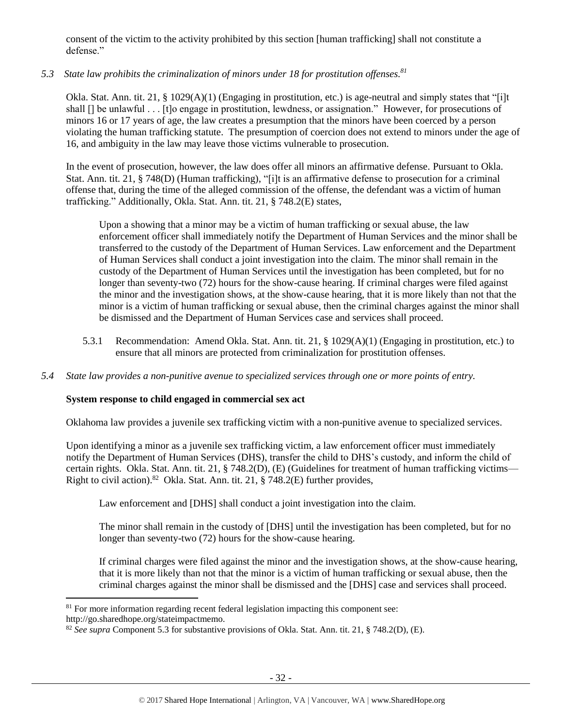consent of the victim to the activity prohibited by this section [human trafficking] shall not constitute a defense."

# *5.3 State law prohibits the criminalization of minors under 18 for prostitution offenses.<sup>81</sup>*

Okla. Stat. Ann. tit. 21, § 1029(A)(1) (Engaging in prostitution, etc.) is age-neutral and simply states that "[i]t shall [] be unlawful . . . [t]o engage in prostitution, lewdness, or assignation." However, for prosecutions of minors 16 or 17 years of age, the law creates a presumption that the minors have been coerced by a person violating the human trafficking statute. The presumption of coercion does not extend to minors under the age of 16, and ambiguity in the law may leave those victims vulnerable to prosecution.

In the event of prosecution, however, the law does offer all minors an affirmative defense. Pursuant to Okla. Stat. Ann. tit. 21, § 748(D) (Human trafficking), "[i]t is an affirmative defense to prosecution for a criminal offense that, during the time of the alleged commission of the offense, the defendant was a victim of human trafficking." Additionally, Okla. Stat. Ann. tit. 21, § 748.2(E) states,

Upon a showing that a minor may be a victim of human trafficking or sexual abuse, the law enforcement officer shall immediately notify the Department of Human Services and the minor shall be transferred to the custody of the Department of Human Services. Law enforcement and the Department of Human Services shall conduct a joint investigation into the claim. The minor shall remain in the custody of the Department of Human Services until the investigation has been completed, but for no longer than seventy-two (72) hours for the show-cause hearing. If criminal charges were filed against the minor and the investigation shows, at the show-cause hearing, that it is more likely than not that the minor is a victim of human trafficking or sexual abuse, then the criminal charges against the minor shall be dismissed and the Department of Human Services case and services shall proceed.

- 5.3.1 Recommendation: Amend Okla. Stat. Ann. tit. 21, § 1029(A)(1) (Engaging in prostitution, etc.) to ensure that all minors are protected from criminalization for prostitution offenses.
- *5.4 State law provides a non-punitive avenue to specialized services through one or more points of entry.*

# **System response to child engaged in commercial sex act**

Oklahoma law provides a juvenile sex trafficking victim with a non-punitive avenue to specialized services.

Upon identifying a minor as a juvenile sex trafficking victim, a law enforcement officer must immediately notify the Department of Human Services (DHS), transfer the child to DHS's custody, and inform the child of certain rights. Okla. Stat. Ann. tit. 21, § 748.2(D), (E) (Guidelines for treatment of human trafficking victims— Right to civil action).<sup>82</sup> Okla. Stat. Ann. tit. 21, § 748.2(E) further provides,

Law enforcement and [DHS] shall conduct a joint investigation into the claim.

The minor shall remain in the custody of [DHS] until the investigation has been completed, but for no longer than seventy-two (72) hours for the show-cause hearing.

If criminal charges were filed against the minor and the investigation shows, at the show-cause hearing, that it is more likely than not that the minor is a victim of human trafficking or sexual abuse, then the criminal charges against the minor shall be dismissed and the [DHS] case and services shall proceed.

l

 $81$  For more information regarding recent federal legislation impacting this component see:

http://go.sharedhope.org/stateimpactmemo.

<sup>82</sup> *See supra* Component 5.3 for substantive provisions of Okla. Stat. Ann. tit. 21, § 748.2(D), (E).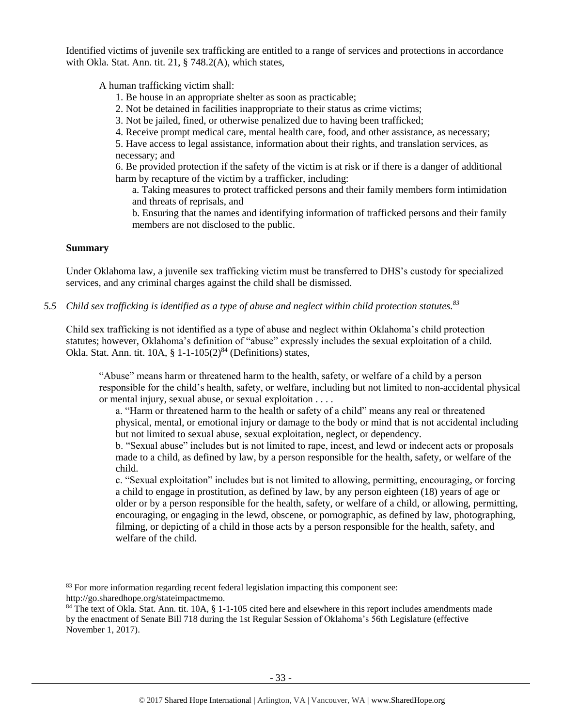Identified victims of juvenile sex trafficking are entitled to a range of services and protections in accordance with Okla. Stat. Ann. tit. 21, § 748.2(A), which states,

A human trafficking victim shall:

- 1. Be house in an appropriate shelter as soon as practicable;
- 2. Not be detained in facilities inappropriate to their status as crime victims;
- 3. Not be jailed, fined, or otherwise penalized due to having been trafficked;
- 4. Receive prompt medical care, mental health care, food, and other assistance, as necessary;

5. Have access to legal assistance, information about their rights, and translation services, as necessary; and

6. Be provided protection if the safety of the victim is at risk or if there is a danger of additional harm by recapture of the victim by a trafficker, including:

a. Taking measures to protect trafficked persons and their family members form intimidation and threats of reprisals, and

b. Ensuring that the names and identifying information of trafficked persons and their family members are not disclosed to the public.

# **Summary**

 $\overline{a}$ 

Under Oklahoma law, a juvenile sex trafficking victim must be transferred to DHS's custody for specialized services, and any criminal charges against the child shall be dismissed.

*5.5 Child sex trafficking is identified as a type of abuse and neglect within child protection statutes.<sup>83</sup>*

Child sex trafficking is not identified as a type of abuse and neglect within Oklahoma's child protection statutes; however, Oklahoma's definition of "abuse" expressly includes the sexual exploitation of a child. Okla. Stat. Ann. tit.  $10A$ , §  $1-1-105(2)^{84}$  (Definitions) states,

"Abuse" means harm or threatened harm to the health, safety, or welfare of a child by a person responsible for the child's health, safety, or welfare, including but not limited to non-accidental physical or mental injury, sexual abuse, or sexual exploitation . . . .

<span id="page-32-0"></span>a. "Harm or threatened harm to the health or safety of a child" means any real or threatened physical, mental, or emotional injury or damage to the body or mind that is not accidental including but not limited to sexual abuse, sexual exploitation, neglect, or dependency.

b. "Sexual abuse" includes but is not limited to rape, incest, and lewd or indecent acts or proposals made to a child, as defined by law, by a person responsible for the health, safety, or welfare of the child.

c. "Sexual exploitation" includes but is not limited to allowing, permitting, encouraging, or forcing a child to engage in prostitution, as defined by law, by any person eighteen (18) years of age or older or by a person responsible for the health, safety, or welfare of a child, or allowing, permitting, encouraging, or engaging in the lewd, obscene, or pornographic, as defined by law, photographing, filming, or depicting of a child in those acts by a person responsible for the health, safety, and welfare of the child.

<sup>83</sup> For more information regarding recent federal legislation impacting this component see: http://go.sharedhope.org/stateimpactmemo.

<sup>84</sup> The text of Okla. Stat. Ann. tit. 10A, § 1-1-105 cited here and elsewhere in this report includes amendments made by the enactment of Senate Bill 718 during the 1st Regular Session of Oklahoma's 56th Legislature (effective November 1, 2017).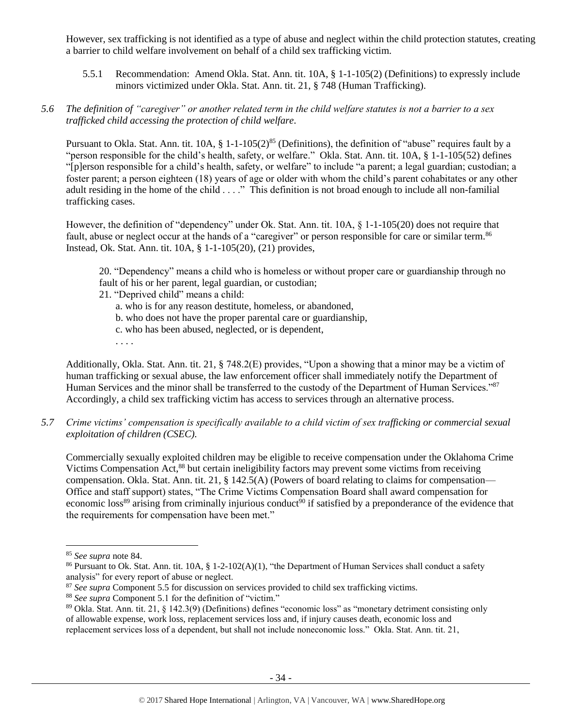However, sex trafficking is not identified as a type of abuse and neglect within the child protection statutes, creating a barrier to child welfare involvement on behalf of a child sex trafficking victim.

5.5.1 Recommendation: Amend Okla. Stat. Ann. tit. 10A, § 1-1-105(2) (Definitions) to expressly include minors victimized under Okla. Stat. Ann. tit. 21, § 748 (Human Trafficking).

# *5.6 The definition of "caregiver" or another related term in the child welfare statutes is not a barrier to a sex trafficked child accessing the protection of child welfare.*

Pursuant to Okla. Stat. Ann. tit. 10A, § 1-1-105(2)<sup>85</sup> (Definitions), the definition of "abuse" requires fault by a "person responsible for the child's health, safety, or welfare." Okla. Stat. Ann. tit. 10A, § 1-1-105(52) defines "[p]erson responsible for a child's health, safety, or welfare" to include "a parent; a legal guardian; custodian; a foster parent; a person eighteen (18) years of age or older with whom the child's parent cohabitates or any other adult residing in the home of the child . . . ." This definition is not broad enough to include all non-familial trafficking cases.

However, the definition of "dependency" under Ok. Stat. Ann. tit. 10A, § 1-1-105(20) does not require that fault, abuse or neglect occur at the hands of a "caregiver" or person responsible for care or similar term.<sup>86</sup> Instead, Ok. Stat. Ann. tit. 10A, § 1-1-105(20), (21) provides,

20. "Dependency" means a child who is homeless or without proper care or guardianship through no fault of his or her parent, legal guardian, or custodian;

- 21. "Deprived child" means a child:
	- a. who is for any reason destitute, homeless, or abandoned,
	- b. who does not have the proper parental care or guardianship,
	- c. who has been abused, neglected, or is dependent,
	- . . . .

Additionally, Okla. Stat. Ann. tit. 21, § 748.2(E) provides, "Upon a showing that a minor may be a victim of human trafficking or sexual abuse, the law enforcement officer shall immediately notify the Department of Human Services and the minor shall be transferred to the custody of the Department of Human Services."<sup>87</sup> Accordingly, a child sex trafficking victim has access to services through an alternative process.

*5.7 Crime victims' compensation is specifically available to a child victim of sex trafficking or commercial sexual exploitation of children (CSEC).*

Commercially sexually exploited children may be eligible to receive compensation under the Oklahoma Crime Victims Compensation Act,<sup>88</sup> but certain ineligibility factors may prevent some victims from receiving compensation. Okla. Stat. Ann. tit. 21, § 142.5(A) (Powers of board relating to claims for compensation— Office and staff support) states, "The Crime Victims Compensation Board shall award compensation for economic loss<sup>89</sup> arising from criminally injurious conduct<sup>90</sup> if satisfied by a preponderance of the evidence that the requirements for compensation have been met."

 $\overline{a}$ 

<sup>87</sup> See supra Component 5.5 for discussion on services provided to child sex trafficking victims.

<sup>85</sup> *See supra* note [84.](#page-32-0)

<sup>&</sup>lt;sup>86</sup> Pursuant to Ok. Stat. Ann. tit. 10A, § 1-2-102(A)(1), "the Department of Human Services shall conduct a safety analysis" for every report of abuse or neglect.

<sup>88</sup> *See supra* Component 5.1 for the definition of "victim."

<sup>89</sup> Okla. Stat. Ann. tit. 21, § 142.3(9) (Definitions) defines "economic loss" as "monetary detriment consisting only of allowable expense, work loss, replacement services loss and, if injury causes death, economic loss and replacement services loss of a dependent, but shall not include noneconomic loss." Okla. Stat. Ann. tit. 21,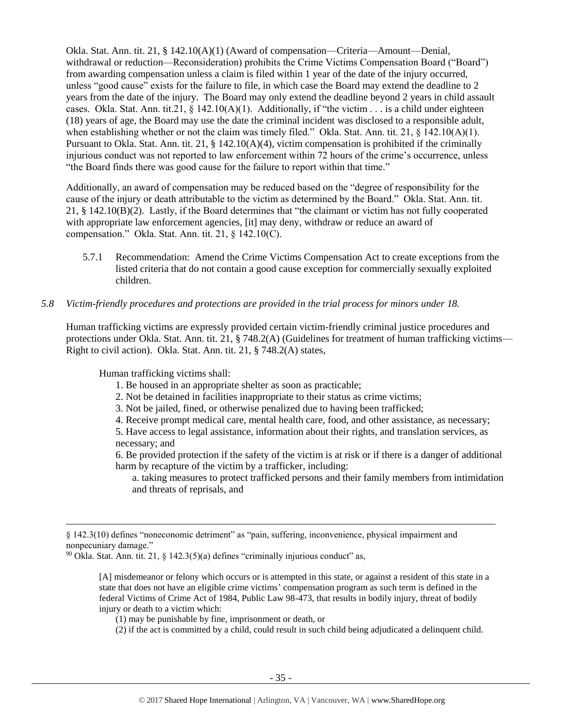Okla. Stat. Ann. tit. 21, § 142.10(A)(1) (Award of compensation—Criteria—Amount—Denial, withdrawal or reduction—Reconsideration) prohibits the Crime Victims Compensation Board ("Board") from awarding compensation unless a claim is filed within 1 year of the date of the injury occurred, unless "good cause" exists for the failure to file, in which case the Board may extend the deadline to 2 years from the date of the injury. The Board may only extend the deadline beyond 2 years in child assault cases. Okla. Stat. Ann. tit.21,  $\S$  142.10(A)(1). Additionally, if "the victim . . . is a child under eighteen (18) years of age, the Board may use the date the criminal incident was disclosed to a responsible adult, when establishing whether or not the claim was timely filed." Okla. Stat. Ann. tit. 21, § 142.10(A)(1). Pursuant to Okla. Stat. Ann. tit. 21, § 142.10(A)(4), victim compensation is prohibited if the criminally injurious conduct was not reported to law enforcement within 72 hours of the crime's occurrence, unless "the Board finds there was good cause for the failure to report within that time."

Additionally, an award of compensation may be reduced based on the "degree of responsibility for the cause of the injury or death attributable to the victim as determined by the Board." Okla. Stat. Ann. tit. 21, § 142.10(B)(2). Lastly, if the Board determines that "the claimant or victim has not fully cooperated with appropriate law enforcement agencies, [it] may deny, withdraw or reduce an award of compensation." Okla. Stat. Ann. tit. 21, § 142.10(C).

5.7.1 Recommendation: Amend the Crime Victims Compensation Act to create exceptions from the listed criteria that do not contain a good cause exception for commercially sexually exploited children.

# *5.8 Victim-friendly procedures and protections are provided in the trial process for minors under 18.*

Human trafficking victims are expressly provided certain victim-friendly criminal justice procedures and protections under Okla. Stat. Ann. tit. 21, § 748.2(A) (Guidelines for treatment of human trafficking victims— Right to civil action). Okla. Stat. Ann. tit. 21, § 748.2(A) states,

Human trafficking victims shall:

 $\overline{\phantom{a}}$ 

- 1. Be housed in an appropriate shelter as soon as practicable;
- 2. Not be detained in facilities inappropriate to their status as crime victims;
- 3. Not be jailed, fined, or otherwise penalized due to having been trafficked;
- 4. Receive prompt medical care, mental health care, food, and other assistance, as necessary;

5. Have access to legal assistance, information about their rights, and translation services, as necessary; and

6. Be provided protection if the safety of the victim is at risk or if there is a danger of additional harm by recapture of the victim by a trafficker, including:

a. taking measures to protect trafficked persons and their family members from intimidation and threats of reprisals, and

[A] misdemeanor or felony which occurs or is attempted in this state, or against a resident of this state in a state that does not have an eligible crime victims' compensation program as such term is defined in the federal Victims of Crime Act of 1984, Public Law 98-473, that results in bodily injury, threat of bodily injury or death to a victim which:

- (1) may be punishable by fine, imprisonment or death, or
- (2) if the act is committed by a child, could result in such child being adjudicated a delinquent child.

<sup>§ 142.3(10)</sup> defines "noneconomic detriment" as "pain, suffering, inconvenience, physical impairment and nonpecuniary damage."

 $90$  Okla. Stat. Ann. tit. 21, § 142.3(5)(a) defines "criminally injurious conduct" as,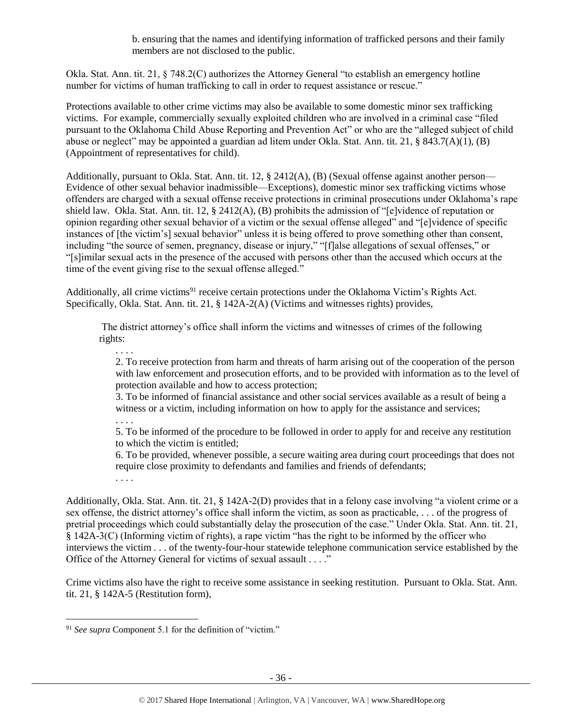b. ensuring that the names and identifying information of trafficked persons and their family members are not disclosed to the public.

Okla. Stat. Ann. tit. 21, § 748.2(C) authorizes the Attorney General "to establish an emergency hotline number for victims of human trafficking to call in order to request assistance or rescue."

Protections available to other crime victims may also be available to some domestic minor sex trafficking victims. For example, commercially sexually exploited children who are involved in a criminal case "filed pursuant to the Oklahoma Child Abuse Reporting and Prevention Act" or who are the "alleged subject of child abuse or neglect" may be appointed a guardian ad litem under Okla. Stat. Ann. tit. 21, § 843.7(A)(1), (B) (Appointment of representatives for child).

Additionally, pursuant to Okla. Stat. Ann. tit. 12, § 2412(A), (B) (Sexual offense against another person— Evidence of other sexual behavior inadmissible—Exceptions), domestic minor sex trafficking victims whose offenders are charged with a sexual offense receive protections in criminal prosecutions under Oklahoma's rape shield law. Okla. Stat. Ann. tit. 12, § 2412(A), (B) prohibits the admission of "[e]vidence of reputation or opinion regarding other sexual behavior of a victim or the sexual offense alleged" and "[e]vidence of specific instances of [the victim's] sexual behavior" unless it is being offered to prove something other than consent, including "the source of semen, pregnancy, disease or injury," "[f]alse allegations of sexual offenses," or "[s]imilar sexual acts in the presence of the accused with persons other than the accused which occurs at the time of the event giving rise to the sexual offense alleged."

Additionally, all crime victims<sup>91</sup> receive certain protections under the Oklahoma Victim's Rights Act. Specifically, Okla. Stat. Ann. tit. 21, § 142A-2(A) (Victims and witnesses rights) provides,

The district attorney's office shall inform the victims and witnesses of crimes of the following rights:

. . . . 2. To receive protection from harm and threats of harm arising out of the cooperation of the person with law enforcement and prosecution efforts, and to be provided with information as to the level of protection available and how to access protection;

3. To be informed of financial assistance and other social services available as a result of being a witness or a victim, including information on how to apply for the assistance and services;

5. To be informed of the procedure to be followed in order to apply for and receive any restitution to which the victim is entitled;

6. To be provided, whenever possible, a secure waiting area during court proceedings that does not require close proximity to defendants and families and friends of defendants;

. . . .

 $\overline{\phantom{a}}$ 

. . . .

Additionally, Okla. Stat. Ann. tit. 21, § 142A-2(D) provides that in a felony case involving "a violent crime or a sex offense, the district attorney's office shall inform the victim, as soon as practicable, . . . of the progress of pretrial proceedings which could substantially delay the prosecution of the case." Under Okla. Stat. Ann. tit. 21, § 142A-3(C) (Informing victim of rights), a rape victim "has the right to be informed by the officer who interviews the victim . . . of the twenty-four-hour statewide telephone communication service established by the Office of the Attorney General for victims of sexual assault . . . ."

Crime victims also have the right to receive some assistance in seeking restitution. Pursuant to Okla. Stat. Ann. tit. 21, § 142A-5 (Restitution form),

<sup>91</sup> *See supra* Component 5.1 for the definition of "victim."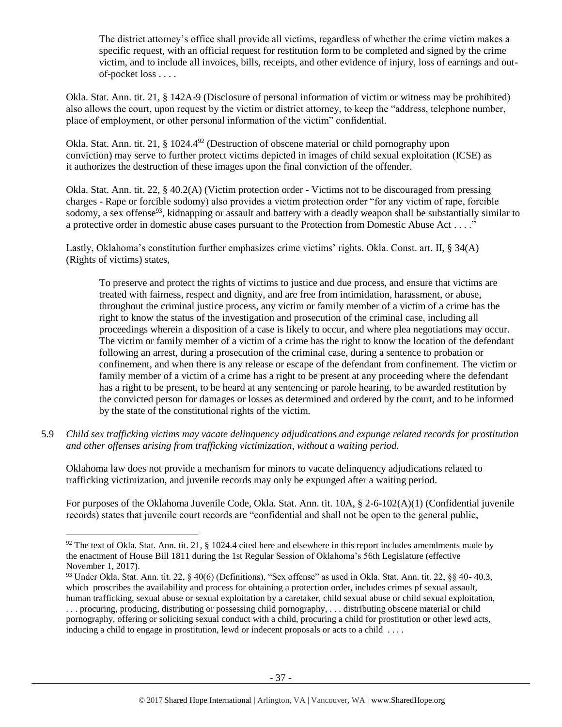The district attorney's office shall provide all victims, regardless of whether the crime victim makes a specific request, with an official request for restitution form to be completed and signed by the crime victim, and to include all invoices, bills, receipts, and other evidence of injury, loss of earnings and outof-pocket loss . . . .

Okla. Stat. Ann. tit. 21, § 142A-9 (Disclosure of personal information of victim or witness may be prohibited) also allows the court, upon request by the victim or district attorney, to keep the "address, telephone number, place of employment, or other personal information of the victim" confidential.

Okla. Stat. Ann. tit. 21, § 1024.4<sup>92</sup> (Destruction of obscene material or child pornography upon conviction) may serve to further protect victims depicted in images of child sexual exploitation (ICSE) as it authorizes the destruction of these images upon the final conviction of the offender.

Okla. Stat. Ann. tit. 22, § 40.2(A) (Victim protection order - Victims not to be discouraged from pressing charges - Rape or forcible sodomy) also provides a victim protection order "for any victim of rape, forcible sodomy, a sex offense<sup>93</sup>, kidnapping or assault and battery with a deadly weapon shall be substantially similar to a protective order in domestic abuse cases pursuant to the Protection from Domestic Abuse Act . . . ."

Lastly, Oklahoma's constitution further emphasizes crime victims' rights. Okla. Const. art. II, § 34(A) (Rights of victims) states,

To preserve and protect the rights of victims to justice and due process, and ensure that victims are treated with fairness, respect and dignity, and are free from intimidation, harassment, or abuse, throughout the criminal justice process, any victim or family member of a victim of a crime has the right to know the status of the investigation and prosecution of the criminal case, including all proceedings wherein a disposition of a case is likely to occur, and where plea negotiations may occur. The victim or family member of a victim of a crime has the right to know the location of the defendant following an arrest, during a prosecution of the criminal case, during a sentence to probation or confinement, and when there is any release or escape of the defendant from confinement. The victim or family member of a victim of a crime has a right to be present at any proceeding where the defendant has a right to be present, to be heard at any sentencing or parole hearing, to be awarded restitution by the convicted person for damages or losses as determined and ordered by the court, and to be informed by the state of the constitutional rights of the victim.

5.9 *Child sex trafficking victims may vacate delinquency adjudications and expunge related records for prostitution and other offenses arising from trafficking victimization, without a waiting period.*

Oklahoma law does not provide a mechanism for minors to vacate delinquency adjudications related to trafficking victimization, and juvenile records may only be expunged after a waiting period.

For purposes of the Oklahoma Juvenile Code, Okla. Stat. Ann. tit. 10A, § 2-6-102(A)(1) (Confidential juvenile records) states that juvenile court records are "confidential and shall not be open to the general public,

 $\overline{a}$ 

 $92$  The text of Okla. Stat. Ann. tit. 21, § 1024.4 cited here and elsewhere in this report includes amendments made by the enactment of House Bill 1811 during the 1st Regular Session of Oklahoma's 56th Legislature (effective November 1, 2017).

<sup>93</sup> Under Okla. Stat. Ann. tit. 22, § 40(6) (Definitions), "Sex offense" as used in Okla. Stat. Ann. tit. 22, §§ 40- 40.3, which proscribes the availability and process for obtaining a protection order, includes crimes pf sexual assault, human trafficking, sexual abuse or sexual exploitation by a caretaker, child sexual abuse or child sexual exploitation, . . . procuring, producing, distributing or possessing child pornography, . . . distributing obscene material or child pornography, offering or soliciting sexual conduct with a child, procuring a child for prostitution or other lewd acts, inducing a child to engage in prostitution, lewd or indecent proposals or acts to a child . . . .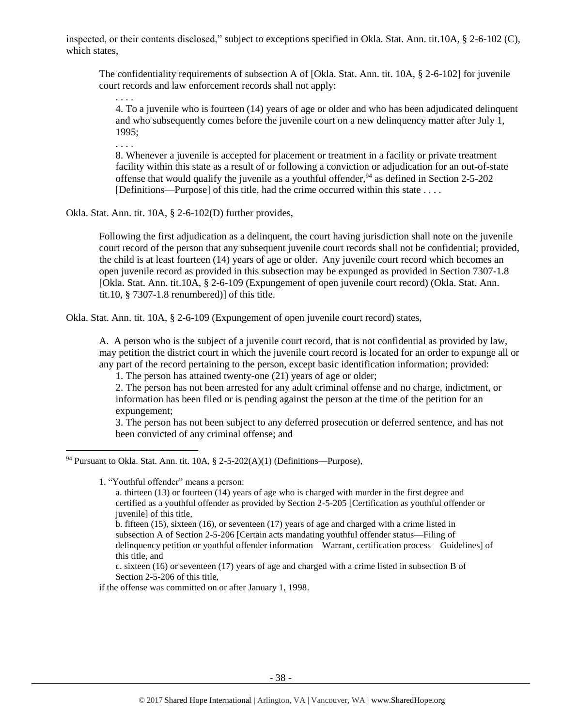inspected, or their contents disclosed," subject to exceptions specified in Okla. Stat. Ann. tit.10A, § 2-6-102 (C), which states,

The confidentiality requirements of subsection A of [Okla. Stat. Ann. tit. 10A, § 2-6-102] for juvenile court records and law enforcement records shall not apply:

4. To a juvenile who is fourteen (14) years of age or older and who has been adjudicated delinquent and who subsequently comes before the juvenile court on a new delinquency matter after July 1, 1995;

. . . .

. . . .

8. Whenever a juvenile is accepted for placement or treatment in a facility or private treatment facility within this state as a result of or following a conviction or adjudication for an out-of-state offense that would qualify the juvenile as a youthful offender,  $94$  as defined in Section 2-5-202 [Definitions—Purpose] of this title, had the crime occurred within this state . . . .

Okla. Stat. Ann. tit. 10A, § 2-6-102(D) further provides,

Following the first adjudication as a delinquent, the court having jurisdiction shall note on the juvenile court record of the person that any subsequent juvenile court records shall not be confidential; provided, the child is at least fourteen (14) years of age or older. Any juvenile court record which becomes an open juvenile record as provided in this subsection may be expunged as provided in Section 7307-1.8 [Okla. Stat. Ann. tit.10A, § 2-6-109 (Expungement of open juvenile court record) (Okla. Stat. Ann. tit.10,  $\S$  7307-1.8 renumbered)] of this title.

Okla. Stat. Ann. tit. 10A, § 2-6-109 (Expungement of open juvenile court record) states,

A. A person who is the subject of a juvenile court record, that is not confidential as provided by law, may petition the district court in which the juvenile court record is located for an order to expunge all or any part of the record pertaining to the person, except basic identification information; provided:

1. The person has attained twenty-one (21) years of age or older;

2. The person has not been arrested for any adult criminal offense and no charge, indictment, or information has been filed or is pending against the person at the time of the petition for an expungement;

3. The person has not been subject to any deferred prosecution or deferred sentence, and has not been convicted of any criminal offense; and

1. "Youthful offender" means a person:

 $\overline{a}$ 

a. thirteen (13) or fourteen (14) years of age who is charged with murder in the first degree and certified as a youthful offender as provided by Section 2-5-205 [Certification as youthful offender or juvenile] of this title,

b. fifteen (15), sixteen (16), or seventeen (17) years of age and charged with a crime listed in subsection A of Section 2-5-206 [Certain acts mandating youthful offender status—Filing of delinquency petition or youthful offender information—Warrant, certification process—Guidelines] of this title, and

c. sixteen (16) or seventeen (17) years of age and charged with a crime listed in subsection B of Section 2-5-206 of this title,

if the offense was committed on or after January 1, 1998.

<sup>&</sup>lt;sup>94</sup> Pursuant to Okla. Stat. Ann. tit.  $10A$ , § 2-5-202(A)(1) (Definitions—Purpose),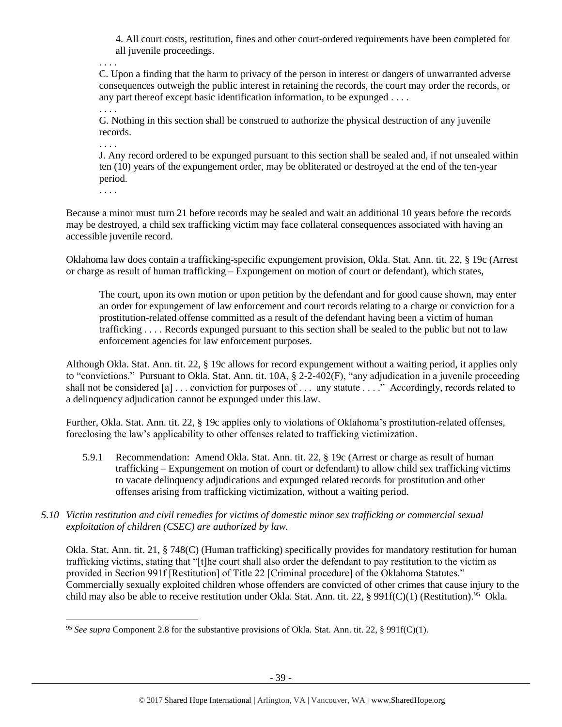4. All court costs, restitution, fines and other court-ordered requirements have been completed for all juvenile proceedings.

C. Upon a finding that the harm to privacy of the person in interest or dangers of unwarranted adverse consequences outweigh the public interest in retaining the records, the court may order the records, or any part thereof except basic identification information, to be expunged . . . .

G. Nothing in this section shall be construed to authorize the physical destruction of any juvenile records.

J. Any record ordered to be expunged pursuant to this section shall be sealed and, if not unsealed within ten (10) years of the expungement order, may be obliterated or destroyed at the end of the ten-year period.

. . . .

 $\overline{\phantom{a}}$ 

. . . .

. . . .

. . . .

Because a minor must turn 21 before records may be sealed and wait an additional 10 years before the records may be destroyed, a child sex trafficking victim may face collateral consequences associated with having an accessible juvenile record.

Oklahoma law does contain a trafficking-specific expungement provision, Okla. Stat. Ann. tit. 22, § 19c (Arrest or charge as result of human trafficking – Expungement on motion of court or defendant), which states,

The court, upon its own motion or upon petition by the defendant and for good cause shown, may enter an order for expungement of law enforcement and court records relating to a charge or conviction for a prostitution-related offense committed as a result of the defendant having been a victim of human trafficking . . . . Records expunged pursuant to this section shall be sealed to the public but not to law enforcement agencies for law enforcement purposes.

Although Okla. Stat. Ann. tit. 22, § 19c allows for record expungement without a waiting period, it applies only to "convictions." Pursuant to Okla. Stat. Ann. tit.  $10A$ ,  $\S 2-2-402(F)$ , "any adjudication in a juvenile proceeding shall not be considered [a] . . . conviction for purposes of . . . any statute . . . ." Accordingly, records related to a delinquency adjudication cannot be expunged under this law.

Further, Okla. Stat. Ann. tit. 22, § 19c applies only to violations of Oklahoma's prostitution-related offenses, foreclosing the law's applicability to other offenses related to trafficking victimization.

- 5.9.1 Recommendation: Amend Okla. Stat. Ann. tit. 22, § 19c (Arrest or charge as result of human trafficking – Expungement on motion of court or defendant) to allow child sex trafficking victims to vacate delinquency adjudications and expunged related records for prostitution and other offenses arising from trafficking victimization, without a waiting period.
- *5.10 Victim restitution and civil remedies for victims of domestic minor sex trafficking or commercial sexual exploitation of children (CSEC) are authorized by law.*

Okla. Stat. Ann. tit. 21, § 748(C) (Human trafficking) specifically provides for mandatory restitution for human trafficking victims, stating that "[t]he court shall also order the defendant to pay restitution to the victim as provided in Section 991f [Restitution] of Title 22 [Criminal procedure] of the Oklahoma Statutes." Commercially sexually exploited children whose offenders are convicted of other crimes that cause injury to the child may also be able to receive restitution under Okla. Stat. Ann. tit. 22, § 991f(C)(1) (Restitution).<sup>95</sup> Okla.

<sup>95</sup> *See supra* Component 2.8 for the substantive provisions of Okla. Stat. Ann. tit. 22, § 991f(C)(1).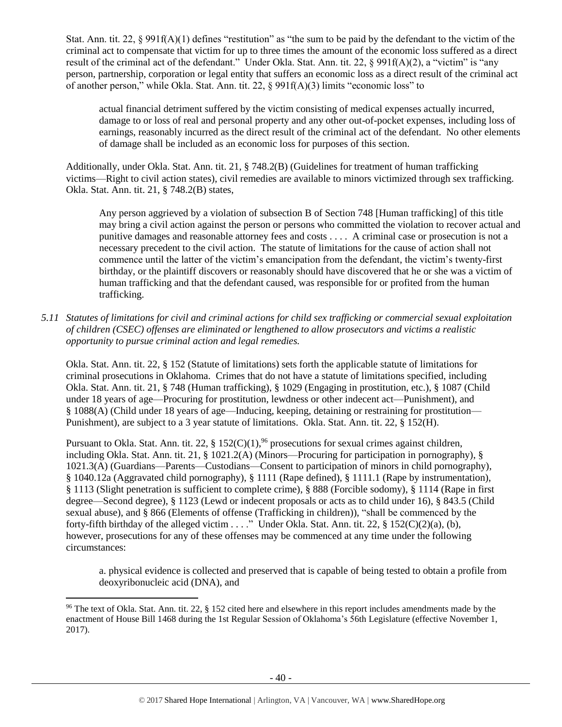Stat. Ann. tit. 22, § 991f(A)(1) defines "restitution" as "the sum to be paid by the defendant to the victim of the criminal act to compensate that victim for up to three times the amount of the economic loss suffered as a direct result of the criminal act of the defendant." Under Okla. Stat. Ann. tit. 22, § 991f(A)(2), a "victim" is "any person, partnership, corporation or legal entity that suffers an economic loss as a direct result of the criminal act of another person," while Okla. Stat. Ann. tit. 22, § 991f(A)(3) limits "economic loss" to

actual financial detriment suffered by the victim consisting of medical expenses actually incurred, damage to or loss of real and personal property and any other out-of-pocket expenses, including loss of earnings, reasonably incurred as the direct result of the criminal act of the defendant. No other elements of damage shall be included as an economic loss for purposes of this section.

Additionally, under Okla. Stat. Ann. tit. 21, § 748.2(B) (Guidelines for treatment of human trafficking victims—Right to civil action states), civil remedies are available to minors victimized through sex trafficking. Okla. Stat. Ann. tit. 21, § 748.2(B) states,

Any person aggrieved by a violation of subsection B of Section 748 [Human trafficking] of this title may bring a civil action against the person or persons who committed the violation to recover actual and punitive damages and reasonable attorney fees and costs . . . . A criminal case or prosecution is not a necessary precedent to the civil action. The statute of limitations for the cause of action shall not commence until the latter of the victim's emancipation from the defendant, the victim's twenty-first birthday, or the plaintiff discovers or reasonably should have discovered that he or she was a victim of human trafficking and that the defendant caused, was responsible for or profited from the human trafficking.

*5.11 Statutes of limitations for civil and criminal actions for child sex trafficking or commercial sexual exploitation of children (CSEC) offenses are eliminated or lengthened to allow prosecutors and victims a realistic opportunity to pursue criminal action and legal remedies.*

Okla. Stat. Ann. tit. 22, § 152 (Statute of limitations) sets forth the applicable statute of limitations for criminal prosecutions in Oklahoma. Crimes that do not have a statute of limitations specified, including Okla. Stat. Ann. tit. 21, § 748 (Human trafficking), § 1029 (Engaging in prostitution, etc.), § 1087 (Child under 18 years of age—Procuring for prostitution, lewdness or other indecent act—Punishment), and § 1088(A) (Child under 18 years of age—Inducing, keeping, detaining or restraining for prostitution— Punishment), are subject to a 3 year statute of limitations. Okla. Stat. Ann. tit. 22, § 152(H).

Pursuant to Okla. Stat. Ann. tit. 22,  $\S 152(C)(1)$ ,<sup>96</sup> prosecutions for sexual crimes against children, including Okla. Stat. Ann. tit. 21, § 1021.2(A) (Minors—Procuring for participation in pornography), § 1021.3(A) (Guardians—Parents—Custodians—Consent to participation of minors in child pornography), § 1040.12a (Aggravated child pornography), § 1111 (Rape defined), § 1111.1 (Rape by instrumentation), § 1113 (Slight penetration is sufficient to complete crime), § 888 (Forcible sodomy), § 1114 (Rape in first degree—Second degree), § 1123 (Lewd or indecent proposals or acts as to child under 16), § 843.5 (Child sexual abuse), and § 866 (Elements of offense (Trafficking in children)), "shall be commenced by the forty-fifth birthday of the alleged victim . . . ." Under Okla. Stat. Ann. tit. 22, § 152(C)(2)(a), (b), however, prosecutions for any of these offenses may be commenced at any time under the following circumstances:

a. physical evidence is collected and preserved that is capable of being tested to obtain a profile from deoxyribonucleic acid (DNA), and

l  $96$  The text of Okla. Stat. Ann. tit. 22, § 152 cited here and elsewhere in this report includes amendments made by the enactment of House Bill 1468 during the 1st Regular Session of Oklahoma's 56th Legislature (effective November 1, 2017).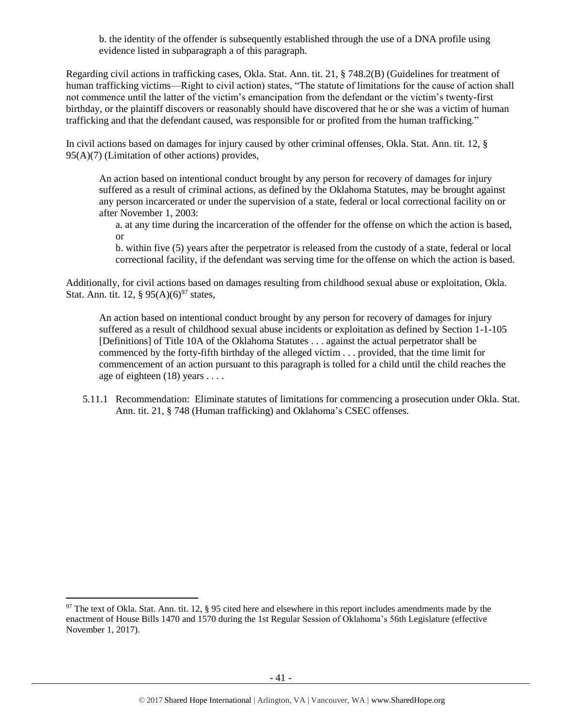b. the identity of the offender is subsequently established through the use of a DNA profile using evidence listed in subparagraph a of this paragraph.

Regarding civil actions in trafficking cases, Okla. Stat. Ann. tit. 21, § 748.2(B) (Guidelines for treatment of human trafficking victims—Right to civil action) states, "The statute of limitations for the cause of action shall not commence until the latter of the victim's emancipation from the defendant or the victim's twenty-first birthday, or the plaintiff discovers or reasonably should have discovered that he or she was a victim of human trafficking and that the defendant caused, was responsible for or profited from the human trafficking."

In civil actions based on damages for injury caused by other criminal offenses, Okla. Stat. Ann. tit. 12, § 95(A)(7) (Limitation of other actions) provides,

An action based on intentional conduct brought by any person for recovery of damages for injury suffered as a result of criminal actions, as defined by the Oklahoma Statutes, may be brought against any person incarcerated or under the supervision of a state, federal or local correctional facility on or after November 1, 2003:

a. at any time during the incarceration of the offender for the offense on which the action is based, or

b. within five (5) years after the perpetrator is released from the custody of a state, federal or local correctional facility, if the defendant was serving time for the offense on which the action is based.

Additionally, for civil actions based on damages resulting from childhood sexual abuse or exploitation, Okla. Stat. Ann. tit. 12, §  $95(A)(6)^{97}$  states,

An action based on intentional conduct brought by any person for recovery of damages for injury suffered as a result of childhood sexual abuse incidents or exploitation as defined by Section 1-1-105 [Definitions] of Title 10A of the Oklahoma Statutes . . . against the actual perpetrator shall be commenced by the forty-fifth birthday of the alleged victim . . . provided, that the time limit for commencement of an action pursuant to this paragraph is tolled for a child until the child reaches the age of eighteen (18) years . . . .

5.11.1 Recommendation: Eliminate statutes of limitations for commencing a prosecution under Okla. Stat. Ann. tit. 21, § 748 (Human trafficking) and Oklahoma's CSEC offenses.

l

 $97$  The text of Okla. Stat. Ann. tit. 12, § 95 cited here and elsewhere in this report includes amendments made by the enactment of House Bills 1470 and 1570 during the 1st Regular Session of Oklahoma's 56th Legislature (effective November 1, 2017).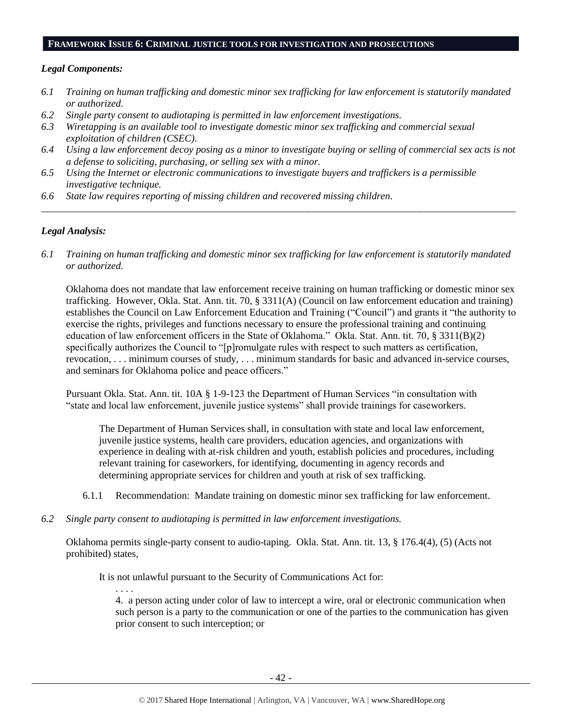#### **FRAMEWORK ISSUE 6: CRIMINAL JUSTICE TOOLS FOR INVESTIGATION AND PROSECUTIONS**

#### *Legal Components:*

- *6.1 Training on human trafficking and domestic minor sex trafficking for law enforcement is statutorily mandated or authorized.*
- *6.2 Single party consent to audiotaping is permitted in law enforcement investigations.*
- *6.3 Wiretapping is an available tool to investigate domestic minor sex trafficking and commercial sexual exploitation of children (CSEC).*
- *6.4 Using a law enforcement decoy posing as a minor to investigate buying or selling of commercial sex acts is not a defense to soliciting, purchasing, or selling sex with a minor.*

*\_\_\_\_\_\_\_\_\_\_\_\_\_\_\_\_\_\_\_\_\_\_\_\_\_\_\_\_\_\_\_\_\_\_\_\_\_\_\_\_\_\_\_\_\_\_\_\_\_\_\_\_\_\_\_\_\_\_\_\_\_\_\_\_\_\_\_\_\_\_\_\_\_\_\_\_\_\_\_\_\_\_\_\_\_\_\_\_\_\_\_\_\_\_*

- *6.5 Using the Internet or electronic communications to investigate buyers and traffickers is a permissible investigative technique.*
- *6.6 State law requires reporting of missing children and recovered missing children.*

# *Legal Analysis:*

*6.1 Training on human trafficking and domestic minor sex trafficking for law enforcement is statutorily mandated or authorized.*

Oklahoma does not mandate that law enforcement receive training on human trafficking or domestic minor sex trafficking. However, Okla. Stat. Ann. tit. 70, § 3311(A) (Council on law enforcement education and training) establishes the Council on Law Enforcement Education and Training ("Council") and grants it "the authority to exercise the rights, privileges and functions necessary to ensure the professional training and continuing education of law enforcement officers in the State of Oklahoma." Okla. Stat. Ann. tit. 70, § 3311(B)(2) specifically authorizes the Council to "[p]romulgate rules with respect to such matters as certification, revocation, . . . minimum courses of study, . . . minimum standards for basic and advanced in-service courses, and seminars for Oklahoma police and peace officers."

Pursuant Okla. Stat. Ann. tit. 10A § 1-9-123 the Department of Human Services "in consultation with "state and local law enforcement, juvenile justice systems" shall provide trainings for caseworkers.

The Department of Human Services shall, in consultation with state and local law enforcement, juvenile justice systems, health care providers, education agencies, and organizations with experience in dealing with at-risk children and youth, establish policies and procedures, including relevant training for caseworkers, for identifying, documenting in agency records and determining appropriate services for children and youth at risk of sex trafficking.

- 6.1.1 Recommendation: Mandate training on domestic minor sex trafficking for law enforcement.
- *6.2 Single party consent to audiotaping is permitted in law enforcement investigations.*

Oklahoma permits single-party consent to audio-taping. Okla. Stat. Ann. tit. 13, § 176.4(4), (5) (Acts not prohibited) states,

It is not unlawful pursuant to the Security of Communications Act for:

. . . . 4. a person acting under color of law to intercept a wire, oral or electronic communication when such person is a party to the communication or one of the parties to the communication has given prior consent to such interception; or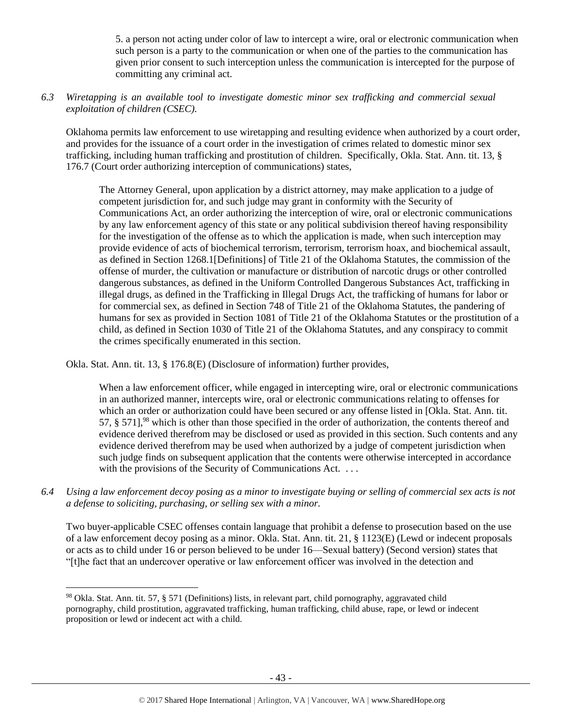5. a person not acting under color of law to intercept a wire, oral or electronic communication when such person is a party to the communication or when one of the parties to the communication has given prior consent to such interception unless the communication is intercepted for the purpose of committing any criminal act.

# *6.3 Wiretapping is an available tool to investigate domestic minor sex trafficking and commercial sexual exploitation of children (CSEC).*

Oklahoma permits law enforcement to use wiretapping and resulting evidence when authorized by a court order, and provides for the issuance of a court order in the investigation of crimes related to domestic minor sex trafficking, including human trafficking and prostitution of children. Specifically, Okla. Stat. Ann. tit. 13, § 176.7 (Court order authorizing interception of communications) states,

The Attorney General, upon application by a district attorney, may make application to a judge of competent jurisdiction for, and such judge may grant in conformity with the Security of Communications Act, an order authorizing the interception of wire, oral or electronic communications by any law enforcement agency of this state or any political subdivision thereof having responsibility for the investigation of the offense as to which the application is made, when such interception may provide evidence of acts of biochemical terrorism, terrorism, terrorism hoax, and biochemical assault, as defined in Section 1268.1[Definitions] of Title 21 of the Oklahoma Statutes, the commission of the offense of murder, the cultivation or manufacture or distribution of narcotic drugs or other controlled dangerous substances, as defined in the Uniform Controlled Dangerous Substances Act, trafficking in illegal drugs, as defined in the Trafficking in Illegal Drugs Act, the trafficking of humans for labor or for commercial sex, as defined in Section 748 of Title 21 of the Oklahoma Statutes, the pandering of humans for sex as provided in Section 1081 of Title 21 of the Oklahoma Statutes or the prostitution of a child, as defined in Section 1030 of Title 21 of the Oklahoma Statutes, and any conspiracy to commit the crimes specifically enumerated in this section.

Okla. Stat. Ann. tit. 13, § 176.8(E) (Disclosure of information) further provides,

When a law enforcement officer, while engaged in intercepting wire, oral or electronic communications in an authorized manner, intercepts wire, oral or electronic communications relating to offenses for which an order or authorization could have been secured or any offense listed in [Okla. Stat. Ann. tit. 57,  $\S$  571,  $\frac{98}{8}$  which is other than those specified in the order of authorization, the contents thereof and evidence derived therefrom may be disclosed or used as provided in this section. Such contents and any evidence derived therefrom may be used when authorized by a judge of competent jurisdiction when such judge finds on subsequent application that the contents were otherwise intercepted in accordance with the provisions of the Security of Communications Act. ...

*6.4 Using a law enforcement decoy posing as a minor to investigate buying or selling of commercial sex acts is not a defense to soliciting, purchasing, or selling sex with a minor.*

Two buyer-applicable CSEC offenses contain language that prohibit a defense to prosecution based on the use of a law enforcement decoy posing as a minor. Okla. Stat. Ann. tit. 21, § 1123(E) (Lewd or indecent proposals or acts as to child under 16 or person believed to be under 16—Sexual battery) (Second version) states that "[t]he fact that an undercover operative or law enforcement officer was involved in the detection and

 $\overline{\phantom{a}}$ <sup>98</sup> Okla. Stat. Ann. tit. 57, § 571 (Definitions) lists, in relevant part, child pornography, aggravated child pornography, child prostitution, aggravated trafficking, human trafficking, child abuse, rape, or lewd or indecent proposition or lewd or indecent act with a child.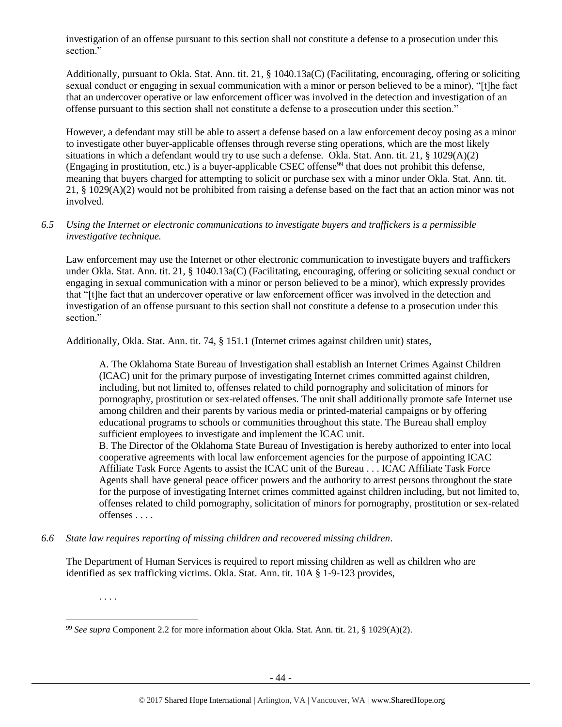investigation of an offense pursuant to this section shall not constitute a defense to a prosecution under this section."

Additionally, pursuant to Okla. Stat. Ann. tit. 21, § 1040.13a(C) (Facilitating, encouraging, offering or soliciting sexual conduct or engaging in sexual communication with a minor or person believed to be a minor), "[t]he fact that an undercover operative or law enforcement officer was involved in the detection and investigation of an offense pursuant to this section shall not constitute a defense to a prosecution under this section."

However, a defendant may still be able to assert a defense based on a law enforcement decoy posing as a minor to investigate other buyer-applicable offenses through reverse sting operations, which are the most likely situations in which a defendant would try to use such a defense. Okla. Stat. Ann. tit. 21, § 1029(A)(2) (Engaging in prostitution, etc.) is a buyer-applicable CSEC offense<sup>99</sup> that does not prohibit this defense, meaning that buyers charged for attempting to solicit or purchase sex with a minor under Okla. Stat. Ann. tit. 21, § 1029(A)(2) would not be prohibited from raising a defense based on the fact that an action minor was not involved.

# *6.5 Using the Internet or electronic communications to investigate buyers and traffickers is a permissible investigative technique.*

Law enforcement may use the Internet or other electronic communication to investigate buyers and traffickers under Okla. Stat. Ann. tit. 21, § 1040.13a(C) (Facilitating, encouraging, offering or soliciting sexual conduct or engaging in sexual communication with a minor or person believed to be a minor), which expressly provides that "[t]he fact that an undercover operative or law enforcement officer was involved in the detection and investigation of an offense pursuant to this section shall not constitute a defense to a prosecution under this section."

Additionally, Okla. Stat. Ann. tit. 74, § 151.1 (Internet crimes against children unit) states,

A. The Oklahoma State Bureau of Investigation shall establish an Internet Crimes Against Children (ICAC) unit for the primary purpose of investigating Internet crimes committed against children, including, but not limited to, offenses related to child pornography and solicitation of minors for pornography, prostitution or sex-related offenses. The unit shall additionally promote safe Internet use among children and their parents by various media or printed-material campaigns or by offering educational programs to schools or communities throughout this state. The Bureau shall employ sufficient employees to investigate and implement the ICAC unit.

B. The Director of the Oklahoma State Bureau of Investigation is hereby authorized to enter into local cooperative agreements with local law enforcement agencies for the purpose of appointing ICAC Affiliate Task Force Agents to assist the ICAC unit of the Bureau . . . ICAC Affiliate Task Force Agents shall have general peace officer powers and the authority to arrest persons throughout the state for the purpose of investigating Internet crimes committed against children including, but not limited to, offenses related to child pornography, solicitation of minors for pornography, prostitution or sex-related offenses . . . .

*6.6 State law requires reporting of missing children and recovered missing children.*

The Department of Human Services is required to report missing children as well as children who are identified as sex trafficking victims. Okla. Stat. Ann. tit. 10A § 1-9-123 provides,

. . . .

 $\overline{\phantom{a}}$ 

<sup>99</sup> *See supra* Component 2.2 for more information about Okla. Stat. Ann. tit. 21, § 1029(A)(2).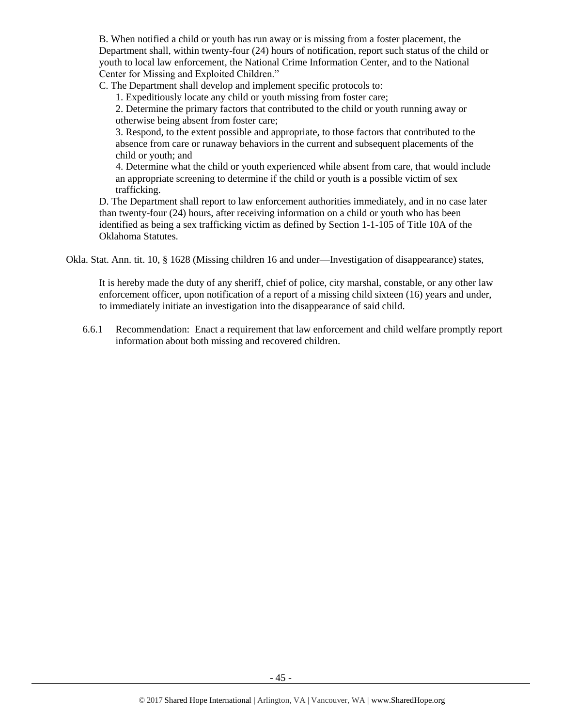B. When notified a child or youth has run away or is missing from a foster placement, the Department shall, within twenty-four (24) hours of notification, report such status of the child or youth to local law enforcement, the National Crime Information Center, and to the National Center for Missing and Exploited Children."

C. The Department shall develop and implement specific protocols to:

1. Expeditiously locate any child or youth missing from foster care;

2. Determine the primary factors that contributed to the child or youth running away or otherwise being absent from foster care;

3. Respond, to the extent possible and appropriate, to those factors that contributed to the absence from care or runaway behaviors in the current and subsequent placements of the child or youth; and

4. Determine what the child or youth experienced while absent from care, that would include an appropriate screening to determine if the child or youth is a possible victim of sex trafficking.

D. The Department shall report to law enforcement authorities immediately, and in no case later than twenty-four (24) hours, after receiving information on a child or youth who has been identified as being a sex trafficking victim as defined by Section 1-1-105 of Title 10A of the Oklahoma Statutes.

Okla. Stat. Ann. tit. 10, § 1628 (Missing children 16 and under—Investigation of disappearance) states,

It is hereby made the duty of any sheriff, chief of police, city marshal, constable, or any other law enforcement officer, upon notification of a report of a missing child sixteen (16) years and under, to immediately initiate an investigation into the disappearance of said child.

6.6.1 Recommendation: Enact a requirement that law enforcement and child welfare promptly report information about both missing and recovered children.